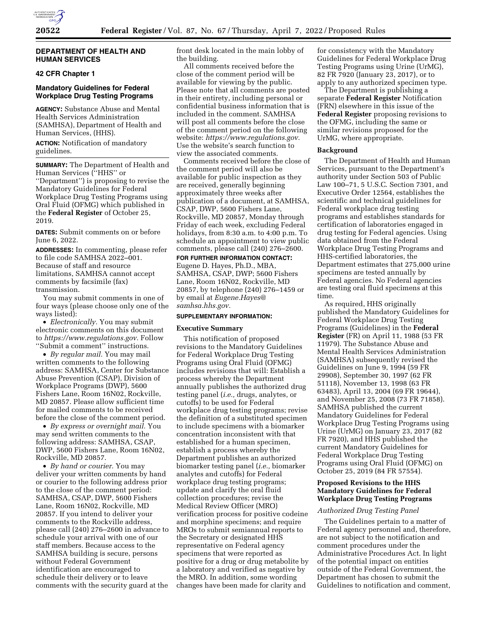

## **DEPARTMENT OF HEALTH AND HUMAN SERVICES**

# **42 CFR Chapter 1**

## **Mandatory Guidelines for Federal Workplace Drug Testing Programs**

**AGENCY:** Substance Abuse and Mental Health Services Administration (SAMHSA), Department of Health and Human Services, (HHS).

**ACTION:** Notification of mandatory guidelines.

**SUMMARY:** The Department of Health and Human Services (''HHS'' or ''Department'') is proposing to revise the Mandatory Guidelines for Federal Workplace Drug Testing Programs using Oral Fluid (OFMG) which published in the **Federal Register** of October 25, 2019.

**DATES:** Submit comments on or before June 6, 2022.

**ADDRESSES:** In commenting, please refer to file code SAMHSA 2022–001. Because of staff and resource limitations, SAMHSA cannot accept comments by facsimile (fax) transmission.

You may submit comments in one of four ways (please choose only one of the ways listed):

• *Electronically.* You may submit electronic comments on this document to *[https://www.regulations.gov.](https://www.regulations.gov)* Follow ''Submit a comment'' instructions.

• *By regular mail.* You may mail written comments to the following address: SAMHSA, Center for Substance Abuse Prevention (CSAP), Division of Workplace Programs (DWP), 5600 Fishers Lane, Room 16N02, Rockville, MD 20857. Please allow sufficient time for mailed comments to be received before the close of the comment period.

• *By express or overnight mail.* You may send written comments to the following address: SAMHSA, CSAP, DWP, 5600 Fishers Lane, Room 16N02, Rockville, MD 20857.

• *By hand or courier.* You may deliver your written comments by hand or courier to the following address prior to the close of the comment period: SAMHSA, CSAP, DWP, 5600 Fishers Lane, Room 16N02, Rockville, MD 20857. If you intend to deliver your comments to the Rockville address, please call (240) 276–2600 in advance to schedule your arrival with one of our staff members. Because access to the SAMHSA building is secure, persons without Federal Government identification are encouraged to schedule their delivery or to leave comments with the security guard at the

front desk located in the main lobby of the building.

All comments received before the close of the comment period will be available for viewing by the public. Please note that all comments are posted in their entirety, including personal or confidential business information that is included in the comment. SAMHSA will post all comments before the close of the comment period on the following website: *[https://www.regulations.gov.](https://www.regulations.gov)*  Use the website's search function to view the associated comments.

Comments received before the close of the comment period will also be available for public inspection as they are received, generally beginning approximately three weeks after publication of a document, at SAMHSA, CSAP, DWP, 5600 Fishers Lane, Rockville, MD 20857, Monday through Friday of each week, excluding Federal holidays, from 8:30 a.m. to 4:00 p.m. To schedule an appointment to view public comments, please call (240) 276–2600.

**FOR FURTHER INFORMATION CONTACT:**  Eugene D. Hayes, Ph.D., MBA, SAMHSA, CSAP, DWP; 5600 Fishers Lane, Room 16N02, Rockville, MD 20857, by telephone (240) 276–1459 or by email at *[Eugene.Hayes@](mailto:Eugene.Hayes@samhsa.hhs.gov) [samhsa.hhs.gov.](mailto:Eugene.Hayes@samhsa.hhs.gov)* 

#### **SUPPLEMENTARY INFORMATION:**

#### **Executive Summary**

This notification of proposed revisions to the Mandatory Guidelines for Federal Workplace Drug Testing Programs using Oral Fluid (OFMG) includes revisions that will: Establish a process whereby the Department annually publishes the authorized drug testing panel (*i.e.,* drugs, analytes, or cutoffs) to be used for Federal workplace drug testing programs; revise the definition of a substituted specimen to include specimens with a biomarker concentration inconsistent with that established for a human specimen, establish a process whereby the Department publishes an authorized biomarker testing panel (*i.e.,* biomarker analytes and cutoffs) for Federal workplace drug testing programs; update and clarify the oral fluid collection procedures; revise the Medical Review Officer (MRO) verification process for positive codeine and morphine specimens; and require MROs to submit semiannual reports to the Secretary or designated HHS representative on Federal agency specimens that were reported as positive for a drug or drug metabolite by a laboratory and verified as negative by the MRO. In addition, some wording changes have been made for clarity and

for consistency with the Mandatory Guidelines for Federal Workplace Drug Testing Programs using Urine (UrMG), 82 FR 7920 (January 23, 2017), or to apply to any authorized specimen type.

The Department is publishing a separate **Federal Register** Notification (FRN) elsewhere in this issue of the **Federal Register** proposing revisions to the OFMG, including the same or similar revisions proposed for the UrMG, where appropriate.

#### **Background**

The Department of Health and Human Services, pursuant to the Department's authority under Section 503 of Public Law 100–71, 5 U.S.C. Section 7301, and Executive Order 12564, establishes the scientific and technical guidelines for Federal workplace drug testing programs and establishes standards for certification of laboratories engaged in drug testing for Federal agencies. Using data obtained from the Federal Workplace Drug Testing Programs and HHS-certified laboratories, the Department estimates that 275,000 urine specimens are tested annually by Federal agencies. No Federal agencies are testing oral fluid specimens at this time.

As required, HHS originally published the Mandatory Guidelines for Federal Workplace Drug Testing Programs (Guidelines) in the **Federal Register** (FR) on April 11, 1988 (53 FR 11979). The Substance Abuse and Mental Health Services Administration (SAMHSA) subsequently revised the Guidelines on June 9, 1994 (59 FR 29908), September 30, 1997 (62 FR 51118), November 13, 1998 (63 FR 63483), April 13, 2004 (69 FR 19644), and November 25, 2008 (73 FR 71858). SAMHSA published the current Mandatory Guidelines for Federal Workplace Drug Testing Programs using Urine (UrMG) on January 23, 2017 (82 FR 7920), and HHS published the current Mandatory Guidelines for Federal Workplace Drug Testing Programs using Oral Fluid (OFMG) on October 25, 2019 (84 FR 57554).

### **Proposed Revisions to the HHS Mandatory Guidelines for Federal Workplace Drug Testing Programs**

# *Authorized Drug Testing Panel*

The Guidelines pertain to a matter of Federal agency personnel and, therefore, are not subject to the notification and comment procedures under the Administrative Procedures Act. In light of the potential impact on entities outside of the Federal Government, the Department has chosen to submit the Guidelines to notification and comment,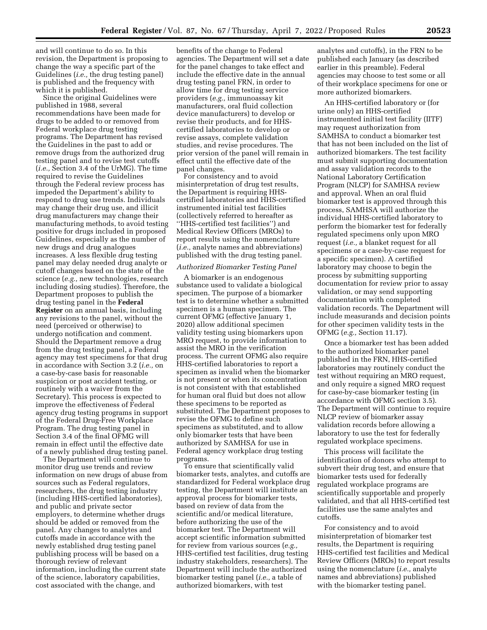and will continue to do so. In this revision, the Department is proposing to change the way a specific part of the Guidelines (*i.e.,* the drug testing panel) is published and the frequency with which it is published.

Since the original Guidelines were published in 1988, several recommendations have been made for drugs to be added to or removed from Federal workplace drug testing programs. The Department has revised the Guidelines in the past to add or remove drugs from the authorized drug testing panel and to revise test cutoffs (*i.e.,* Section 3.4 of the UrMG). The time required to revise the Guidelines through the Federal review process has impeded the Department's ability to respond to drug use trends. Individuals may change their drug use, and illicit drug manufacturers may change their manufacturing methods, to avoid testing positive for drugs included in proposed Guidelines, especially as the number of new drugs and drug analogues increases. A less flexible drug testing panel may delay needed drug analyte or cutoff changes based on the state of the science (*e.g.,* new technologies, research including dosing studies). Therefore, the Department proposes to publish the drug testing panel in the **Federal Register** on an annual basis, including any revisions to the panel, without the need (perceived or otherwise) to undergo notification and comment. Should the Department remove a drug from the drug testing panel, a Federal agency may test specimens for that drug in accordance with Section 3.2 (*i.e.,* on a case-by-case basis for reasonable suspicion or post accident testing, or routinely with a waiver from the Secretary). This process is expected to improve the effectiveness of Federal agency drug testing programs in support of the Federal Drug-Free Workplace Program. The drug testing panel in Section 3.4 of the final OFMG will remain in effect until the effective date of a newly published drug testing panel.

The Department will continue to monitor drug use trends and review information on new drugs of abuse from sources such as Federal regulators, researchers, the drug testing industry (including HHS-certified laboratories), and public and private sector employers, to determine whether drugs should be added or removed from the panel. Any changes to analytes and cutoffs made in accordance with the newly established drug testing panel publishing process will be based on a thorough review of relevant information, including the current state of the science, laboratory capabilities, cost associated with the change, and

benefits of the change to Federal agencies. The Department will set a date for the panel changes to take effect and include the effective date in the annual drug testing panel FRN, in order to allow time for drug testing service providers (*e.g.,* immunoassay kit manufacturers, oral fluid collection device manufacturers) to develop or revise their products, and for HHScertified laboratories to develop or revise assays, complete validation studies, and revise procedures. The prior version of the panel will remain in effect until the effective date of the panel changes.

For consistency and to avoid misinterpretation of drug test results, the Department is requiring HHScertified laboratories and HHS-certified instrumented initial test facilities (collectively referred to hereafter as ''HHS-certified test facilities'') and Medical Review Officers (MROs) to report results using the nomenclature (*i.e.,* analyte names and abbreviations) published with the drug testing panel.

#### *Authorized Biomarker Testing Panel*

A biomarker is an endogenous substance used to validate a biological specimen. The purpose of a biomarker test is to determine whether a submitted specimen is a human specimen. The current OFMG (effective January 1, 2020) allow additional specimen validity testing using biomarkers upon MRO request, to provide information to assist the MRO in the verification process. The current OFMG also require HHS-certified laboratories to report a specimen as invalid when the biomarker is not present or when its concentration is not consistent with that established for human oral fluid but does not allow these specimens to be reported as substituted. The Department proposes to revise the OFMG to define such specimens as substituted, and to allow only biomarker tests that have been authorized by SAMHSA for use in Federal agency workplace drug testing programs.

To ensure that scientifically valid biomarker tests, analytes, and cutoffs are standardized for Federal workplace drug testing, the Department will institute an approval process for biomarker tests, based on review of data from the scientific and/or medical literature, before authorizing the use of the biomarker test. The Department will accept scientific information submitted for review from various sources (*e.g.,*  HHS-certified test facilities, drug testing industry stakeholders, researchers). The Department will include the authorized biomarker testing panel (*i.e.,* a table of authorized biomarkers, with test

analytes and cutoffs), in the FRN to be published each January (as described earlier in this preamble). Federal agencies may choose to test some or all of their workplace specimens for one or more authorized biomarkers.

An HHS-certified laboratory or (for urine only) an HHS-certified instrumented initial test facility (IITF) may request authorization from SAMHSA to conduct a biomarker test that has not been included on the list of authorized biomarkers. The test facility must submit supporting documentation and assay validation records to the National Laboratory Certification Program (NLCP) for SAMHSA review and approval. When an oral fluid biomarker test is approved through this process, SAMHSA will authorize the individual HHS-certified laboratory to perform the biomarker test for federally regulated specimens only upon MRO request (*i.e.,* a blanket request for all specimens or a case-by-case request for a specific specimen). A certified laboratory may choose to begin the process by submitting supporting documentation for review prior to assay validation, or may send supporting documentation with completed validation records. The Department will include measurands and decision points for other specimen validity tests in the OFMG (*e.g.,* Section 11.17).

Once a biomarker test has been added to the authorized biomarker panel published in the FRN, HHS-certified laboratories may routinely conduct the test without requiring an MRO request, and only require a signed MRO request for case-by-case biomarker testing (in accordance with OFMG section 3.5). The Department will continue to require NLCP review of biomarker assay validation records before allowing a laboratory to use the test for federally regulated workplace specimens.

This process will facilitate the identification of donors who attempt to subvert their drug test, and ensure that biomarker tests used for federally regulated workplace programs are scientifically supportable and properly validated, and that all HHS-certified test facilities use the same analytes and cutoffs.

For consistency and to avoid misinterpretation of biomarker test results, the Department is requiring HHS-certified test facilities and Medical Review Officers (MROs) to report results using the nomenclature (*i.e.,* analyte names and abbreviations) published with the biomarker testing panel.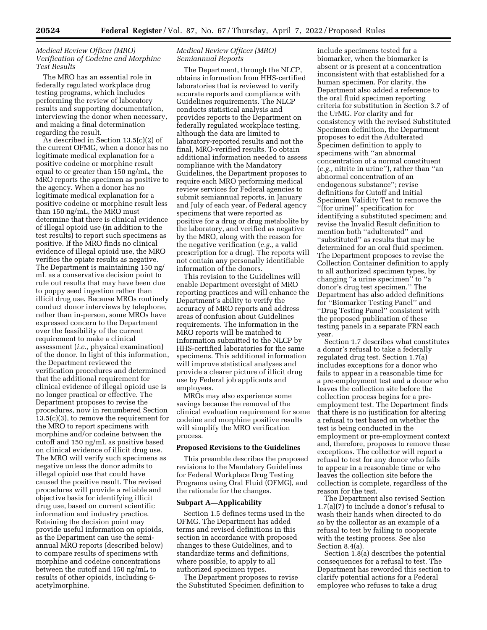## *Medical Review Officer (MRO) Verification of Codeine and Morphine Test Results*

The MRO has an essential role in federally regulated workplace drug testing programs, which includes performing the review of laboratory results and supporting documentation, interviewing the donor when necessary, and making a final determination regarding the result.

As described in Section 13.5(c)(2) of the current OFMG, when a donor has no legitimate medical explanation for a positive codeine or morphine result equal to or greater than 150 ng/mL, the MRO reports the specimen as positive to the agency. When a donor has no legitimate medical explanation for a positive codeine or morphine result less than 150 ng/mL, the MRO must determine that there is clinical evidence of illegal opioid use (in addition to the test results) to report such specimens as positive. If the MRO finds no clinical evidence of illegal opioid use, the MRO verifies the opiate results as negative. The Department is maintaining 150 ng/ mL as a conservative decision point to rule out results that may have been due to poppy seed ingestion rather than illicit drug use. Because MROs routinely conduct donor interviews by telephone, rather than in-person, some MROs have expressed concern to the Department over the feasibility of the current requirement to make a clinical assessment (*i.e.,* physical examination) of the donor. In light of this information, the Department reviewed the verification procedures and determined that the additional requirement for clinical evidence of illegal opioid use is no longer practical or effective. The Department proposes to revise the procedures, now in renumbered Section 13.5(c)(3), to remove the requirement for the MRO to report specimens with morphine and/or codeine between the cutoff and 150 ng/mL as positive based on clinical evidence of illicit drug use. The MRO will verify such specimens as negative unless the donor admits to illegal opioid use that could have caused the positive result. The revised procedures will provide a reliable and objective basis for identifying illicit drug use, based on current scientific information and industry practice. Retaining the decision point may provide useful information on opioids, as the Department can use the semiannual MRO reports (described below) to compare results of specimens with morphine and codeine concentrations between the cutoff and 150 ng/mL to results of other opioids, including 6 acetylmorphine.

## *Medical Review Officer (MRO) Semiannual Reports*

The Department, through the NLCP, obtains information from HHS-certified laboratories that is reviewed to verify accurate reports and compliance with Guidelines requirements. The NLCP conducts statistical analysis and provides reports to the Department on federally regulated workplace testing, although the data are limited to laboratory-reported results and not the final, MRO-verified results. To obtain additional information needed to assess compliance with the Mandatory Guidelines, the Department proposes to require each MRO performing medical review services for Federal agencies to submit semiannual reports, in January and July of each year, of Federal agency specimens that were reported as positive for a drug or drug metabolite by the laboratory, and verified as negative by the MRO, along with the reason for the negative verification (*e.g.,* a valid prescription for a drug). The reports will not contain any personally identifiable information of the donors.

This revision to the Guidelines will enable Department oversight of MRO reporting practices and will enhance the Department's ability to verify the accuracy of MRO reports and address areas of confusion about Guidelines requirements. The information in the MRO reports will be matched to information submitted to the NLCP by HHS-certified laboratories for the same specimens. This additional information will improve statistical analyses and provide a clearer picture of illicit drug use by Federal job applicants and employees.

MROs may also experience some savings because the removal of the clinical evaluation requirement for some codeine and morphine positive results will simplify the MRO verification process.

#### **Proposed Revisions to the Guidelines**

This preamble describes the proposed revisions to the Mandatory Guidelines for Federal Workplace Drug Testing Programs using Oral Fluid (OFMG), and the rationale for the changes.

#### **Subpart A—Applicability**

Section 1.5 defines terms used in the OFMG. The Department has added terms and revised definitions in this section in accordance with proposed changes to these Guidelines, and to standardize terms and definitions, where possible, to apply to all authorized specimen types.

The Department proposes to revise the Substituted Specimen definition to

include specimens tested for a biomarker, when the biomarker is absent or is present at a concentration inconsistent with that established for a human specimen. For clarity, the Department also added a reference to the oral fluid specimen reporting criteria for substitution in Section 3.7 of the UrMG. For clarity and for consistency with the revised Substituted Specimen definition, the Department proposes to edit the Adulterated Specimen definition to apply to specimens with ''an abnormal concentration of a normal constituent (*e.g.,* nitrite in urine''), rather than ''an abnormal concentration of an endogenous substance''; revise definitions for Cutoff and Initial Specimen Validity Test to remove the ''(for urine)'' specification for identifying a substituted specimen; and revise the Invalid Result definition to mention both ''adulterated'' and ''substituted'' as results that may be determined for an oral fluid specimen. The Department proposes to revise the Collection Container definition to apply to all authorized specimen types, by changing ''a urine specimen'' to ''a donor's drug test specimen.'' The Department has also added definitions for ''Biomarker Testing Panel'' and ''Drug Testing Panel'' consistent with the proposed publication of these testing panels in a separate FRN each year.

Section 1.7 describes what constitutes a donor's refusal to take a federally regulated drug test. Section 1.7(a) includes exceptions for a donor who fails to appear in a reasonable time for a pre-employment test and a donor who leaves the collection site before the collection process begins for a preemployment test. The Department finds that there is no justification for altering a refusal to test based on whether the test is being conducted in the employment or pre-employment context and, therefore, proposes to remove these exceptions. The collector will report a refusal to test for any donor who fails to appear in a reasonable time or who leaves the collection site before the collection is complete, regardless of the reason for the test.

The Department also revised Section 1.7(a)(7) to include a donor's refusal to wash their hands when directed to do so by the collector as an example of a refusal to test by failing to cooperate with the testing process. See also Section 8.4(a).

Section 1.8(a) describes the potential consequences for a refusal to test. The Department has reworded this section to clarify potential actions for a Federal employee who refuses to take a drug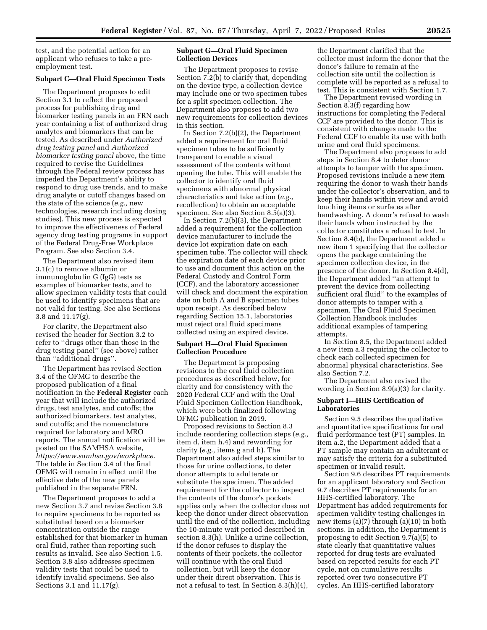test, and the potential action for an applicant who refuses to take a preemployment test.

#### **Subpart C—Oral Fluid Specimen Tests**

The Department proposes to edit Section 3.1 to reflect the proposed process for publishing drug and biomarker testing panels in an FRN each year containing a list of authorized drug analytes and biomarkers that can be tested. As described under *Authorized drug testing panel* and *Authorized biomarker testing panel* above, the time required to revise the Guidelines through the Federal review process has impeded the Department's ability to respond to drug use trends, and to make drug analyte or cutoff changes based on the state of the science (*e.g.,* new technologies, research including dosing studies). This new process is expected to improve the effectiveness of Federal agency drug testing programs in support of the Federal Drug-Free Workplace Program. See also Section 3.4.

The Department also revised item 3.1(c) to remove albumin or immunoglobulin G (IgG) tests as examples of biomarker tests, and to allow specimen validity tests that could be used to identify specimens that are not valid for testing. See also Sections 3.8 and 11.17(g).

For clarity, the Department also revised the header for Section 3.2 to refer to ''drugs other than those in the drug testing panel'' (see above) rather than ''additional drugs''.

The Department has revised Section 3.4 of the OFMG to describe the proposed publication of a final notification in the **Federal Register** each year that will include the authorized drugs, test analytes, and cutoffs; the authorized biomarkers, test analytes, and cutoffs; and the nomenclature required for laboratory and MRO reports. The annual notification will be posted on the SAMHSA website, *[https://www.samhsa.gov/workplace.](https://www.samhsa.gov/workplace)*  The table in Section 3.4 of the final OFMG will remain in effect until the effective date of the new panels published in the separate FRN.

The Department proposes to add a new Section 3.7 and revise Section 3.8 to require specimens to be reported as substituted based on a biomarker concentration outside the range established for that biomarker in human oral fluid, rather than reporting such results as invalid. See also Section 1.5. Section 3.8 also addresses specimen validity tests that could be used to identify invalid specimens. See also Sections 3.1 and 11.17(g).

## **Subpart G—Oral Fluid Specimen Collection Devices**

The Department proposes to revise Section 7.2(b) to clarify that, depending on the device type, a collection device may include one or two specimen tubes for a split specimen collection. The Department also proposes to add two new requirements for collection devices in this section.

In Section 7.2(b)(2), the Department added a requirement for oral fluid specimen tubes to be sufficiently transparent to enable a visual assessment of the contents without opening the tube. This will enable the collector to identify oral fluid specimens with abnormal physical characteristics and take action (*e.g.,*  recollection) to obtain an acceptable specimen. See also Section 8.5(a)(3).

In Section 7.2(b)(3), the Department added a requirement for the collection device manufacturer to include the device lot expiration date on each specimen tube. The collector will check the expiration date of each device prior to use and document this action on the Federal Custody and Control Form (CCF), and the laboratory accessioner will check and document the expiration date on both A and B specimen tubes upon receipt. As described below regarding Section 15.1, laboratories must reject oral fluid specimens collected using an expired device.

#### **Subpart H—Oral Fluid Specimen Collection Procedure**

The Department is proposing revisions to the oral fluid collection procedures as described below, for clarity and for consistency with the 2020 Federal CCF and with the Oral Fluid Specimen Collection Handbook, which were both finalized following OFMG publication in 2019.

Proposed revisions to Section 8.3 include reordering collection steps (*e.g.,*  item d, item h.4) and rewording for clarity (*e.g.,* items g and h). The Department also added steps similar to those for urine collections, to deter donor attempts to adulterate or substitute the specimen. The added requirement for the collector to inspect the contents of the donor's pockets applies only when the collector does not keep the donor under direct observation until the end of the collection, including the 10-minute wait period described in section 8.3(h). Unlike a urine collection, if the donor refuses to display the contents of their pockets, the collector will continue with the oral fluid collection, but will keep the donor under their direct observation. This is not a refusal to test. In Section 8.3(h)(4),

the Department clarified that the collector must inform the donor that the donor's failure to remain at the collection site until the collection is complete will be reported as a refusal to test. This is consistent with Section 1.7.

The Department revised wording in Section 8.3(f) regarding how instructions for completing the Federal CCF are provided to the donor. This is consistent with changes made to the Federal CCF to enable its use with both urine and oral fluid specimens.

The Department also proposes to add steps in Section 8.4 to deter donor attempts to tamper with the specimen. Proposed revisions include a new item requiring the donor to wash their hands under the collector's observation, and to keep their hands within view and avoid touching items or surfaces after handwashing. A donor's refusal to wash their hands when instructed by the collector constitutes a refusal to test. In Section 8.4(b), the Department added a new item 1 specifying that the collector opens the package containing the specimen collection device, in the presence of the donor. In Section 8.4(d), the Department added ''an attempt to prevent the device from collecting sufficient oral fluid'' to the examples of donor attempts to tamper with a specimen. The Oral Fluid Specimen Collection Handbook includes additional examples of tampering attempts.

In Section 8.5, the Department added a new item a.3 requiring the collector to check each collected specimen for abnormal physical characteristics. See also Section 7.2.

The Department also revised the wording in Section 8.9(a)(3) for clarity.

### **Subpart I—HHS Certification of Laboratories**

Section 9.5 describes the qualitative and quantitative specifications for oral fluid performance test (PT) samples. In item a.2, the Department added that a PT sample may contain an adulterant or may satisfy the criteria for a substituted specimen or invalid result.

Section 9.6 describes PT requirements for an applicant laboratory and Section 9.7 describes PT requirements for an HHS-certified laboratory. The Department has added requirements for specimen validity testing challenges in new items (a)(7) through (a)(10) in both sections. In addition, the Department is proposing to edit Section  $9.\overline{7}(a)(5)$  to state clearly that quantitative values reported for drug tests are evaluated based on reported results for each PT cycle, not on cumulative results reported over two consecutive PT cycles. An HHS-certified laboratory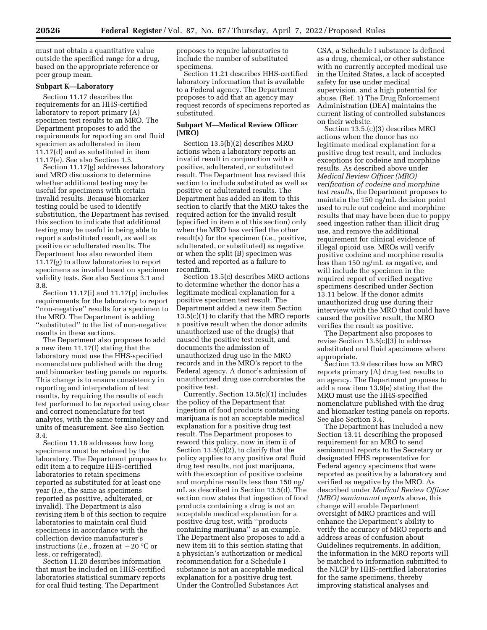must not obtain a quantitative value outside the specified range for a drug, based on the appropriate reference or peer group mean.

#### **Subpart K—Laboratory**

Section 11.17 describes the requirements for an HHS-certified laboratory to report primary (A) specimen test results to an MRO. The Department proposes to add the requirements for reporting an oral fluid specimen as adulterated in item 11.17(d) and as substituted in item 11.17(e). See also Section 1.5.

Section 11.17(g) addresses laboratory and MRO discussions to determine whether additional testing may be useful for specimens with certain invalid results. Because biomarker testing could be used to identify substitution, the Department has revised this section to indicate that additional testing may be useful in being able to report a substituted result, as well as positive or adulterated results. The Department has also reworded item 11.17(g) to allow laboratories to report specimens as invalid based on specimen validity tests. See also Sections 3.1 and 3.8.

Section 11.17(i) and 11.17(p) includes requirements for the laboratory to report ''non-negative'' results for a specimen to the MRO. The Department is adding ''substituted'' to the list of non-negative results in these sections.

The Department also proposes to add a new item 11.17(l) stating that the laboratory must use the HHS-specified nomenclature published with the drug and biomarker testing panels on reports. This change is to ensure consistency in reporting and interpretation of test results, by requiring the results of each test performed to be reported using clear and correct nomenclature for test analytes, with the same terminology and units of measurement. See also Section 3.4.

Section 11.18 addresses how long specimens must be retained by the laboratory. The Department proposes to edit item a to require HHS-certified laboratories to retain specimens reported as substituted for at least one year (*i.e.,* the same as specimens reported as positive, adulterated, or invalid). The Department is also revising item b of this section to require laboratories to maintain oral fluid specimens in accordance with the collection device manufacturer's instructions (*i.e.*, frozen at  $-20$  °C or less, or refrigerated).

Section 11.20 describes information that must be included on HHS-certified laboratories statistical summary reports for oral fluid testing. The Department

proposes to require laboratories to include the number of substituted specimens.

Section 11.21 describes HHS-certified laboratory information that is available to a Federal agency. The Department proposes to add that an agency may request records of specimens reported as substituted.

## **Subpart M—Medical Review Officer (MRO)**

Section 13.5(b)(2) describes MRO actions when a laboratory reports an invalid result in conjunction with a positive, adulterated, or substituted result. The Department has revised this section to include substituted as well as positive or adulterated results. The Department has added an item to this section to clarify that the MRO takes the required action for the invalid result (specified in item e of this section) only when the MRO has verified the other result(s) for the specimen (*i.e.,* positive, adulterated, or substituted) as negative or when the split (B) specimen was tested and reported as a failure to reconfirm.

Section 13.5(c) describes MRO actions to determine whether the donor has a legitimate medical explanation for a positive specimen test result. The Department added a new item Section 13.5(c)(1) to clarify that the MRO reports a positive result when the donor admits unauthorized use of the drug(s) that caused the positive test result, and documents the admission of unauthorized drug use in the MRO records and in the MRO's report to the Federal agency. A donor's admission of unauthorized drug use corroborates the positive test.

Currently, Section 13.5(c)(1) includes the policy of the Department that ingestion of food products containing marijuana is not an acceptable medical explanation for a positive drug test result. The Department proposes to reword this policy, now in item ii of Section 13.5(c)(2), to clarify that the policy applies to any positive oral fluid drug test results, not just marijuana, with the exception of positive codeine and morphine results less than 150 ng/ mL as described in Section 13.5(d). The section now states that ingestion of food products containing a drug is not an acceptable medical explanation for a positive drug test, with ''products containing marijuana'' as an example. The Department also proposes to add a new item iii to this section stating that a physician's authorization or medical recommendation for a Schedule I substance is not an acceptable medical explanation for a positive drug test. Under the Controlled Substances Act

CSA, a Schedule I substance is defined as a drug, chemical, or other substance with no currently accepted medical use in the United States, a lack of accepted safety for use under medical supervision, and a high potential for abuse. (Ref. 1) The Drug Enforcement Administration (DEA) maintains the current listing of controlled substances on their website.

Section 13.5.(c)(3) describes MRO actions when the donor has no legitimate medical explanation for a positive drug test result, and includes exceptions for codeine and morphine results. As described above under *Medical Review Officer (MRO) verification of codeine and morphine test results,* the Department proposes to maintain the 150 ng/mL decision point used to rule out codeine and morphine results that may have been due to poppy seed ingestion rather than illicit drug use, and remove the additional requirement for clinical evidence of illegal opioid use. MROs will verify positive codeine and morphine results less than 150 ng/mL as negative, and will include the specimen in the required report of verified negative specimens described under Section 13.11 below. If the donor admits unauthorized drug use during their interview with the MRO that could have caused the positive result, the MRO verifies the result as positive.

The Department also proposes to revise Section 13.5(c)(3) to address substituted oral fluid specimens where appropriate.

Section 13.9 describes how an MRO reports primary (A) drug test results to an agency. The Department proposes to add a new item 13.9(e) stating that the MRO must use the HHS-specified nomenclature published with the drug and biomarker testing panels on reports. See also Section 3.4.

The Department has included a new Section 13.11 describing the proposed requirement for an MRO to send semiannual reports to the Secretary or designated HHS representative for Federal agency specimens that were reported as positive by a laboratory and verified as negative by the MRO. As described under *Medical Review Officer (MRO) semiannual reports* above, this change will enable Department oversight of MRO practices and will enhance the Department's ability to verify the accuracy of MRO reports and address areas of confusion about Guidelines requirements. In addition, the information in the MRO reports will be matched to information submitted to the NLCP by HHS-certified laboratories for the same specimens, thereby improving statistical analyses and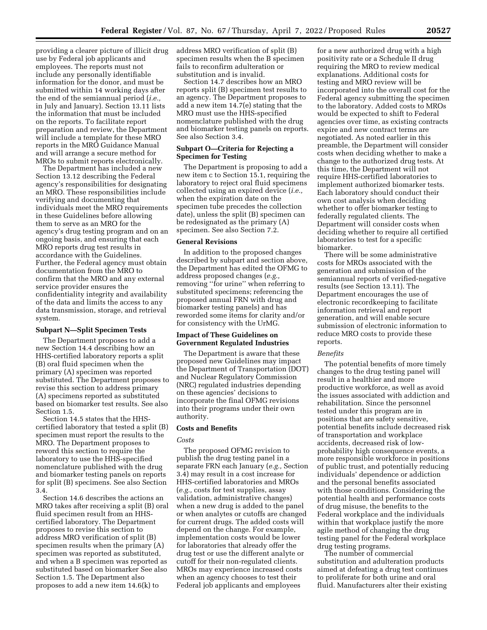providing a clearer picture of illicit drug use by Federal job applicants and employees. The reports must not include any personally identifiable information for the donor, and must be submitted within 14 working days after the end of the semiannual period (*i.e.,*  in July and January). Section 13.11 lists the information that must be included on the reports. To facilitate report preparation and review, the Department will include a template for these MRO reports in the MRO Guidance Manual and will arrange a secure method for MROs to submit reports electronically.

The Department has included a new Section 13.12 describing the Federal agency's responsibilities for designating an MRO. These responsibilities include verifying and documenting that individuals meet the MRO requirements in these Guidelines before allowing them to serve as an MRO for the agency's drug testing program and on an ongoing basis, and ensuring that each MRO reports drug test results in accordance with the Guidelines. Further, the Federal agency must obtain documentation from the MRO to confirm that the MRO and any external service provider ensures the confidentiality integrity and availability of the data and limits the access to any data transmission, storage, and retrieval system.

#### **Subpart N—Split Specimen Tests**

The Department proposes to add a new Section 14.4 describing how an HHS-certified laboratory reports a split (B) oral fluid specimen when the primary (A) specimen was reported substituted. The Department proposes to revise this section to address primary (A) specimens reported as substituted based on biomarker test results. See also Section 1.5.

Section 14.5 states that the HHScertified laboratory that tested a split (B) specimen must report the results to the MRO. The Department proposes to reword this section to require the laboratory to use the HHS-specified nomenclature published with the drug and biomarker testing panels on reports for split (B) specimens. See also Section 3.4.

Section 14.6 describes the actions an MRO takes after receiving a split (B) oral fluid specimen result from an HHScertified laboratory. The Department proposes to revise this section to address MRO verification of split (B) specimen results when the primary (A) specimen was reported as substituted, and when a B specimen was reported as substituted based on biomarker See also Section 1.5. The Department also proposes to add a new item 14.6(k) to

address MRO verification of split (B) specimen results when the B specimen fails to reconfirm adulteration or substitution and is invalid.

Section 14.7 describes how an MRO reports split (B) specimen test results to an agency. The Department proposes to add a new item 14.7(e) stating that the MRO must use the HHS-specified nomenclature published with the drug and biomarker testing panels on reports. See also Section 3.4.

## **Subpart O—Criteria for Rejecting a Specimen for Testing**

The Department is proposing to add a new item c to Section 15.1, requiring the laboratory to reject oral fluid specimens collected using an expired device (*i.e.,*  when the expiration date on the specimen tube precedes the collection date), unless the split (B) specimen can be redesignated as the primary (A) specimen. See also Section 7.2.

#### **General Revisions**

In addition to the proposed changes described by subpart and section above, the Department has edited the OFMG to address proposed changes (*e.g.,*  removing ''for urine'' when referring to substituted specimens; referencing the proposed annual FRN with drug and biomarker testing panels) and has reworded some items for clarity and/or for consistency with the UrMG.

#### **Impact of These Guidelines on Government Regulated Industries**

The Department is aware that these proposed new Guidelines may impact the Department of Transportation (DOT) and Nuclear Regulatory Commission (NRC) regulated industries depending on these agencies' decisions to incorporate the final OFMG revisions into their programs under their own authority.

#### **Costs and Benefits**

#### *Costs*

The proposed OFMG revision to publish the drug testing panel in a separate FRN each January (*e.g.,* Section 3.4) may result in a cost increase for HHS-certified laboratories and MROs (*e.g.,* costs for test supplies, assay validation, administrative changes) when a new drug is added to the panel or when analytes or cutoffs are changed for current drugs. The added costs will depend on the change. For example, implementation costs would be lower for laboratories that already offer the drug test or use the different analyte or cutoff for their non-regulated clients. MROs may experience increased costs when an agency chooses to test their Federal job applicants and employees

for a new authorized drug with a high positivity rate or a Schedule II drug requiring the MRO to review medical explanations. Additional costs for testing and MRO review will be incorporated into the overall cost for the Federal agency submitting the specimen to the laboratory. Added costs to MROs would be expected to shift to Federal agencies over time, as existing contracts expire and new contract terms are negotiated. As noted earlier in this preamble, the Department will consider costs when deciding whether to make a change to the authorized drug tests. At this time, the Department will not require HHS-certified laboratories to implement authorized biomarker tests. Each laboratory should conduct their own cost analysis when deciding whether to offer biomarker testing to federally regulated clients. The Department will consider costs when deciding whether to require all certified laboratories to test for a specific biomarker.

There will be some administrative costs for MROs associated with the generation and submission of the semiannual reports of verified-negative results (see Section 13.11). The Department encourages the use of electronic recordkeeping to facilitate information retrieval and report generation, and will enable secure submission of electronic information to reduce MRO costs to provide these reports.

#### *Benefits*

The potential benefits of more timely changes to the drug testing panel will result in a healthier and more productive workforce, as well as avoid the issues associated with addiction and rehabilitation. Since the personnel tested under this program are in positions that are safety sensitive, potential benefits include decreased risk of transportation and workplace accidents, decreased risk of lowprobability high consequence events, a more responsible workforce in positions of public trust, and potentially reducing individuals' dependence or addiction and the personal benefits associated with those conditions. Considering the potential health and performance costs of drug misuse, the benefits to the Federal workplace and the individuals within that workplace justify the more agile method of changing the drug testing panel for the Federal workplace drug testing programs.

The number of commercial substitution and adulteration products aimed at defeating a drug test continues to proliferate for both urine and oral fluid. Manufacturers alter their existing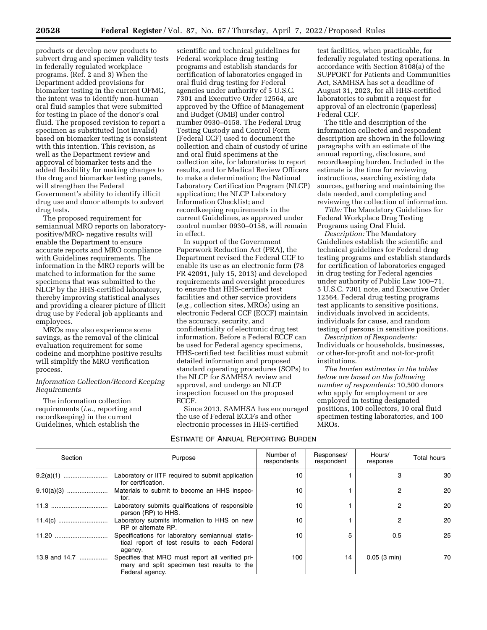products or develop new products to subvert drug and specimen validity tests in federally regulated workplace programs. (Ref. 2 and 3) When the Department added provisions for biomarker testing in the current OFMG, the intent was to identify non-human oral fluid samples that were submitted for testing in place of the donor's oral fluid. The proposed revision to report a specimen as substituted (not invalid) based on biomarker testing is consistent with this intention. This revision, as well as the Department review and approval of biomarker tests and the added flexibility for making changes to the drug and biomarker testing panels, will strengthen the Federal Government's ability to identify illicit drug use and donor attempts to subvert drug tests.

The proposed requirement for semiannual MRO reports on laboratorypositive/MRO- negative results will enable the Department to ensure accurate reports and MRO compliance with Guidelines requirements. The information in the MRO reports will be matched to information for the same specimens that was submitted to the NLCP by the HHS-certified laboratory, thereby improving statistical analyses and providing a clearer picture of illicit drug use by Federal job applicants and employees.

MROs may also experience some savings, as the removal of the clinical evaluation requirement for some codeine and morphine positive results will simplify the MRO verification process.

#### *Information Collection/Record Keeping Requirements*

The information collection requirements (*i.e.,* reporting and recordkeeping) in the current Guidelines, which establish the

scientific and technical guidelines for Federal workplace drug testing programs and establish standards for certification of laboratories engaged in oral fluid drug testing for Federal agencies under authority of 5 U.S.C. 7301 and Executive Order 12564, are approved by the Office of Management and Budget (OMB) under control number 0930–0158. The Federal Drug Testing Custody and Control Form (Federal CCF) used to document the collection and chain of custody of urine and oral fluid specimens at the collection site, for laboratories to report results, and for Medical Review Officers to make a determination; the National Laboratory Certification Program (NLCP) application; the NLCP Laboratory Information Checklist; and recordkeeping requirements in the current Guidelines, as approved under control number 0930–0158, will remain in effect.

In support of the Government Paperwork Reduction Act (PRA), the Department revised the Federal CCF to enable its use as an electronic form (78 FR 42091, July 15, 2013) and developed requirements and oversight procedures to ensure that HHS-certified test facilities and other service providers (*e.g.,* collection sites, MROs) using an electronic Federal CCF (ECCF) maintain the accuracy, security, and confidentiality of electronic drug test information. Before a Federal ECCF can be used for Federal agency specimens, HHS-certified test facilities must submit detailed information and proposed standard operating procedures (SOPs) to the NLCP for SAMHSA review and approval, and undergo an NLCP inspection focused on the proposed ECCF.

Since 2013, SAMHSA has encouraged the use of Federal ECCFs and other electronic processes in HHS-certified

## ESTIMATE OF ANNUAL REPORTING BURDEN

test facilities, when practicable, for federally regulated testing operations. In accordance with Section 8108(a) of the SUPPORT for Patients and Communities Act, SAMHSA has set a deadline of August 31, 2023, for all HHS-certified laboratories to submit a request for approval of an electronic (paperless) Federal CCF.

The title and description of the information collected and respondent description are shown in the following paragraphs with an estimate of the annual reporting, disclosure, and recordkeeping burden. Included in the estimate is the time for reviewing instructions, searching existing data sources, gathering and maintaining the data needed, and completing and reviewing the collection of information.

*Title:* The Mandatory Guidelines for Federal Workplace Drug Testing Programs using Oral Fluid.

*Description:* The Mandatory Guidelines establish the scientific and technical guidelines for Federal drug testing programs and establish standards for certification of laboratories engaged in drug testing for Federal agencies under authority of Public Law 100–71, 5 U.S.C. 7301 note, and Executive Order 12564. Federal drug testing programs test applicants to sensitive positions, individuals involved in accidents, individuals for cause, and random testing of persons in sensitive positions.

*Description of Respondents:*  Individuals or households, businesses, or other-for-profit and not-for-profit institutions.

*The burden estimates in the tables below are based on the following number of respondents:* 10,500 donors who apply for employment or are employed in testing designated positions, 100 collectors, 10 oral fluid specimen testing laboratories, and 100 MROs.

| Section       | Purpose                                                                                                            | Number of<br>respondents | Responses/<br>respondent | Hours/<br>response | <b>Total hours</b> |
|---------------|--------------------------------------------------------------------------------------------------------------------|--------------------------|--------------------------|--------------------|--------------------|
|               | Laboratory or IITF required to submit application<br>for certification.                                            | 10                       |                          |                    | 30                 |
|               | Materials to submit to become an HHS inspec-<br>tor.                                                               | 10                       |                          | 2                  | 20                 |
|               | Laboratory submits qualifications of responsible<br>person (RP) to HHS.                                            | 10                       |                          | 2                  | 20                 |
|               | Laboratory submits information to HHS on new<br>RP or alternate RP.                                                | 10                       |                          | っ                  | 20                 |
|               | Specifications for laboratory semiannual statis-<br>tical report of test results to each Federal<br>agency.        | 10                       | 5                        | 0.5                | 25                 |
| 13.9 and 14.7 | Specifies that MRO must report all verified pri-<br>mary and split specimen test results to the<br>Federal agency. | 100                      | 14                       | 0.05(3 min)        | 70                 |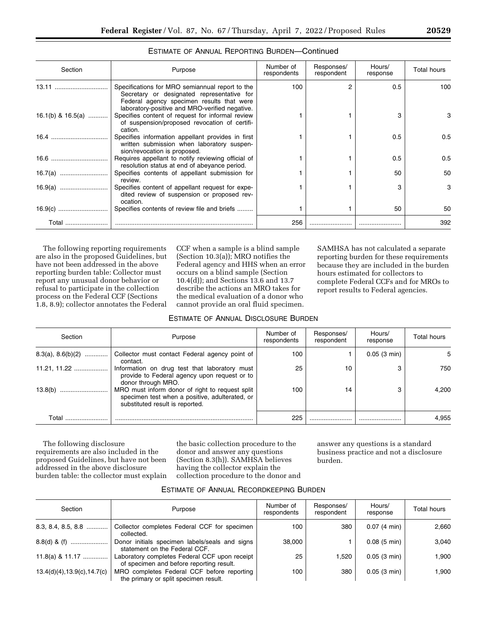| Section           | Purpose                                                                                                                                                        | Number of<br>respondents | Responses/<br>respondent | Hours/<br>response | <b>Total hours</b> |
|-------------------|----------------------------------------------------------------------------------------------------------------------------------------------------------------|--------------------------|--------------------------|--------------------|--------------------|
|                   | Specifications for MRO semiannual report to the<br>Secretary or designated representative for<br>Federal agency specimen results that were                     | 100                      | 2                        | 0.5                | 100                |
| 16.1(b) & 16.5(a) | laboratory-positive and MRO-verified negative.<br>Specifies content of request for informal review<br>of suspension/proposed revocation of certifi-<br>cation. |                          |                          | З                  | 3                  |
| 16.4              | Specifies information appellant provides in first<br>written submission when laboratory suspen-<br>sion/revocation is proposed.                                |                          |                          | 0.5                | 0.5                |
|                   | Requires appellant to notify reviewing official of<br>resolution status at end of abeyance period.                                                             |                          |                          | 0.5                | 0.5                |
|                   | Specifies contents of appellant submission for<br>review.                                                                                                      |                          |                          | 50                 | 50                 |
|                   | Specifies content of appellant request for expe-<br>dited review of suspension or proposed rev-<br>ocation.                                                    |                          |                          | 3                  | 3                  |
|                   | Specifies contents of review file and briefs                                                                                                                   |                          |                          | 50                 | 50                 |
| Total             |                                                                                                                                                                | 256                      |                          |                    | 392                |

# ESTIMATE OF ANNUAL REPORTING BURDEN—Continued

The following reporting requirements are also in the proposed Guidelines, but have not been addressed in the above reporting burden table: Collector must report any unusual donor behavior or refusal to participate in the collection process on the Federal CCF (Sections 1.8, 8.9); collector annotates the Federal CCF when a sample is a blind sample (Section 10.3(a)); MRO notifies the Federal agency and HHS when an error occurs on a blind sample (Section 10.4(d)); and Sections 13.6 and 13.7 describe the actions an MRO takes for the medical evaluation of a donor who cannot provide an oral fluid specimen.

SAMHSA has not calculated a separate reporting burden for these requirements because they are included in the burden hours estimated for collectors to complete Federal CCFs and for MROs to report results to Federal agencies.

## ESTIMATE OF ANNUAL DISCLOSURE BURDEN

| Section             | Purpose                                                                                                                              | Number of<br>respondents | Responses/<br>respondent | Hours/<br>response | <b>Total hours</b> |
|---------------------|--------------------------------------------------------------------------------------------------------------------------------------|--------------------------|--------------------------|--------------------|--------------------|
| $8.3(a), 8.6(b)(2)$ | Collector must contact Federal agency point of<br>contact.                                                                           | 100                      |                          | 0.05(3 min)        | 5                  |
| $11.21.11.22$       | Information on drug test that laboratory must<br>provide to Federal agency upon request or to<br>donor through MRO.                  | 25                       | 10                       |                    | 750                |
| 13.8(b)             | MRO must inform donor of right to request split<br>specimen test when a positive, adulterated, or<br>substituted result is reported. | 100                      | 14                       |                    | 4.200              |
| Total               |                                                                                                                                      | 225                      |                          |                    | 4.955              |

The following disclosure requirements are also included in the proposed Guidelines, but have not been addressed in the above disclosure burden table: the collector must explain

the basic collection procedure to the donor and answer any questions (Section 8.3(h)). SAMHSA believes having the collector explain the collection procedure to the donor and answer any questions is a standard business practice and not a disclosure burden.

| Section                      | Purpose                                                                                   | Number of<br>respondents | Responses/<br>respondent | Hours/<br>response    | <b>Total hours</b> |
|------------------------------|-------------------------------------------------------------------------------------------|--------------------------|--------------------------|-----------------------|--------------------|
| $8.3, 8.4, 8.5, 8.8$         | Collector completes Federal CCF for specimen<br>collected.                                | 100                      | 380                      | $0.07(4 \text{ min})$ | 2,660              |
|                              | Donor initials specimen labels/seals and signs<br>statement on the Federal CCF.           | 38,000                   |                          | $0.08$ (5 min)        | 3,040              |
| 11.8(a) & 11.17              | Laboratory completes Federal CCF upon receipt<br>of specimen and before reporting result. | 25                       | 1.520                    | 0.05(3 min)           | 1,900              |
| 13.4(d)(4), 13.9(c), 14.7(c) | MRO completes Federal CCF before reporting<br>the primary or split specimen result.       | 100                      | 380                      | $0.05(3 \text{ min})$ | 1,900              |

# ESTIMATE OF ANNUAL RECORDKEEPING BURDEN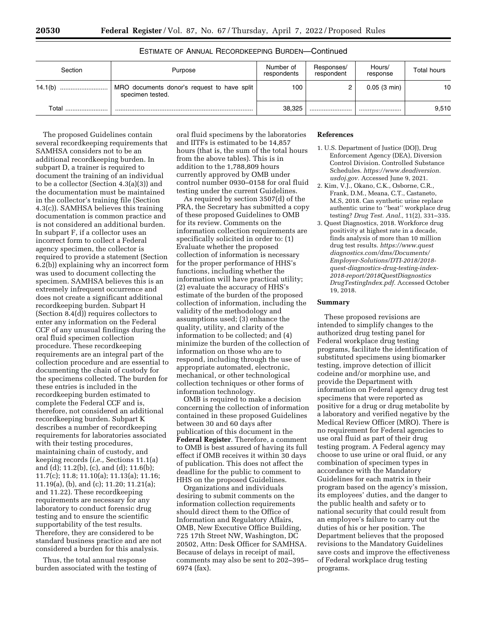| Section     | Purpose                                                         | Number of<br>respondents | Responses/<br>respondent | Hours/<br>response | Total hours |
|-------------|-----------------------------------------------------------------|--------------------------|--------------------------|--------------------|-------------|
| 14.1(b)<br> | MRO documents donor's request to have split<br>specimen tested. | 100                      | ▃                        | 0.05(3 min)        | 10          |
| Total       |                                                                 | 38.325                   |                          |                    | 9.510       |

ESTIMATE OF ANNUAL RECORDKEEPING BURDEN—Continued

The proposed Guidelines contain several recordkeeping requirements that SAMHSA considers not to be an additional recordkeeping burden. In subpart D, a trainer is required to document the training of an individual to be a collector (Section 4.3(a)(3)) and the documentation must be maintained in the collector's training file (Section 4.3(c)). SAMHSA believes this training documentation is common practice and is not considered an additional burden. In subpart F, if a collector uses an incorrect form to collect a Federal agency specimen, the collector is required to provide a statement (Section 6.2(b)) explaining why an incorrect form was used to document collecting the specimen. SAMHSA believes this is an extremely infrequent occurrence and does not create a significant additional recordkeeping burden. Subpart H (Section 8.4(d)) requires collectors to enter any information on the Federal CCF of any unusual findings during the oral fluid specimen collection procedure. These recordkeeping requirements are an integral part of the collection procedure and are essential to documenting the chain of custody for the specimens collected. The burden for these entries is included in the recordkeeping burden estimated to complete the Federal CCF and is, therefore, not considered an additional recordkeeping burden. Subpart K describes a number of recordkeeping requirements for laboratories associated with their testing procedures, maintaining chain of custody, and keeping records (*i.e.,* Sections 11.1(a) and (d); 11.2(b), (c), and (d); 11.6(b); 11.7(c); 11.8; 11.10(a); 11.13(a); 11.16; 11.19(a), (b), and (c); 11.20; 11.21(a); and 11.22). These recordkeeping requirements are necessary for any laboratory to conduct forensic drug testing and to ensure the scientific supportability of the test results. Therefore, they are considered to be standard business practice and are not considered a burden for this analysis.

Thus, the total annual response burden associated with the testing of

oral fluid specimens by the laboratories and IITFs is estimated to be 14,857 hours (that is, the sum of the total hours from the above tables). This is in addition to the 1,788,809 hours currently approved by OMB under control number 0930–0158 for oral fluid testing under the current Guidelines.

As required by section 3507(d) of the PRA, the Secretary has submitted a copy of these proposed Guidelines to OMB for its review. Comments on the information collection requirements are specifically solicited in order to: (1) Evaluate whether the proposed collection of information is necessary for the proper performance of HHS's functions, including whether the information will have practical utility; (2) evaluate the accuracy of HHS's estimate of the burden of the proposed collection of information, including the validity of the methodology and assumptions used; (3) enhance the quality, utility, and clarity of the information to be collected; and (4) minimize the burden of the collection of information on those who are to respond, including through the use of appropriate automated, electronic, mechanical, or other technological collection techniques or other forms of information technology.

OMB is required to make a decision concerning the collection of information contained in these proposed Guidelines between 30 and 60 days after publication of this document in the **Federal Register**. Therefore, a comment to OMB is best assured of having its full effect if OMB receives it within 30 days of publication. This does not affect the deadline for the public to comment to HHS on the proposed Guidelines.

Organizations and individuals desiring to submit comments on the information collection requirements should direct them to the Office of Information and Regulatory Affairs, OMB, New Executive Office Building, 725 17th Street NW, Washington, DC 20502, Attn: Desk Officer for SAMHSA. Because of delays in receipt of mail, comments may also be sent to 202–395– 6974 (fax).

## **References**

- 1. U.S. Department of Justice (DOJ), Drug Enforcement Agency (DEA), Diversion Control Division. Controlled Substance Schedules. *[https://www.deadiversion.](https://www.deadiversion.usdoj.gov) [usdoj.gov.](https://www.deadiversion.usdoj.gov)* Accessed June 9, 2021.
- 2. Kim, V.J., Okano, C.K., Osborne, C.R., Frank, D.M., Meana, C.T., Castaneto, M.S, 2018. Can synthetic urine replace authentic urine to ''beat'' workplace drug testing? *Drug Test. Anal.,* 11(2), 331–335.
- 3. Quest Diagnostics, 2018. Workforce drug positivity at highest rate in a decade, finds analysis of more than 10 million drug test results. *[https://www.quest](https://www.questdiagnostics.com/dms/Documents/Employer-Solutions/DTI-2018/2018-quest-diagnostics-drug-testing-index-2018-report/2018QuestDiagnosticsDrugTestingIndex.pdf) [diagnostics.com/dms/Documents/](https://www.questdiagnostics.com/dms/Documents/Employer-Solutions/DTI-2018/2018-quest-diagnostics-drug-testing-index-2018-report/2018QuestDiagnosticsDrugTestingIndex.pdf)  [Employer-Solutions/DTI-2018/2018](https://www.questdiagnostics.com/dms/Documents/Employer-Solutions/DTI-2018/2018-quest-diagnostics-drug-testing-index-2018-report/2018QuestDiagnosticsDrugTestingIndex.pdf)  [quest-diagnostics-drug-testing-index-](https://www.questdiagnostics.com/dms/Documents/Employer-Solutions/DTI-2018/2018-quest-diagnostics-drug-testing-index-2018-report/2018QuestDiagnosticsDrugTestingIndex.pdf)[2018-report/2018QuestDiagnostics](https://www.questdiagnostics.com/dms/Documents/Employer-Solutions/DTI-2018/2018-quest-diagnostics-drug-testing-index-2018-report/2018QuestDiagnosticsDrugTestingIndex.pdf) [DrugTestingIndex.pdf.](https://www.questdiagnostics.com/dms/Documents/Employer-Solutions/DTI-2018/2018-quest-diagnostics-drug-testing-index-2018-report/2018QuestDiagnosticsDrugTestingIndex.pdf)* Accessed October 19, 2018.

#### **Summary**

These proposed revisions are intended to simplify changes to the authorized drug testing panel for Federal workplace drug testing programs, facilitate the identification of substituted specimens using biomarker testing, improve detection of illicit codeine and/or morphine use, and provide the Department with information on Federal agency drug test specimens that were reported as positive for a drug or drug metabolite by a laboratory and verified negative by the Medical Review Officer (MRO). There is no requirement for Federal agencies to use oral fluid as part of their drug testing program. A Federal agency may choose to use urine or oral fluid, or any combination of specimen types in accordance with the Mandatory Guidelines for each matrix in their program based on the agency's mission, its employees' duties, and the danger to the public health and safety or to national security that could result from an employee's failure to carry out the duties of his or her position. The Department believes that the proposed revisions to the Mandatory Guidelines save costs and improve the effectiveness of Federal workplace drug testing programs.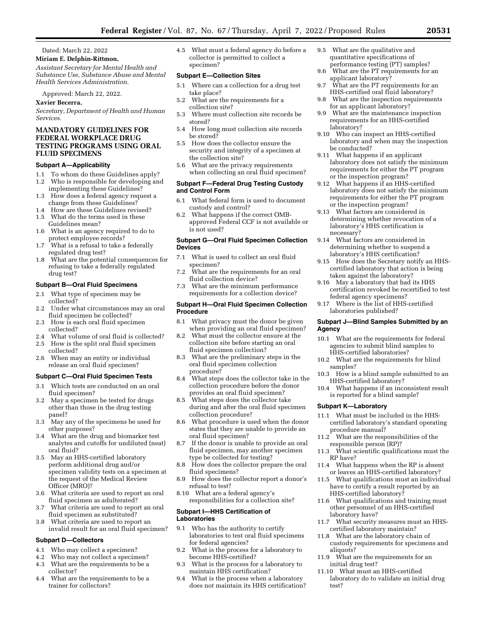Dated: March 22, 2022

**Miriam E. Delphin-Rittmon,** 

*Assistant Secretary for Mental Health and Substance Use, Substance Abuse and Mental Health Services Administration.* 

Approved: March 22, 2022.

#### **Xavier Becerra,**

*Secretary, Department of Health and Human Services.* 

## **MANDATORY GUIDELINES FOR FEDERAL WORKPLACE DRUG TESTING PROGRAMS USING ORAL FLUID SPECIMENS**

## **Subpart A—Applicability**

- 1.1 To whom do these Guidelines apply?
- 1.2 Who is responsible for developing and implementing these Guidelines?
- 1.3 How does a federal agency request a change from these Guidelines?
- 1.4 How are these Guidelines revised? 1.5 What do the terms used in these
- Guidelines mean?
- 1.6 What is an agency required to do to protect employee records?
- 1.7 What is a refusal to take a federally regulated drug test?
- 1.8 What are the potential consequences for refusing to take a federally regulated drug test?

#### **Subpart B—Oral Fluid Specimens**

- 2.1 What type of specimen may be collected?
- 2.2 Under what circumstances may an oral fluid specimen be collected?
- 2.3 How is each oral fluid specimen collected?
- 2.4 What volume of oral fluid is collected?
- 2.5 How is the split oral fluid specimen collected?
- 2.6 When may an entity or individual release an oral fluid specimen?

#### **Subpart C—Oral Fluid Specimen Tests**

- 3.1 Which tests are conducted on an oral fluid specimen?
- 3.2 May a specimen be tested for drugs other than those in the drug testing panel?
- 3.3 May any of the specimens be used for other purposes?
- 3.4 What are the drug and biomarker test analytes and cutoffs for undiluted (neat) oral fluid?
- 3.5 May an HHS-certified laboratory perform additional drug and/or specimen validity tests on a specimen at the request of the Medical Review Officer (MRO)?
- 3.6 What criteria are used to report an oral fluid specimen as adulterated?
- What criteria are used to report an oral fluid specimen as substituted?
- 3.8 What criteria are used to report an invalid result for an oral fluid specimen?

#### **Subpart D—Collectors**

- 4.1 Who may collect a specimen?
- 4.2 Who may not collect a specimen?
- 4.3 What are the requirements to be a collector?
- 4.4 What are the requirements to be a trainer for collectors?

4.5 What must a federal agency do before a collector is permitted to collect a specimen?

#### **Subpart E—Collection Sites**

- 5.1 Where can a collection for a drug test take place?
- 5.2 What are the requirements for a collection site?
- 5.3 Where must collection site records be stored?
- 5.4 How long must collection site records be stored?
- 5.5 How does the collector ensure the security and integrity of a specimen at the collection site?
- 5.6 What are the privacy requirements when collecting an oral fluid specimen?

### **Subpart F—Federal Drug Testing Custody and Control Form**

- 6.1 What federal form is used to document custody and control?
- 6.2 What happens if the correct OMBapproved Federal CCF is not available or is not used?

#### **Subpart G—Oral Fluid Specimen Collection Devices**

- 7.1 What is used to collect an oral fluid specimen?
- 7.2 What are the requirements for an oral fluid collection device?
- 7.3 What are the minimum performance requirements for a collection device?

#### **Subpart H—Oral Fluid Specimen Collection Procedure**

- 8.1 What privacy must the donor be given when providing an oral fluid specimen?
- 8.2 What must the collector ensure at the collection site before starting an oral fluid specimen collection?
- 8.3 What are the preliminary steps in the oral fluid specimen collection procedure?
- 8.4 What steps does the collector take in the collection procedure before the donor provides an oral fluid specimen?
- 8.5 What steps does the collector take during and after the oral fluid specimen collection procedure?
- 8.6 What procedure is used when the donor states that they are unable to provide an oral fluid specimen?
- 8.7 If the donor is unable to provide an oral fluid specimen, may another specimen type be collected for testing?
- 8.8 How does the collector prepare the oral fluid specimens?
- 8.9 How does the collector report a donor's refusal to test?
- 8.10 What are a federal agency's responsibilities for a collection site?

#### **Subpart I—HHS Certification of Laboratories**

- 9.1 Who has the authority to certify laboratories to test oral fluid specimens for federal agencies?
- 9.2 What is the process for a laboratory to become HHS-certified?
- 9.3 What is the process for a laboratory to maintain HHS certification?
- 9.4 What is the process when a laboratory does not maintain its HHS certification?
- 9.5 What are the qualitative and quantitative specifications of performance testing (PT) samples?
- 9.6 What are the PT requirements for an applicant laboratory?
- 9.7 What are the PT requirements for an HHS-certified oral fluid laboratory?
- 9.8 What are the inspection requirements for an applicant laboratory?
- 9.9 What are the maintenance inspection requirements for an HHS-certified laboratory?
- 9.10 Who can inspect an HHS-certified laboratory and when may the inspection be conducted?
- 9.11 What happens if an applicant laboratory does not satisfy the minimum requirements for either the PT program or the inspection program?
- 9.12 What happens if an HHS-certified laboratory does not satisfy the minimum requirements for either the PT program or the inspection program?
- 9.13 What factors are considered in determining whether revocation of a laboratory's HHS certification is necessary?
- 9.14 What factors are considered in determining whether to suspend a laboratory's HHS certification?
- 9.15 How does the Secretary notify an HHScertified laboratory that action is being taken against the laboratory?
- 9.16 May a laboratory that had its HHS certification revoked be recertified to test federal agency specimens?
- 9.17 Where is the list of HHS-certified laboratories published?

#### **Subpart J—Blind Samples Submitted by an Agency**

- 10.1 What are the requirements for federal agencies to submit blind samples to HHS-certified laboratories?
- 10.2 What are the requirements for blind samples?
- 10.3 How is a blind sample submitted to an HHS-certified laboratory?
- 10.4 What happens if an inconsistent result is reported for a blind sample?

#### **Subpart K—Laboratory**

- 11.1 What must be included in the HHScertified laboratory's standard operating procedure manual?
- 11.2 What are the responsibilities of the responsible person (RP)?
- 11.3 What scientific qualifications must the RP have?
- 11.4 What happens when the RP is absent or leaves an HHS-certified laboratory?
- 11.5 What qualifications must an individual have to certify a result reported by an HHS-certified laboratory?
- 11.6 What qualifications and training must other personnel of an HHS-certified laboratory have?
- 11.7 What security measures must an HHScertified laboratory maintain?
- 11.8 What are the laboratory chain of custody requirements for specimens and aliquots?
- 11.9 What are the requirements for an initial drug test?
- 11.10 What must an HHS-certified laboratory do to validate an initial drug test?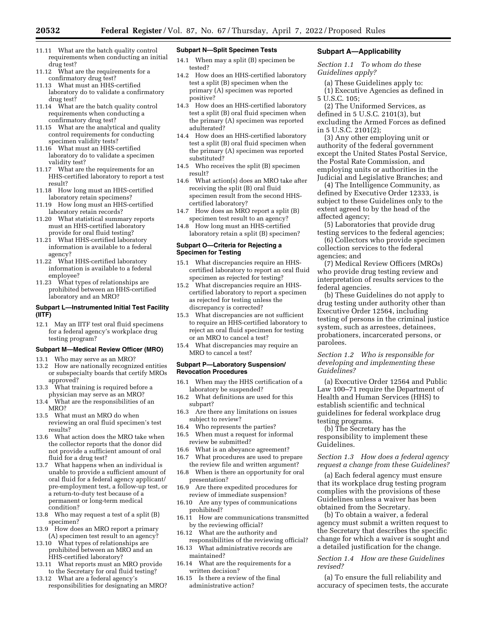- 11.11 What are the batch quality control requirements when conducting an initial drug test?
- 11.12 What are the requirements for a confirmatory drug test?
- 11.13 What must an HHS-certified laboratory do to validate a confirmatory drug test?
- 11.14 What are the batch quality control requirements when conducting a confirmatory drug test?
- 11.15 What are the analytical and quality control requirements for conducting specimen validity tests?
- 11.16 What must an HHS-certified laboratory do to validate a specimen validity test?
- 11.17 What are the requirements for an HHS-certified laboratory to report a test result?
- 11.18 How long must an HHS-certified laboratory retain specimens?
- 11.19 How long must an HHS-certified laboratory retain records?
- 11.20 What statistical summary reports must an HHS-certified laboratory provide for oral fluid testing?
- 11.21 What HHS-certified laboratory information is available to a federal agency?
- 11.22 What HHS-certified laboratory information is available to a federal employee?<br>11.23 What ty
- What types of relationships are prohibited between an HHS-certified laboratory and an MRO?

### **Subpart L—Instrumented Initial Test Facility (IITF)**

12.1 May an IITF test oral fluid specimens for a federal agency's workplace drug testing program?

#### **Subpart M—Medical Review Officer (MRO)**

- 13.1 Who may serve as an MRO?
- 13.2 How are nationally recognized entities or subspecialty boards that certify MROs approved?
- 13.3 What training is required before a physician may serve as an MRO?
- 13.4 What are the responsibilities of an MRO?
- 13.5 What must an MRO do when reviewing an oral fluid specimen's test results?
- 13.6 What action does the MRO take when the collector reports that the donor did not provide a sufficient amount of oral fluid for a drug test?<br>13.7 What happens when
- What happens when an individual is unable to provide a sufficient amount of oral fluid for a federal agency applicant/ pre-employment test, a follow-up test, or a return-to-duty test because of a permanent or long-term medical condition?
- 13.8 Who may request a test of a split (B) specimen?
- 13.9 How does an MRO report a primary (A) specimen test result to an agency?
- 13.10 What types of relationships are prohibited between an MRO and an HHS-certified laboratory?
- 13.11 What reports must an MRO provide to the Secretary for oral fluid testing?
- 13.12 What are a federal agency's responsibilities for designating an MRO?

## **Subpart N—Split Specimen Tests**

- 14.1 When may a split (B) specimen be tested?
- 14.2 How does an HHS-certified laboratory test a split (B) specimen when the primary (A) specimen was reported positive?
- 14.3 How does an HHS-certified laboratory test a split (B) oral fluid specimen when the primary (A) specimen was reported adulterated?
- 14.4 How does an HHS-certified laboratory test a split (B) oral fluid specimen when the primary (A) specimen was reported substituted?
- 14.5 Who receives the split (B) specimen result?
- 14.6 What action(s) does an MRO take after receiving the split (B) oral fluid specimen result from the second HHScertified laboratory?
- 14.7 How does an MRO report a split (B) specimen test result to an agency?
- 14.8 How long must an HHS-certified laboratory retain a split (B) specimen?

#### **Subpart O—Criteria for Rejecting a Specimen for Testing**

- 15.1 What discrepancies require an HHScertified laboratory to report an oral fluid specimen as rejected for testing?
- 15.2 What discrepancies require an HHScertified laboratory to report a specimen as rejected for testing unless the discrepancy is corrected?
- 15.3 What discrepancies are not sufficient to require an HHS-certified laboratory to reject an oral fluid specimen for testing or an MRO to cancel a test?
- 15.4 What discrepancies may require an MRO to cancel a test?

#### **Subpart P—Laboratory Suspension/ Revocation Procedures**

- 16.1 When may the HHS certification of a laboratory be suspended?
- 16.2 What definitions are used for this subpart?
- 16.3 Are there any limitations on issues subject to review?
- 16.4 Who represents the parties?
- 16.5 When must a request for informal review be submitted?
- 16.6 What is an abeyance agreement?
- 16.7 What procedures are used to prepare the review file and written argument?
- 16.8 When is there an opportunity for oral presentation?
- 16.9 Are there expedited procedures for review of immediate suspension?
- 16.10 Are any types of communications prohibited?
- 16.11 How are communications transmitted by the reviewing official?
- 16.12 What are the authority and responsibilities of the reviewing official?
- 16.13 What administrative records are maintained?
- 16.14 What are the requirements for a written decision?
- 16.15 Is there a review of the final administrative action?

#### **Subpart A—Applicability**

*Section 1.1 To whom do these Guidelines apply?* 

(a) These Guidelines apply to: (1) Executive Agencies as defined in 5 U.S.C. 105;

(2) The Uniformed Services, as defined in 5 U.S.C. 2101(3), but excluding the Armed Forces as defined in 5 U.S.C. 2101(2);

(3) Any other employing unit or authority of the federal government except the United States Postal Service, the Postal Rate Commission, and employing units or authorities in the Judicial and Legislative Branches; and

(4) The Intelligence Community, as defined by Executive Order 12333, is subject to these Guidelines only to the extent agreed to by the head of the affected agency;

(5) Laboratories that provide drug testing services to the federal agencies;

(6) Collectors who provide specimen collection services to the federal agencies; and

(7) Medical Review Officers (MROs) who provide drug testing review and interpretation of results services to the federal agencies.

(b) These Guidelines do not apply to drug testing under authority other than Executive Order 12564, including testing of persons in the criminal justice system, such as arrestees, detainees, probationers, incarcerated persons, or parolees.

## *Section 1.2 Who is responsible for developing and implementing these Guidelines?*

(a) Executive Order 12564 and Public Law 100–71 require the Department of Health and Human Services (HHS) to establish scientific and technical guidelines for federal workplace drug testing programs.

(b) The Secretary has the responsibility to implement these Guidelines.

## *Section 1.3 How does a federal agency request a change from these Guidelines?*

(a) Each federal agency must ensure that its workplace drug testing program complies with the provisions of these Guidelines unless a waiver has been obtained from the Secretary.

(b) To obtain a waiver, a federal agency must submit a written request to the Secretary that describes the specific change for which a waiver is sought and a detailed justification for the change.

## *Section 1.4 How are these Guidelines revised?*

(a) To ensure the full reliability and accuracy of specimen tests, the accurate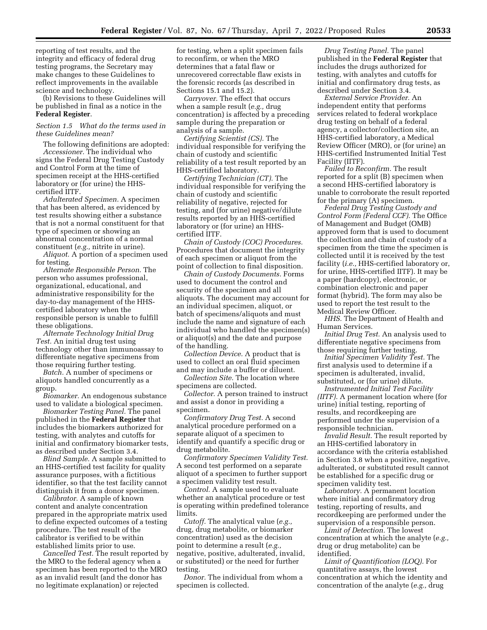reporting of test results, and the integrity and efficacy of federal drug testing programs, the Secretary may make changes to these Guidelines to reflect improvements in the available science and technology.

(b) Revisions to these Guidelines will be published in final as a notice in the **Federal Register**.

## *Section 1.5 What do the terms used in these Guidelines mean?*

The following definitions are adopted: *Accessioner.* The individual who signs the Federal Drug Testing Custody and Control Form at the time of specimen receipt at the HHS-certified laboratory or (for urine) the HHScertified IITF.

*Adulterated Specimen.* A specimen that has been altered, as evidenced by test results showing either a substance that is not a normal constituent for that type of specimen or showing an abnormal concentration of a normal constituent (*e.g.,* nitrite in urine).

*Aliquot.* A portion of a specimen used for testing.

*Alternate Responsible Person.* The person who assumes professional, organizational, educational, and administrative responsibility for the day-to-day management of the HHScertified laboratory when the responsible person is unable to fulfill these obligations.

*Alternate Technology Initial Drug Test.* An initial drug test using technology other than immunoassay to differentiate negative specimens from those requiring further testing.

*Batch.* A number of specimens or aliquots handled concurrently as a group.

*Biomarker.* An endogenous substance used to validate a biological specimen.

*Biomarker Testing Panel.* The panel published in the **Federal Register** that includes the biomarkers authorized for testing, with analytes and cutoffs for initial and confirmatory biomarker tests, as described under Section 3.4.

*Blind Sample.* A sample submitted to an HHS-certified test facility for quality assurance purposes, with a fictitious identifier, so that the test facility cannot distinguish it from a donor specimen.

*Calibrator.* A sample of known content and analyte concentration prepared in the appropriate matrix used to define expected outcomes of a testing procedure. The test result of the calibrator is verified to be within established limits prior to use.

*Cancelled Test.* The result reported by the MRO to the federal agency when a specimen has been reported to the MRO as an invalid result (and the donor has no legitimate explanation) or rejected

for testing, when a split specimen fails to reconfirm, or when the MRO determines that a fatal flaw or unrecovered correctable flaw exists in the forensic records (as described in Sections 15.1 and 15.2).

*Carryover.* The effect that occurs when a sample result (*e.g.,* drug concentration) is affected by a preceding sample during the preparation or analysis of a sample.

*Certifying Scientist (CS).* The individual responsible for verifying the chain of custody and scientific reliability of a test result reported by an HHS-certified laboratory.

*Certifying Technician (CT).* The individual responsible for verifying the chain of custody and scientific reliability of negative, rejected for testing, and (for urine) negative/dilute results reported by an HHS-certified laboratory or (for urine) an HHScertified IITF.

*Chain of Custody (COC) Procedures.*  Procedures that document the integrity of each specimen or aliquot from the point of collection to final disposition.

*Chain of Custody Documents.* Forms used to document the control and security of the specimen and all aliquots. The document may account for an individual specimen, aliquot, or batch of specimens/aliquots and must include the name and signature of each individual who handled the specimen(s) or aliquot(s) and the date and purpose of the handling.

*Collection Device.* A product that is used to collect an oral fluid specimen and may include a buffer or diluent.

*Collection Site.* The location where specimens are collected.

*Collector.* A person trained to instruct and assist a donor in providing a specimen.

*Confirmatory Drug Test.* A second analytical procedure performed on a separate aliquot of a specimen to identify and quantify a specific drug or drug metabolite.

*Confirmatory Specimen Validity Test.*  A second test performed on a separate aliquot of a specimen to further support a specimen validity test result.

*Control.* A sample used to evaluate whether an analytical procedure or test is operating within predefined tolerance limits.

*Cutoff.* The analytical value (*e.g.,*  drug, drug metabolite, or biomarker concentration) used as the decision point to determine a result (*e.g.,*  negative, positive, adulterated, invalid, or substituted) or the need for further testing.

*Donor.* The individual from whom a specimen is collected.

*Drug Testing Panel.* The panel published in the **Federal Register** that includes the drugs authorized for testing, with analytes and cutoffs for initial and confirmatory drug tests, as described under Section 3.4.

*External Service Provider.* An independent entity that performs services related to federal workplace drug testing on behalf of a federal agency, a collector/collection site, an HHS-certified laboratory, a Medical Review Officer (MRO), or (for urine) an HHS-certified Instrumented Initial Test Facility (IITF).

*Failed to Reconfirm.* The result reported for a split (B) specimen when a second HHS-certified laboratory is unable to corroborate the result reported for the primary (A) specimen.

*Federal Drug Testing Custody and Control Form (Federal CCF).* The Office of Management and Budget (OMB) approved form that is used to document the collection and chain of custody of a specimen from the time the specimen is collected until it is received by the test facility (*i.e.,* HHS-certified laboratory or, for urine, HHS-certified IITF). It may be a paper (hardcopy), electronic, or combination electronic and paper format (hybrid). The form may also be used to report the test result to the Medical Review Officer.

*HHS.* The Department of Health and Human Services.

*Initial Drug Test.* An analysis used to differentiate negative specimens from those requiring further testing.

*Initial Specimen Validity Test.* The first analysis used to determine if a specimen is adulterated, invalid, substituted, or (for urine) dilute.

*Instrumented Initial Test Facility (IITF).* A permanent location where (for urine) initial testing, reporting of results, and recordkeeping are performed under the supervision of a responsible technician.

*Invalid Result.* The result reported by an HHS-certified laboratory in accordance with the criteria established in Section 3.8 when a positive, negative, adulterated, or substituted result cannot be established for a specific drug or specimen validity test.

*Laboratory.* A permanent location where initial and confirmatory drug testing, reporting of results, and recordkeeping are performed under the supervision of a responsible person.

*Limit of Detection.* The lowest concentration at which the analyte (*e.g.,*  drug or drug metabolite) can be identified.

*Limit of Quantification (LOQ).* For quantitative assays, the lowest concentration at which the identity and concentration of the analyte (*e.g.,* drug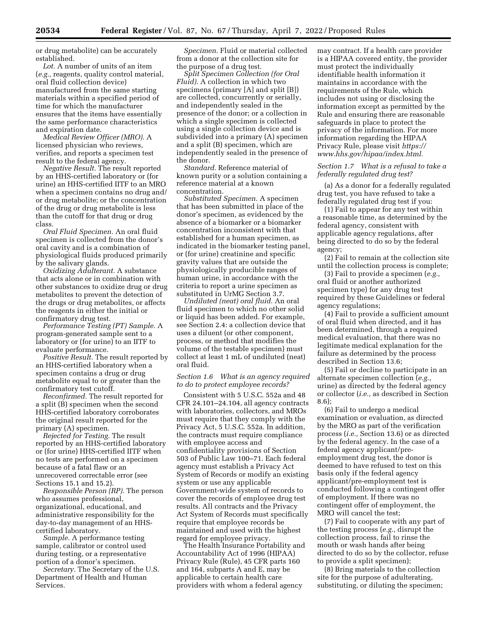or drug metabolite) can be accurately established.

*Lot.* A number of units of an item (*e.g.,* reagents, quality control material, oral fluid collection device) manufactured from the same starting materials within a specified period of time for which the manufacturer ensures that the items have essentially the same performance characteristics and expiration date.

*Medical Review Officer (MRO).* A licensed physician who reviews, verifies, and reports a specimen test result to the federal agency.

*Negative Result.* The result reported by an HHS-certified laboratory or (for urine) an HHS-certified IITF to an MRO when a specimen contains no drug and/ or drug metabolite; or the concentration of the drug or drug metabolite is less than the cutoff for that drug or drug class.

*Oral Fluid Specimen.* An oral fluid specimen is collected from the donor's oral cavity and is a combination of physiological fluids produced primarily by the salivary glands.

*Oxidizing Adulterant.* A substance that acts alone or in combination with other substances to oxidize drug or drug metabolites to prevent the detection of the drugs or drug metabolites, or affects the reagents in either the initial or confirmatory drug test.

*Performance Testing (PT) Sample.* A program-generated sample sent to a laboratory or (for urine) to an IITF to evaluate performance.

*Positive Result.* The result reported by an HHS-certified laboratory when a specimen contains a drug or drug metabolite equal to or greater than the confirmatory test cutoff.

*Reconfirmed.* The result reported for a split (B) specimen when the second HHS-certified laboratory corroborates the original result reported for the primary (A) specimen.

*Rejected for Testing.* The result reported by an HHS-certified laboratory or (for urine) HHS-certified IITF when no tests are performed on a specimen because of a fatal flaw or an unrecovered correctable error (see Sections 15.1 and 15.2).

*Responsible Person (RP).* The person who assumes professional, organizational, educational, and administrative responsibility for the day-to-day management of an HHScertified laboratory.

*Sample.* A performance testing sample, calibrator or control used during testing, or a representative portion of a donor's specimen.

*Secretary.* The Secretary of the U.S. Department of Health and Human Services.

*Specimen.* Fluid or material collected from a donor at the collection site for the purpose of a drug test.

*Split Specimen Collection (for Oral Fluid).* A collection in which two specimens (primary [A] and split [B]) are collected, concurrently or serially, and independently sealed in the presence of the donor; or a collection in which a single specimen is collected using a single collection device and is subdivided into a primary (A) specimen and a split (B) specimen, which are independently sealed in the presence of the donor.

*Standard.* Reference material of known purity or a solution containing a reference material at a known concentration.

*Substituted Specimen.* A specimen that has been submitted in place of the donor's specimen, as evidenced by the absence of a biomarker or a biomarker concentration inconsistent with that established for a human specimen, as indicated in the biomarker testing panel, or (for urine) creatinine and specific gravity values that are outside the physiologically producible ranges of human urine, in accordance with the criteria to report a urine specimen as substituted in UrMG Section 3.7.

*Undiluted (neat) oral fluid.* An oral fluid specimen to which no other solid or liquid has been added. For example, see Section 2.4: a collection device that uses a diluent (or other component, process, or method that modifies the volume of the testable specimen) must collect at least 1 mL of undiluted (neat) oral fluid.

*Section 1.6 What is an agency required to do to protect employee records?* 

Consistent with 5 U.S.C. 552a and 48 CFR 24.101–24.104, all agency contracts with laboratories, collectors, and MROs must require that they comply with the Privacy Act, 5 U.S.C. 552a. In addition, the contracts must require compliance with employee access and confidentiality provisions of Section 503 of Public Law 100–71. Each federal agency must establish a Privacy Act System of Records or modify an existing system or use any applicable Government-wide system of records to cover the records of employee drug test results. All contracts and the Privacy Act System of Records must specifically require that employee records be maintained and used with the highest regard for employee privacy.

The Health Insurance Portability and Accountability Act of 1996 (HIPAA) Privacy Rule (Rule), 45 CFR parts 160 and 164, subparts A and E, may be applicable to certain health care providers with whom a federal agency

may contract. If a health care provider is a HIPAA covered entity, the provider must protect the individually identifiable health information it maintains in accordance with the requirements of the Rule, which includes not using or disclosing the information except as permitted by the Rule and ensuring there are reasonable safeguards in place to protect the privacy of the information. For more information regarding the HIPAA Privacy Rule, please visit *[https://](https://www.hhs.gov/hipaa/index.html) [www.hhs.gov/hipaa/index.html.](https://www.hhs.gov/hipaa/index.html)* 

## *Section 1.7 What is a refusal to take a federally regulated drug test?*

(a) As a donor for a federally regulated drug test, you have refused to take a federally regulated drug test if you:

(1) Fail to appear for any test within a reasonable time, as determined by the federal agency, consistent with applicable agency regulations, after being directed to do so by the federal agency;

(2) Fail to remain at the collection site until the collection process is complete;

(3) Fail to provide a specimen (*e.g.,*  oral fluid or another authorized specimen type) for any drug test required by these Guidelines or federal agency regulations;

(4) Fail to provide a sufficient amount of oral fluid when directed, and it has been determined, through a required medical evaluation, that there was no legitimate medical explanation for the failure as determined by the process described in Section 13.6;

(5) Fail or decline to participate in an alternate specimen collection (*e.g.,*  urine) as directed by the federal agency or collector (*i.e.,* as described in Section 8.6);

(6) Fail to undergo a medical examination or evaluation, as directed by the MRO as part of the verification process (*i.e.,* Section 13.6) or as directed by the federal agency. In the case of a federal agency applicant/preemployment drug test, the donor is deemed to have refused to test on this basis only if the federal agency applicant/pre-employment test is conducted following a contingent offer of employment. If there was no contingent offer of employment, the MRO will cancel the test;

(7) Fail to cooperate with any part of the testing process (*e.g.,* disrupt the collection process, fail to rinse the mouth or wash hands after being directed to do so by the collector, refuse to provide a split specimen);

(8) Bring materials to the collection site for the purpose of adulterating, substituting, or diluting the specimen;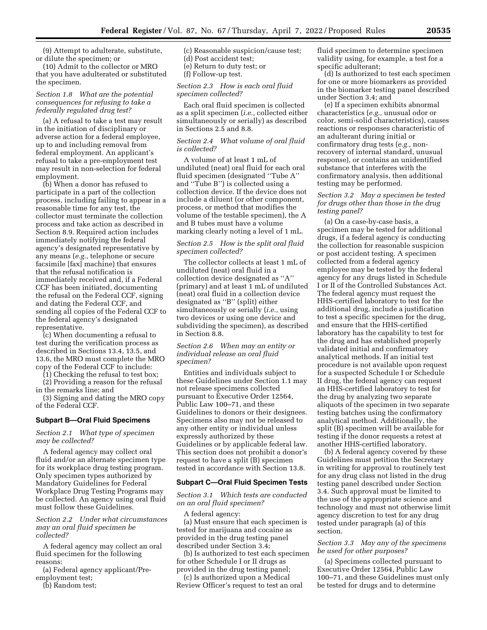(9) Attempt to adulterate, substitute, or dilute the specimen; or

(10) Admit to the collector or MRO that you have adulterated or substituted the specimen.

#### *Section 1.8 What are the potential consequences for refusing to take a federally regulated drug test?*

(a) A refusal to take a test may result in the initiation of disciplinary or adverse action for a federal employee, up to and including removal from federal employment. An applicant's refusal to take a pre-employment test may result in non-selection for federal employment.

(b) When a donor has refused to participate in a part of the collection process, including failing to appear in a reasonable time for any test, the collector must terminate the collection process and take action as described in Section 8.9. Required action includes immediately notifying the federal agency's designated representative by any means (*e.g.,* telephone or secure facsimile [fax] machine) that ensures that the refusal notification is immediately received and, if a Federal CCF has been initiated, documenting the refusal on the Federal CCF, signing and dating the Federal CCF, and sending all copies of the Federal CCF to the federal agency's designated representative.

(c) When documenting a refusal to test during the verification process as described in Sections 13.4, 13.5, and 13.6, the MRO must complete the MRO copy of the Federal CCF to include:

(1) Checking the refusal to test box; (2) Providing a reason for the refusal

in the remarks line; and (3) Signing and dating the MRO copy of the Federal CCF.

#### **Subpart B—Oral Fluid Specimens**

## *Section 2.1 What type of specimen may be collected?*

A federal agency may collect oral fluid and/or an alternate specimen type for its workplace drug testing program. Only specimen types authorized by Mandatory Guidelines for Federal Workplace Drug Testing Programs may be collected. An agency using oral fluid must follow these Guidelines.

*Section 2.2 Under what circumstances may an oral fluid specimen be collected?* 

A federal agency may collect an oral fluid specimen for the following reasons:

(a) Federal agency applicant/Preemployment test;

(b) Random test;

- (c) Reasonable suspicion/cause test; (d) Post accident test;
- (e) Return to duty test; or
- (f) Follow-up test.

## *Section 2.3 How is each oral fluid specimen collected?*

Each oral fluid specimen is collected as a split specimen (*i.e.,* collected either simultaneously or serially) as described in Sections 2.5 and 8.8.

## *Section 2.4 What volume of oral fluid is collected?*

A volume of at least 1 mL of undiluted (neat) oral fluid for each oral fluid specimen (designated ''Tube A'' and ''Tube B'') is collected using a collection device. If the device does not include a diluent (or other component, process, or method that modifies the volume of the testable specimen), the A and B tubes must have a volume marking clearly noting a level of 1 mL.

## *Section 2.5 How is the split oral fluid specimen collected?*

The collector collects at least 1 mL of undiluted (neat) oral fluid in a collection device designated as ''A'' (primary) and at least 1 mL of undiluted (neat) oral fluid in a collection device designated as ''B'' (split) either simultaneously or serially (*i.e.,* using two devices or using one device and subdividing the specimen), as described in Section 8.8.

#### *Section 2.6 When may an entity or individual release an oral fluid specimen?*

Entities and individuals subject to these Guidelines under Section 1.1 may not release specimens collected pursuant to Executive Order 12564, Public Law 100–71, and these Guidelines to donors or their designees. Specimens also may not be released to any other entity or individual unless expressly authorized by these Guidelines or by applicable federal law. This section does not prohibit a donor's request to have a split (B) specimen tested in accordance with Section 13.8.

#### **Subpart C—Oral Fluid Specimen Tests**

## *Section 3.1 Which tests are conducted on an oral fluid specimen?*

A federal agency: (a) Must ensure that each specimen is tested for marijuana and cocaine as provided in the drug testing panel

described under Section 3.4; (b) Is authorized to test each specimen for other Schedule I or II drugs as provided in the drug testing panel;

(c) Is authorized upon a Medical Review Officer's request to test an oral fluid specimen to determine specimen validity using, for example, a test for a specific adulterant;

(d) Is authorized to test each specimen for one or more biomarkers as provided in the biomarker testing panel described under Section 3.4; and

(e) If a specimen exhibits abnormal characteristics (*e.g.,* unusual odor or color, semi-solid characteristics), causes reactions or responses characteristic of an adulterant during initial or confirmatory drug tests (*e.g.,* nonrecovery of internal standard, unusual response), or contains an unidentified substance that interferes with the confirmatory analysis, then additional testing may be performed.

## *Section 3.2 May a specimen be tested for drugs other than those in the drug testing panel?*

(a) On a case-by-case basis, a specimen may be tested for additional drugs, if a federal agency is conducting the collection for reasonable suspicion or post accident testing. A specimen collected from a federal agency employee may be tested by the federal agency for any drugs listed in Schedule I or II of the Controlled Substances Act. The federal agency must request the HHS-certified laboratory to test for the additional drug, include a justification to test a specific specimen for the drug, and ensure that the HHS-certified laboratory has the capability to test for the drug and has established properly validated initial and confirmatory analytical methods. If an initial test procedure is not available upon request for a suspected Schedule I or Schedule II drug, the federal agency can request an HHS-certified laboratory to test for the drug by analyzing two separate aliquots of the specimen in two separate testing batches using the confirmatory analytical method. Additionally, the split (B) specimen will be available for testing if the donor requests a retest at another HHS-certified laboratory.

(b) A federal agency covered by these Guidelines must petition the Secretary in writing for approval to routinely test for any drug class not listed in the drug testing panel described under Section 3.4. Such approval must be limited to the use of the appropriate science and technology and must not otherwise limit agency discretion to test for any drug tested under paragraph (a) of this section.

### *Section 3.3 May any of the specimens be used for other purposes?*

(a) Specimens collected pursuant to Executive Order 12564, Public Law 100–71, and these Guidelines must only be tested for drugs and to determine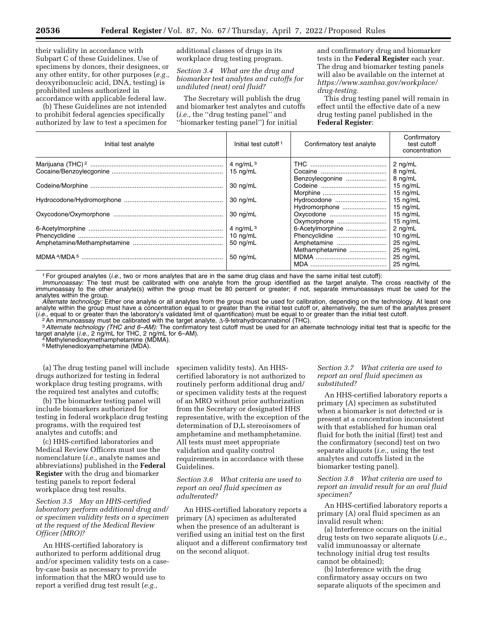their validity in accordance with Subpart C of these Guidelines. Use of specimens by donors, their designees, or any other entity, for other purposes (*e.g.,*  deoxyribonucleic acid, DNA, testing) is prohibited unless authorized in accordance with applicable federal law.

(b) These Guidelines are not intended to prohibit federal agencies specifically authorized by law to test a specimen for additional classes of drugs in its workplace drug testing program.

*Section 3.4 What are the drug and biomarker test analytes and cutoffs for undiluted (neat) oral fluid?* 

The Secretary will publish the drug and biomarker test analytes and cutoffs (*i.e.,* the ''drug testing panel'' and ''biomarker testing panel'') for initial

and confirmatory drug and biomarker tests in the **Federal Register** each year. The drug and biomarker testing panels will also be available on the internet at *[https://www.samhsa.gov/workplace/](https://www.samhsa.gov/workplace/drug-testing) [drug-testing.](https://www.samhsa.gov/workplace/drug-testing)* 

This drug testing panel will remain in effect until the effective date of a new drug testing panel published in the **Federal Register**:

| concentration                                 |
|-----------------------------------------------|
| 4 ng/mL $^3$<br>$2$ ng/mL                     |
| 8 ng/mL<br>15 $ng/mL$                         |
| 8 ng/mL<br>Benzoylecgonine                    |
| 15 $ng/mL$<br>30 ng/mL                        |
| 15 $ng/mL$                                    |
| 15 $ng/mL$<br>30 ng/mL<br>Hydrocodone         |
| 15 $ng/mL$<br>Hydromorphone                   |
| 30 ng/mL<br>$15 \text{ nq/mL}$                |
| Oxymorphone<br>15 $ng/mL$                     |
| 4 ng/mL $^3$<br>6-Acetylmorphine<br>$2$ ng/mL |
| 10 $ng/mL$<br>10 $ng/mL$<br>Phencyclidine     |
| 50 $ng/mL$<br>$25$ ng/mL<br>Amphetamine       |
| 25 ng/mL<br>Methamphetamine                   |
| 25 ng/mL<br>50 ng/mL                          |
| $25$ ng/mL                                    |

1For grouped analytes (*i.e.,* two or more analytes that are in the same drug class and have the same initial test cutoff):

*Immunoassay:* The test must be calibrated with one analyte from the group identified as the target analyte. The cross reactivity of the immunoassay to the other analyte(s) within the group must be 80 percent or greater; if not, separate immunoassays must be used for the analytes within the group.

*Alternate technology:* Either one analyte or all analytes from the group must be used for calibration, depending on the technology. At least one analyte within the group must have a concentration equal to or greater than the initial test cutoff or, alternatively, the sum of the analytes present (*i.e.*, equal to or greater than the laboratory's validated limit of quantification) must be equal to or greater than the initial test cutoff.<br><sup>2</sup> An immunoassay must be calibrated with the target analyte,  $\Delta$ -9-tetrahy

target analyte (*i.e.,* 2 ng/mL for THC, 2 ng/mL for 6–AM). 4 Methylenedioxymethamphetamine (MDMA).

5 Methylenedioxyamphetamine (MDA).

(a) The drug testing panel will include drugs authorized for testing in federal workplace drug testing programs, with the required test analytes and cutoffs;

(b) The biomarker testing panel will include biomarkers authorized for testing in federal workplace drug testing programs, with the required test analytes and cutoffs; and

(c) HHS-certified laboratories and Medical Review Officers must use the nomenclature (*i.e.,* analyte names and abbreviations) published in the **Federal Register** with the drug and biomarker testing panels to report federal workplace drug test results.

*Section 3.5 May an HHS-certified laboratory perform additional drug and/ or specimen validity tests on a specimen at the request of the Medical Review Officer (MRO)?* 

An HHS-certified laboratory is authorized to perform additional drug and/or specimen validity tests on a caseby-case basis as necessary to provide information that the MRO would use to report a verified drug test result (*e.g.,* 

specimen validity tests). An HHScertified laboratory is not authorized to routinely perform additional drug and/ or specimen validity tests at the request of an MRO without prior authorization from the Secretary or designated HHS representative, with the exception of the determination of D,L stereoisomers of amphetamine and methamphetamine. All tests must meet appropriate validation and quality control requirements in accordance with these Guidelines.

## *Section 3.6 What criteria are used to report an oral fluid specimen as adulterated?*

An HHS-certified laboratory reports a primary (A) specimen as adulterated when the presence of an adulterant is verified using an initial test on the first aliquot and a different confirmatory test on the second aliquot.

#### *Section 3.7 What criteria are used to report an oral fluid specimen as substituted?*

An HHS-certified laboratory reports a primary (A) specimen as substituted when a biomarker is not detected or is present at a concentration inconsistent with that established for human oral fluid for both the initial (first) test and the confirmatory (second) test on two separate aliquots (*i.e.,* using the test analytes and cutoffs listed in the biomarker testing panel).

*Section 3.8 What criteria are used to report an invalid result for an oral fluid specimen?* 

An HHS-certified laboratory reports a primary (A) oral fluid specimen as an invalid result when:

(a) Interference occurs on the initial drug tests on two separate aliquots (*i.e.,*  valid immunoassay or alternate technology initial drug test results cannot be obtained);

(b) Interference with the drug confirmatory assay occurs on two separate aliquots of the specimen and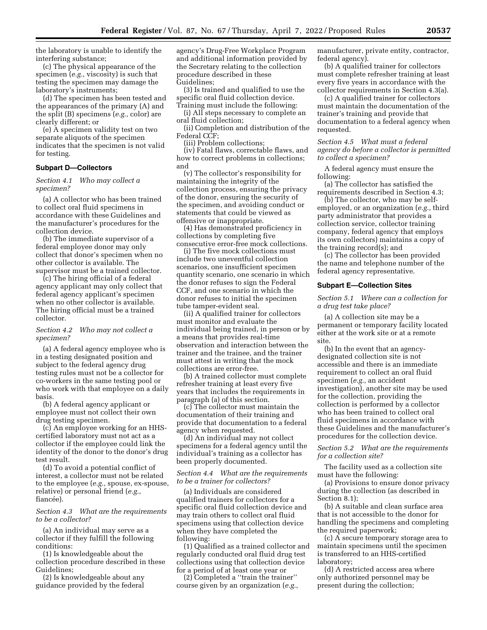the laboratory is unable to identify the interfering substance;

(c) The physical appearance of the specimen (*e.g.,* viscosity) is such that testing the specimen may damage the laboratory's instruments;

(d) The specimen has been tested and the appearances of the primary (A) and the split (B) specimens (*e.g.,* color) are clearly different; or

(e) A specimen validity test on two separate aliquots of the specimen indicates that the specimen is not valid for testing.

## **Subpart D—Collectors**

*Section 4.1 Who may collect a specimen?* 

(a) A collector who has been trained to collect oral fluid specimens in accordance with these Guidelines and the manufacturer's procedures for the collection device.

(b) The immediate supervisor of a federal employee donor may only collect that donor's specimen when no other collector is available. The supervisor must be a trained collector.

(c) The hiring official of a federal agency applicant may only collect that federal agency applicant's specimen when no other collector is available. The hiring official must be a trained collector.

#### *Section 4.2 Who may not collect a specimen?*

(a) A federal agency employee who is in a testing designated position and subject to the federal agency drug testing rules must not be a collector for co-workers in the same testing pool or who work with that employee on a daily basis.

(b) A federal agency applicant or employee must not collect their own drug testing specimen.

(c) An employee working for an HHScertified laboratory must not act as a collector if the employee could link the identity of the donor to the donor's drug test result.

(d) To avoid a potential conflict of interest, a collector must not be related to the employee (*e.g.,* spouse, ex-spouse, relative) or personal friend (*e.g.,*  fiancée).

#### *Section 4.3 What are the requirements to be a collector?*

(a) An individual may serve as a collector if they fulfill the following conditions:

(1) Is knowledgeable about the collection procedure described in these Guidelines;

(2) Is knowledgeable about any guidance provided by the federal agency's Drug-Free Workplace Program and additional information provided by the Secretary relating to the collection procedure described in these Guidelines;

(3) Is trained and qualified to use the specific oral fluid collection device. Training must include the following:

(i) All steps necessary to complete an

oral fluid collection; (ii) Completion and distribution of the

Federal CCF; (iii) Problem collections;

(iv) Fatal flaws, correctable flaws, and how to correct problems in collections; and

(v) The collector's responsibility for maintaining the integrity of the collection process, ensuring the privacy of the donor, ensuring the security of the specimen, and avoiding conduct or statements that could be viewed as offensive or inappropriate.

(4) Has demonstrated proficiency in collections by completing five consecutive error-free mock collections.

(i) The five mock collections must include two uneventful collection scenarios, one insufficient specimen quantity scenario, one scenario in which the donor refuses to sign the Federal CCF, and one scenario in which the donor refuses to initial the specimen tube tamper-evident seal.

(ii) A qualified trainer for collectors must monitor and evaluate the individual being trained, in person or by a means that provides real-time observation and interaction between the trainer and the trainee, and the trainer must attest in writing that the mock collections are error-free.

(b) A trained collector must complete refresher training at least every five years that includes the requirements in paragraph (a) of this section.

(c) The collector must maintain the documentation of their training and provide that documentation to a federal agency when requested.

(d) An individual may not collect specimens for a federal agency until the individual's training as a collector has been properly documented.

## *Section 4.4 What are the requirements to be a trainer for collectors?*

(a) Individuals are considered qualified trainers for collectors for a specific oral fluid collection device and may train others to collect oral fluid specimens using that collection device when they have completed the following:

(1) Qualified as a trained collector and regularly conducted oral fluid drug test collections using that collection device for a period of at least one year or

(2) Completed a ''train the trainer'' course given by an organization (*e.g.,*  manufacturer, private entity, contractor, federal agency).

(b) A qualified trainer for collectors must complete refresher training at least every five years in accordance with the collector requirements in Section 4.3(a).

(c) A qualified trainer for collectors must maintain the documentation of the trainer's training and provide that documentation to a federal agency when requested.

*Section 4.5 What must a federal agency do before a collector is permitted to collect a specimen?* 

A federal agency must ensure the following:

(a) The collector has satisfied the requirements described in Section 4.3;

(b) The collector, who may be selfemployed, or an organization (*e.g.,* third party administrator that provides a collection service, collector training company, federal agency that employs its own collectors) maintains a copy of the training record(s); and

(c) The collector has been provided the name and telephone number of the federal agency representative.

#### **Subpart E—Collection Sites**

#### *Section 5.1 Where can a collection for a drug test take place?*

(a) A collection site may be a permanent or temporary facility located either at the work site or at a remote site.

(b) In the event that an agencydesignated collection site is not accessible and there is an immediate requirement to collect an oral fluid specimen (*e.g.,* an accident investigation), another site may be used for the collection, providing the collection is performed by a collector who has been trained to collect oral fluid specimens in accordance with these Guidelines and the manufacturer's procedures for the collection device.

*Section 5.2 What are the requirements for a collection site?* 

The facility used as a collection site must have the following:

(a) Provisions to ensure donor privacy during the collection (as described in Section 8.1);

(b) A suitable and clean surface area that is not accessible to the donor for handling the specimens and completing the required paperwork;

(c) A secure temporary storage area to maintain specimens until the specimen is transferred to an HHS-certified laboratory;

(d) A restricted access area where only authorized personnel may be present during the collection;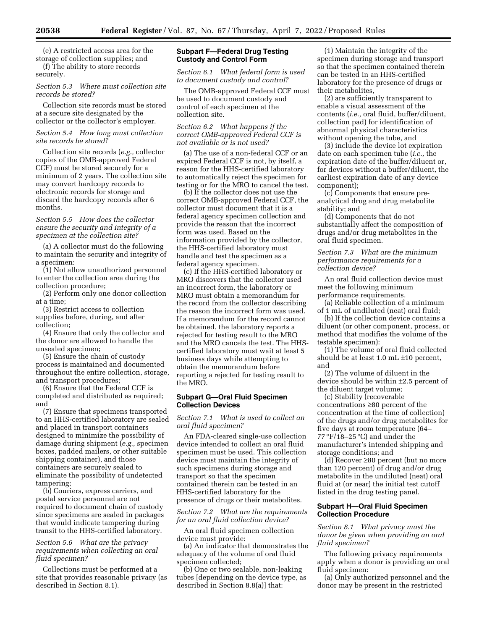(e) A restricted access area for the storage of collection supplies; and (f) The ability to store records

securely.

### *Section 5.3 Where must collection site records be stored?*

Collection site records must be stored at a secure site designated by the collector or the collector's employer.

## *Section 5.4 How long must collection site records be stored?*

Collection site records (*e.g.,* collector copies of the OMB-approved Federal CCF) must be stored securely for a minimum of 2 years. The collection site may convert hardcopy records to electronic records for storage and discard the hardcopy records after 6 months.

### *Section 5.5 How does the collector ensure the security and integrity of a specimen at the collection site?*

(a) A collector must do the following to maintain the security and integrity of a specimen:

(1) Not allow unauthorized personnel to enter the collection area during the collection procedure;

(2) Perform only one donor collection at a time;

(3) Restrict access to collection supplies before, during, and after collection;

(4) Ensure that only the collector and the donor are allowed to handle the unsealed specimen;

(5) Ensure the chain of custody process is maintained and documented throughout the entire collection, storage, and transport procedures;

(6) Ensure that the Federal CCF is completed and distributed as required; and

(7) Ensure that specimens transported to an HHS-certified laboratory are sealed and placed in transport containers designed to minimize the possibility of damage during shipment (*e.g.,* specimen boxes, padded mailers, or other suitable shipping container), and those containers are securely sealed to eliminate the possibility of undetected tampering;

(b) Couriers, express carriers, and postal service personnel are not required to document chain of custody since specimens are sealed in packages that would indicate tampering during transit to the HHS-certified laboratory.

## *Section 5.6 What are the privacy requirements when collecting an oral fluid specimen?*

Collections must be performed at a site that provides reasonable privacy (as described in Section 8.1).

## **Subpart F—Federal Drug Testing Custody and Control Form**

*Section 6.1 What federal form is used to document custody and control?* 

The OMB-approved Federal CCF must be used to document custody and control of each specimen at the collection site.

## *Section 6.2 What happens if the correct OMB-approved Federal CCF is not available or is not used?*

(a) The use of a non-federal CCF or an expired Federal CCF is not, by itself, a reason for the HHS-certified laboratory to automatically reject the specimen for testing or for the MRO to cancel the test.

(b) If the collector does not use the correct OMB-approved Federal CCF, the collector must document that it is a federal agency specimen collection and provide the reason that the incorrect form was used. Based on the information provided by the collector, the HHS-certified laboratory must handle and test the specimen as a federal agency specimen.

(c) If the HHS-certified laboratory or MRO discovers that the collector used an incorrect form, the laboratory or MRO must obtain a memorandum for the record from the collector describing the reason the incorrect form was used. If a memorandum for the record cannot be obtained, the laboratory reports a rejected for testing result to the MRO and the MRO cancels the test. The HHScertified laboratory must wait at least 5 business days while attempting to obtain the memorandum before reporting a rejected for testing result to the MRO.

### **Subpart G—Oral Fluid Specimen Collection Devices**

### *Section 7.1 What is used to collect an oral fluid specimen?*

An FDA-cleared single-use collection device intended to collect an oral fluid specimen must be used. This collection device must maintain the integrity of such specimens during storage and transport so that the specimen contained therein can be tested in an HHS-certified laboratory for the presence of drugs or their metabolites.

*Section 7.2 What are the requirements for an oral fluid collection device?* 

An oral fluid specimen collection device must provide:

(a) An indicator that demonstrates the adequacy of the volume of oral fluid specimen collected;

(b) One or two sealable, non-leaking tubes [depending on the device type, as described in Section 8.8(a)] that:

(1) Maintain the integrity of the specimen during storage and transport so that the specimen contained therein can be tested in an HHS-certified laboratory for the presence of drugs or their metabolites,

(2) are sufficiently transparent to enable a visual assessment of the contents (*i.e.,* oral fluid, buffer/diluent, collection pad) for identification of abnormal physical characteristics without opening the tube, and

(3) include the device lot expiration date on each specimen tube (*i.e.,* the expiration date of the buffer/diluent or, for devices without a buffer/diluent, the earliest expiration date of any device component);

(c) Components that ensure preanalytical drug and drug metabolite stability; and

(d) Components that do not substantially affect the composition of drugs and/or drug metabolites in the oral fluid specimen.

*Section 7.3 What are the minimum performance requirements for a collection device?* 

An oral fluid collection device must meet the following minimum performance requirements.

(a) Reliable collection of a minimum of 1 mL of undiluted (neat) oral fluid;

(b) If the collection device contains a diluent (or other component, process, or method that modifies the volume of the testable specimen):

(1) The volume of oral fluid collected should be at least 1.0 mL ±10 percent, and

(2) The volume of diluent in the device should be within ±2.5 percent of the diluent target volume;

(c) Stability (recoverable concentrations ≥80 percent of the concentration at the time of collection) of the drugs and/or drug metabolites for five days at room temperature (64– 77 °F/18–25 °C) and under the manufacturer's intended shipping and storage conditions; and

(d) Recover ≥80 percent (but no more than 120 percent) of drug and/or drug metabolite in the undiluted (neat) oral fluid at (or near) the initial test cutoff listed in the drug testing panel.

## **Subpart H—Oral Fluid Specimen Collection Procedure**

*Section 8.1 What privacy must the donor be given when providing an oral fluid specimen?* 

The following privacy requirements apply when a donor is providing an oral fluid specimen:

(a) Only authorized personnel and the donor may be present in the restricted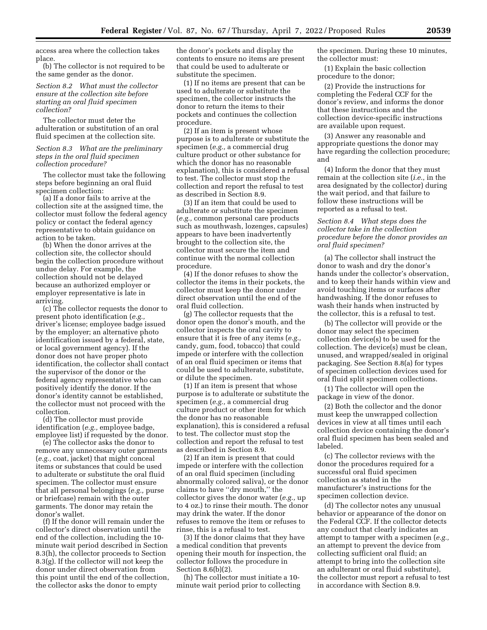access area where the collection takes place.

(b) The collector is not required to be the same gender as the donor.

## *Section 8.2 What must the collector ensure at the collection site before starting an oral fluid specimen collection?*

The collector must deter the adulteration or substitution of an oral fluid specimen at the collection site.

#### *Section 8.3 What are the preliminary steps in the oral fluid specimen collection procedure?*

The collector must take the following steps before beginning an oral fluid specimen collection:

(a) If a donor fails to arrive at the collection site at the assigned time, the collector must follow the federal agency policy or contact the federal agency representative to obtain guidance on action to be taken.

(b) When the donor arrives at the collection site, the collector should begin the collection procedure without undue delay. For example, the collection should not be delayed because an authorized employer or employer representative is late in arriving.

(c) The collector requests the donor to present photo identification (*e.g.,*  driver's license; employee badge issued by the employer; an alternative photo identification issued by a federal, state, or local government agency). If the donor does not have proper photo identification, the collector shall contact the supervisor of the donor or the federal agency representative who can positively identify the donor. If the donor's identity cannot be established, the collector must not proceed with the collection.

(d) The collector must provide identification (*e.g.,* employee badge, employee list) if requested by the donor.

(e) The collector asks the donor to remove any unnecessary outer garments (*e.g.,* coat, jacket) that might conceal items or substances that could be used to adulterate or substitute the oral fluid specimen. The collector must ensure that all personal belongings (*e.g.,* purse or briefcase) remain with the outer garments. The donor may retain the donor's wallet.

(f) If the donor will remain under the collector's direct observation until the end of the collection, including the 10 minute wait period described in Section 8.3(h), the collector proceeds to Section 8.3(g). If the collector will not keep the donor under direct observation from this point until the end of the collection, the collector asks the donor to empty

the donor's pockets and display the contents to ensure no items are present that could be used to adulterate or substitute the specimen.

(1) If no items are present that can be used to adulterate or substitute the specimen, the collector instructs the donor to return the items to their pockets and continues the collection procedure.

(2) If an item is present whose purpose is to adulterate or substitute the specimen (*e.g.,* a commercial drug culture product or other substance for which the donor has no reasonable explanation), this is considered a refusal to test. The collector must stop the collection and report the refusal to test as described in Section 8.9.

(3) If an item that could be used to adulterate or substitute the specimen (*e.g.,* common personal care products such as mouthwash, lozenges, capsules) appears to have been inadvertently brought to the collection site, the collector must secure the item and continue with the normal collection procedure.

(4) If the donor refuses to show the collector the items in their pockets, the collector must keep the donor under direct observation until the end of the oral fluid collection.

(g) The collector requests that the donor open the donor's mouth, and the collector inspects the oral cavity to ensure that it is free of any items (*e.g.,*  candy, gum, food, tobacco) that could impede or interfere with the collection of an oral fluid specimen or items that could be used to adulterate, substitute, or dilute the specimen.

(1) If an item is present that whose purpose is to adulterate or substitute the specimen (*e.g.,* a commercial drug culture product or other item for which the donor has no reasonable explanation), this is considered a refusal to test. The collector must stop the collection and report the refusal to test as described in Section 8.9.

(2) If an item is present that could impede or interfere with the collection of an oral fluid specimen (including abnormally colored saliva), or the donor claims to have ''dry mouth,'' the collector gives the donor water (*e.g.,* up to 4 oz.) to rinse their mouth. The donor may drink the water. If the donor refuses to remove the item or refuses to rinse, this is a refusal to test.

(3) If the donor claims that they have a medical condition that prevents opening their mouth for inspection, the collector follows the procedure in Section 8.6(b)(2).

(h) The collector must initiate a 10 minute wait period prior to collecting the specimen. During these 10 minutes, the collector must:

(1) Explain the basic collection procedure to the donor;

(2) Provide the instructions for completing the Federal CCF for the donor's review, and informs the donor that these instructions and the collection device-specific instructions are available upon request.

(3) Answer any reasonable and appropriate questions the donor may have regarding the collection procedure; and

(4) Inform the donor that they must remain at the collection site (*i.e.,* in the area designated by the collector) during the wait period, and that failure to follow these instructions will be reported as a refusal to test.

*Section 8.4 What steps does the collector take in the collection procedure before the donor provides an oral fluid specimen?* 

(a) The collector shall instruct the donor to wash and dry the donor's hands under the collector's observation, and to keep their hands within view and avoid touching items or surfaces after handwashing. If the donor refuses to wash their hands when instructed by the collector, this is a refusal to test.

(b) The collector will provide or the donor may select the specimen collection device(s) to be used for the collection. The device(s) must be clean, unused, and wrapped/sealed in original packaging. See Section 8.8(a) for types of specimen collection devices used for oral fluid split specimen collections.

(1) The collector will open the package in view of the donor.

(2) Both the collector and the donor must keep the unwrapped collection devices in view at all times until each collection device containing the donor's oral fluid specimen has been sealed and labeled.

(c) The collector reviews with the donor the procedures required for a successful oral fluid specimen collection as stated in the manufacturer's instructions for the specimen collection device.

(d) The collector notes any unusual behavior or appearance of the donor on the Federal CCF. If the collector detects any conduct that clearly indicates an attempt to tamper with a specimen (*e.g.,*  an attempt to prevent the device from collecting sufficient oral fluid; an attempt to bring into the collection site an adulterant or oral fluid substitute), the collector must report a refusal to test in accordance with Section 8.9.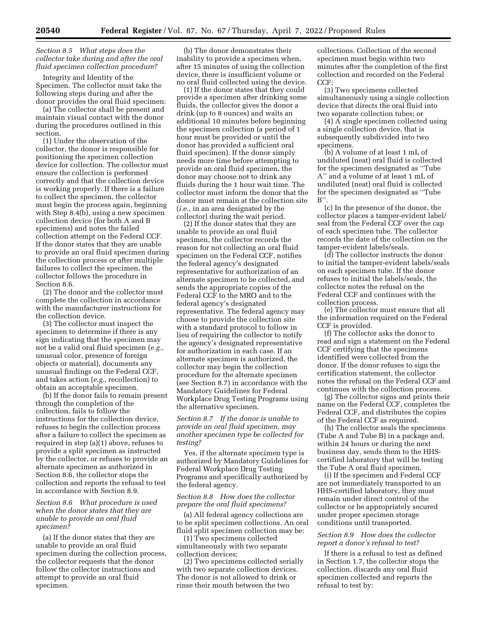## *Section 8.5 What steps does the collector take during and after the oral fluid specimen collection procedure?*

Integrity and Identity of the Specimen. The collector must take the following steps during and after the donor provides the oral fluid specimen:

(a) The collector shall be present and maintain visual contact with the donor during the procedures outlined in this section.

(1) Under the observation of the collector, the donor is responsible for positioning the specimen collection device for collection. The collector must ensure the collection is performed correctly and that the collection device is working properly. If there is a failure to collect the specimen, the collector must begin the process again, beginning with Step 8.4(b), using a new specimen collection device (for both A and B specimens) and notes the failed collection attempt on the Federal CCF. If the donor states that they are unable to provide an oral fluid specimen during the collection process or after multiple failures to collect the specimen, the collector follows the procedure in Section 8.6.

(2) The donor and the collector must complete the collection in accordance with the manufacturer instructions for the collection device.

(3) The collector must inspect the specimen to determine if there is any sign indicating that the specimen may not be a valid oral fluid specimen (*e.g.,*  unusual color, presence of foreign objects or material), documents any unusual findings on the Federal CCF, and takes action (*e.g.,* recollection) to obtain an acceptable specimen.

(b) If the donor fails to remain present through the completion of the collection, fails to follow the instructions for the collection device, refuses to begin the collection process after a failure to collect the specimen as required in step (a)(1) above, refuses to provide a split specimen as instructed by the collector, or refuses to provide an alternate specimen as authorized in Section 8.6, the collector stops the collection and reports the refusal to test in accordance with Section 8.9.

## *Section 8.6 What procedure is used when the donor states that they are unable to provide an oral fluid specimen?*

(a) If the donor states that they are unable to provide an oral fluid specimen during the collection process, the collector requests that the donor follow the collector instructions and attempt to provide an oral fluid specimen.

(b) The donor demonstrates their inability to provide a specimen when, after 15 minutes of using the collection device, there is insufficient volume or no oral fluid collected using the device.

(1) If the donor states that they could provide a specimen after drinking some fluids, the collector gives the donor a drink (up to 8 ounces) and waits an additional 10 minutes before beginning the specimen collection (a period of 1 hour must be provided or until the donor has provided a sufficient oral fluid specimen). If the donor simply needs more time before attempting to provide an oral fluid specimen, the donor may choose not to drink any fluids during the 1 hour wait time. The collector must inform the donor that the donor must remain at the collection site (*i.e.,* in an area designated by the collector) during the wait period.

(2) If the donor states that they are unable to provide an oral fluid specimen, the collector records the reason for not collecting an oral fluid specimen on the Federal CCF, notifies the federal agency's designated representative for authorization of an alternate specimen to be collected, and sends the appropriate copies of the Federal CCF to the MRO and to the federal agency's designated representative. The federal agency may choose to provide the collection site with a standard protocol to follow in lieu of requiring the collector to notify the agency's designated representative for authorization in each case. If an alternate specimen is authorized, the collector may begin the collection procedure for the alternate specimen (see Section 8.7) in accordance with the Mandatory Guidelines for Federal Workplace Drug Testing Programs using the alternative specimen.

*Section 8.7 If the donor is unable to provide an oral fluid specimen, may another specimen type be collected for testing?* 

Yes, if the alternate specimen type is authorized by Mandatory Guidelines for Federal Workplace Drug Testing Programs and specifically authorized by the federal agency.

## *Section 8.8 How does the collector prepare the oral fluid specimens?*

(a) All federal agency collections are to be split specimen collections. An oral fluid split specimen collection may be:

(1) Two specimens collected simultaneously with two separate collection devices;

(2) Two specimens collected serially with two separate collection devices. The donor is not allowed to drink or rinse their mouth between the two

collections. Collection of the second specimen must begin within two minutes after the completion of the first collection and recorded on the Federal CCF;

(3) Two specimens collected simultaneously using a single collection device that directs the oral fluid into two separate collection tubes; or

(4) A single specimen collected using a single collection device, that is subsequently subdivided into two specimens.

(b) A volume of at least 1 mL of undiluted (neat) oral fluid is collected for the specimen designated as ''Tube A'' and a volume of at least 1 mL of undiluted (neat) oral fluid is collected for the specimen designated as ''Tube  $B$ 

(c) In the presence of the donor, the collector places a tamper-evident label/ seal from the Federal CCF over the cap of each specimen tube. The collector records the date of the collection on the tamper-evident labels/seals.

(d) The collector instructs the donor to initial the tamper-evident labels/seals on each specimen tube. If the donor refuses to initial the labels/seals, the collector notes the refusal on the Federal CCF and continues with the collection process.

(e) The collector must ensure that all the information required on the Federal CCF is provided.

(f) The collector asks the donor to read and sign a statement on the Federal CCF certifying that the specimens identified were collected from the donor. If the donor refuses to sign the certification statement, the collector notes the refusal on the Federal CCF and continues with the collection process.

(g) The collector signs and prints their name on the Federal CCF, completes the Federal CCF, and distributes the copies of the Federal CCF as required.

(h) The collector seals the specimens (Tube A and Tube B) in a package and, within 24 hours or during the next business day, sends them to the HHScertified laboratory that will be testing the Tube A oral fluid specimen.

(i) If the specimen and Federal CCF are not immediately transported to an HHS-certified laboratory, they must remain under direct control of the collector or be appropriately secured under proper specimen storage conditions until transported.

#### *Section 8.9 How does the collector report a donor's refusal to test?*

If there is a refusal to test as defined in Section 1.7, the collector stops the collection, discards any oral fluid specimen collected and reports the refusal to test by: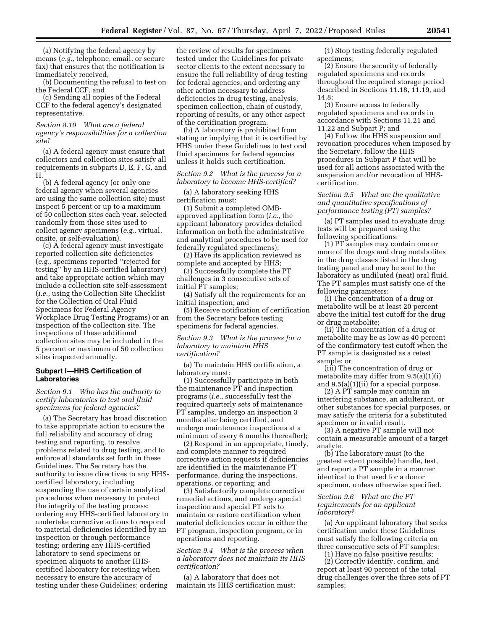(a) Notifying the federal agency by means (*e.g.,* telephone, email, or secure fax) that ensures that the notification is immediately received,

(b) Documenting the refusal to test on the Federal CCF, and

(c) Sending all copies of the Federal CCF to the federal agency's designated representative.

### *Section 8.10 What are a federal agency's responsibilities for a collection site?*

(a) A federal agency must ensure that collectors and collection sites satisfy all requirements in subparts D, E, F, G, and H.

(b) A federal agency (or only one federal agency when several agencies are using the same collection site) must inspect 5 percent or up to a maximum of 50 collection sites each year, selected randomly from those sites used to collect agency specimens (*e.g.,* virtual, onsite, or self-evaluation).

(c) A federal agency must investigate reported collection site deficiencies (*e.g.,* specimens reported ''rejected for testing'' by an HHS-certified laboratory) and take appropriate action which may include a collection site self-assessment (*i.e.,* using the Collection Site Checklist for the Collection of Oral Fluid Specimens for Federal Agency Workplace Drug Testing Programs) or an inspection of the collection site. The inspections of these additional collection sites may be included in the 5 percent or maximum of 50 collection sites inspected annually.

#### **Subpart I—HHS Certification of Laboratories**

## *Section 9.1 Who has the authority to certify laboratories to test oral fluid specimens for federal agencies?*

(a) The Secretary has broad discretion to take appropriate action to ensure the full reliability and accuracy of drug testing and reporting, to resolve problems related to drug testing, and to enforce all standards set forth in these Guidelines. The Secretary has the authority to issue directives to any HHScertified laboratory, including suspending the use of certain analytical procedures when necessary to protect the integrity of the testing process; ordering any HHS-certified laboratory to undertake corrective actions to respond to material deficiencies identified by an inspection or through performance testing; ordering any HHS-certified laboratory to send specimens or specimen aliquots to another HHScertified laboratory for retesting when necessary to ensure the accuracy of testing under these Guidelines; ordering

the review of results for specimens tested under the Guidelines for private sector clients to the extent necessary to ensure the full reliability of drug testing for federal agencies; and ordering any other action necessary to address deficiencies in drug testing, analysis, specimen collection, chain of custody, reporting of results, or any other aspect of the certification program.

(b) A laboratory is prohibited from stating or implying that it is certified by HHS under these Guidelines to test oral fluid specimens for federal agencies unless it holds such certification.

## *Section 9.2 What is the process for a laboratory to become HHS-certified?*

(a) A laboratory seeking HHS certification must:

(1) Submit a completed OMBapproved application form (*i.e.,* the applicant laboratory provides detailed information on both the administrative and analytical procedures to be used for federally regulated specimens);

(2) Have its application reviewed as complete and accepted by HHS;

(3) Successfully complete the PT challenges in 3 consecutive sets of initial PT samples;

(4) Satisfy all the requirements for an initial inspection; and

(5) Receive notification of certification from the Secretary before testing specimens for federal agencies.

### *Section 9.3 What is the process for a laboratory to maintain HHS certification?*

(a) To maintain HHS certification, a laboratory must:

(1) Successfully participate in both the maintenance PT and inspection programs (*i.e.,* successfully test the required quarterly sets of maintenance PT samples, undergo an inspection 3 months after being certified, and undergo maintenance inspections at a minimum of every 6 months thereafter);

(2) Respond in an appropriate, timely, and complete manner to required corrective action requests if deficiencies are identified in the maintenance PT performance, during the inspections, operations, or reporting; and

(3) Satisfactorily complete corrective remedial actions, and undergo special inspection and special PT sets to maintain or restore certification when material deficiencies occur in either the PT program, inspection program, or in operations and reporting.

## *Section 9.4 What is the process when a laboratory does not maintain its HHS certification?*

(a) A laboratory that does not maintain its HHS certification must:

(1) Stop testing federally regulated specimens;

(2) Ensure the security of federally regulated specimens and records throughout the required storage period described in Sections 11.18, 11.19, and 14.8;

(3) Ensure access to federally regulated specimens and records in accordance with Sections 11.21 and 11.22 and Subpart P; and

(4) Follow the HHS suspension and revocation procedures when imposed by the Secretary, follow the HHS procedures in Subpart P that will be used for all actions associated with the suspension and/or revocation of HHScertification.

### *Section 9.5 What are the qualitative and quantitative specifications of performance testing (PT) samples?*

(a) PT samples used to evaluate drug tests will be prepared using the following specifications:

(1) PT samples may contain one or more of the drugs and drug metabolites in the drug classes listed in the drug testing panel and may be sent to the laboratory as undiluted (neat) oral fluid. The PT samples must satisfy one of the following parameters:

(i) The concentration of a drug or metabolite will be at least 20 percent above the initial test cutoff for the drug or drug metabolite;

(ii) The concentration of a drug or metabolite may be as low as 40 percent of the confirmatory test cutoff when the PT sample is designated as a retest sample; or

(iii) The concentration of drug or metabolite may differ from 9.5(a)(1)(i) and 9.5(a)(1)(ii) for a special purpose.

(2) A PT sample may contain an interfering substance, an adulterant, or other substances for special purposes, or may satisfy the criteria for a substituted specimen or invalid result.

(3) A negative PT sample will not contain a measurable amount of a target analyte.

(b) The laboratory must (to the greatest extent possible) handle, test, and report a PT sample in a manner identical to that used for a donor specimen, unless otherwise specified.

#### *Section 9.6 What are the PT requirements for an applicant laboratory?*

(a) An applicant laboratory that seeks certification under these Guidelines must satisfy the following criteria on three consecutive sets of PT samples:

(1) Have no false positive results;

(2) Correctly identify, confirm, and report at least 90 percent of the total drug challenges over the three sets of PT samples;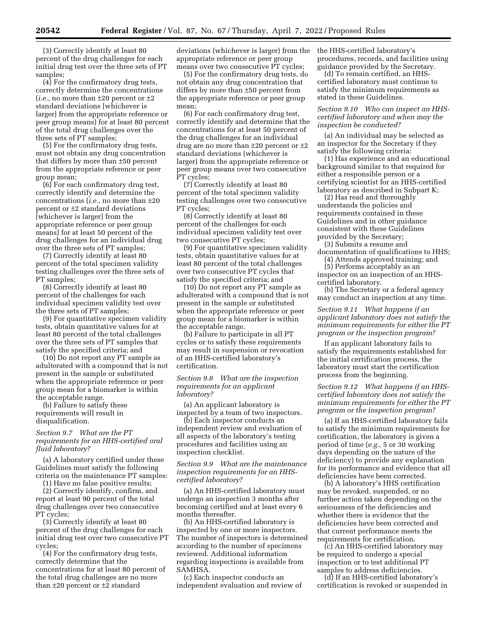(3) Correctly identify at least 80 percent of the drug challenges for each initial drug test over the three sets of PT samples;

(4) For the confirmatory drug tests, correctly determine the concentrations (*i.e.,* no more than ±20 percent or ±2 standard deviations [whichever is larger] from the appropriate reference or peer group means) for at least 80 percent of the total drug challenges over the three sets of PT samples;

(5) For the confirmatory drug tests, must not obtain any drug concentration that differs by more than ±50 percent from the appropriate reference or peer group mean;

(6) For each confirmatory drug test, correctly identify and determine the concentrations (*i.e.,* no more than ±20 percent or ±2 standard deviations [whichever is larger] from the appropriate reference or peer group means) for at least 50 percent of the drug challenges for an individual drug over the three sets of PT samples;

(7) Correctly identify at least 80 percent of the total specimen validity testing challenges over the three sets of PT samples;

(8) Correctly identify at least 80 percent of the challenges for each individual specimen validity test over the three sets of PT samples;

(9) For quantitative specimen validity tests, obtain quantitative values for at least 80 percent of the total challenges over the three sets of PT samples that satisfy the specified criteria; and

(10) Do not report any PT sample as adulterated with a compound that is not present in the sample or substituted when the appropriate reference or peer group mean for a biomarker is within the acceptable range.

(b) Failure to satisfy these requirements will result in disqualification.

## *Section 9.7 What are the PT requirements for an HHS-certified oral fluid laboratory?*

(a) A laboratory certified under these Guidelines must satisfy the following criteria on the maintenance PT samples:

(1) Have no false positive results;

(2) Correctly identify, confirm, and report at least 90 percent of the total drug challenges over two consecutive PT cycles;

(3) Correctly identify at least 80 percent of the drug challenges for each initial drug test over two consecutive PT cycles;

(4) For the confirmatory drug tests, correctly determine that the concentrations for at least 80 percent of the total drug challenges are no more than ±20 percent or ±2 standard

deviations (whichever is larger) from the appropriate reference or peer group means over two consecutive PT cycles;

(5) For the confirmatory drug tests, do not obtain any drug concentration that differs by more than ±50 percent from the appropriate reference or peer group mean;

(6) For each confirmatory drug test, correctly identify and determine that the concentrations for at least 50 percent of the drug challenges for an individual drug are no more than ±20 percent or ±2 standard deviations (whichever is larger) from the appropriate reference or peer group means over two consecutive PT cycles;

(7) Correctly identify at least 80 percent of the total specimen validity testing challenges over two consecutive PT cycles;

(8) Correctly identify at least 80 percent of the challenges for each individual specimen validity test over two consecutive PT cycles;

(9) For quantitative specimen validity tests, obtain quantitative values for at least 80 percent of the total challenges over two consecutive PT cycles that satisfy the specified criteria; and

(10) Do not report any PT sample as adulterated with a compound that is not present in the sample or substituted when the appropriate reference or peer group mean for a biomarker is within the acceptable range.

(b) Failure to participate in all PT cycles or to satisfy these requirements may result in suspension or revocation of an HHS-certified laboratory's certification.

*Section 9.8 What are the inspection requirements for an applicant laboratory?* 

(a) An applicant laboratory is inspected by a team of two inspectors.

(b) Each inspector conducts an independent review and evaluation of all aspects of the laboratory's testing procedures and facilities using an inspection checklist.

*Section 9.9 What are the maintenance inspection requirements for an HHScertified laboratory?* 

(a) An HHS-certified laboratory must undergo an inspection 3 months after becoming certified and at least every 6 months thereafter.

(b) An HHS-certified laboratory is inspected by one or more inspectors. The number of inspectors is determined according to the number of specimens reviewed. Additional information regarding inspections is available from SAMHSA.

(c) Each inspector conducts an independent evaluation and review of the HHS-certified laboratory's procedures, records, and facilities using guidance provided by the Secretary.

(d) To remain certified, an HHScertified laboratory must continue to satisfy the minimum requirements as stated in these Guidelines.

*Section 9.10 Who can inspect an HHScertified laboratory and when may the inspection be conducted?* 

(a) An individual may be selected as an inspector for the Secretary if they satisfy the following criteria:

(1) Has experience and an educational background similar to that required for either a responsible person or a certifying scientist for an HHS-certified laboratory as described in Subpart K;

(2) Has read and thoroughly understands the policies and requirements contained in these Guidelines and in other guidance consistent with these Guidelines provided by the Secretary;

(3) Submits a resume and documentation of qualifications to HHS;

(4) Attends approved training; and

(5) Performs acceptably as an inspector on an inspection of an HHScertified laboratory.

(b) The Secretary or a federal agency may conduct an inspection at any time.

*Section 9.11 What happens if an applicant laboratory does not satisfy the minimum requirements for either the PT program or the inspection program?* 

If an applicant laboratory fails to satisfy the requirements established for the initial certification process, the laboratory must start the certification process from the beginning.

*Section 9.12 What happens if an HHScertified laboratory does not satisfy the minimum requirements for either the PT program or the inspection program?* 

(a) If an HHS-certified laboratory fails to satisfy the minimum requirements for certification, the laboratory is given a period of time (*e.g.,* 5 or 30 working days depending on the nature of the deficiency) to provide any explanation for its performance and evidence that all deficiencies have been corrected.

(b) A laboratory's HHS certification may be revoked, suspended, or no further action taken depending on the seriousness of the deficiencies and whether there is evidence that the deficiencies have been corrected and that current performance meets the requirements for certification.

(c) An HHS-certified laboratory may be required to undergo a special inspection or to test additional PT samples to address deficiencies.

(d) If an HHS-certified laboratory's certification is revoked or suspended in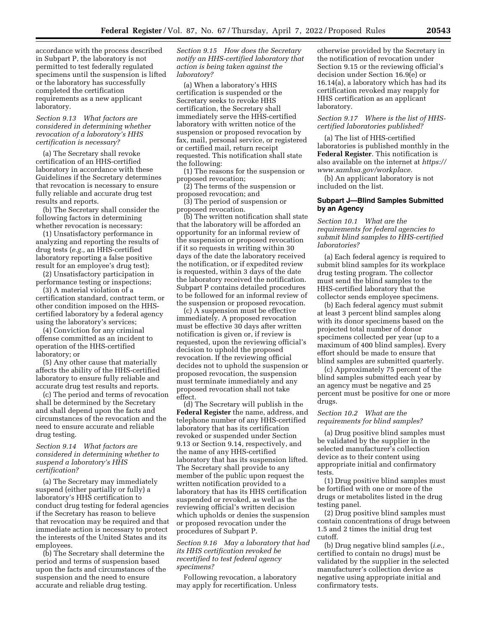accordance with the process described in Subpart P, the laboratory is not permitted to test federally regulated specimens until the suspension is lifted or the laboratory has successfully completed the certification requirements as a new applicant laboratory.

#### *Section 9.13 What factors are considered in determining whether revocation of a laboratory's HHS certification is necessary?*

(a) The Secretary shall revoke certification of an HHS-certified laboratory in accordance with these Guidelines if the Secretary determines that revocation is necessary to ensure fully reliable and accurate drug test results and reports.

(b) The Secretary shall consider the following factors in determining whether revocation is necessary:

(1) Unsatisfactory performance in analyzing and reporting the results of drug tests (*e.g.,* an HHS-certified laboratory reporting a false positive result for an employee's drug test);

(2) Unsatisfactory participation in performance testing or inspections;

(3) A material violation of a certification standard, contract term, or other condition imposed on the HHScertified laboratory by a federal agency using the laboratory's services;

(4) Conviction for any criminal offense committed as an incident to operation of the HHS-certified laboratory; or

(5) Any other cause that materially affects the ability of the HHS-certified laboratory to ensure fully reliable and accurate drug test results and reports.

(c) The period and terms of revocation shall be determined by the Secretary and shall depend upon the facts and circumstances of the revocation and the need to ensure accurate and reliable drug testing.

#### *Section 9.14 What factors are considered in determining whether to suspend a laboratory's HHS certification?*

(a) The Secretary may immediately suspend (either partially or fully) a laboratory's HHS certification to conduct drug testing for federal agencies if the Secretary has reason to believe that revocation may be required and that immediate action is necessary to protect the interests of the United States and its employees.

(b) The Secretary shall determine the period and terms of suspension based upon the facts and circumstances of the suspension and the need to ensure accurate and reliable drug testing.

*Section 9.15 How does the Secretary notify an HHS-certified laboratory that action is being taken against the laboratory?* 

(a) When a laboratory's HHS certification is suspended or the Secretary seeks to revoke HHS certification, the Secretary shall immediately serve the HHS-certified laboratory with written notice of the suspension or proposed revocation by fax, mail, personal service, or registered or certified mail, return receipt requested. This notification shall state the following:

(1) The reasons for the suspension or proposed revocation;

(2) The terms of the suspension or proposed revocation; and

(3) The period of suspension or proposed revocation.

(b) The written notification shall state that the laboratory will be afforded an opportunity for an informal review of the suspension or proposed revocation if it so requests in writing within 30 days of the date the laboratory received the notification, or if expedited review is requested, within 3 days of the date the laboratory received the notification. Subpart P contains detailed procedures to be followed for an informal review of the suspension or proposed revocation.

(c) A suspension must be effective immediately. A proposed revocation must be effective 30 days after written notification is given or, if review is requested, upon the reviewing official's decision to uphold the proposed revocation. If the reviewing official decides not to uphold the suspension or proposed revocation, the suspension must terminate immediately and any proposed revocation shall not take effect.

(d) The Secretary will publish in the **Federal Register** the name, address, and telephone number of any HHS-certified laboratory that has its certification revoked or suspended under Section 9.13 or Section 9.14, respectively, and the name of any HHS-certified laboratory that has its suspension lifted. The Secretary shall provide to any member of the public upon request the written notification provided to a laboratory that has its HHS certification suspended or revoked, as well as the reviewing official's written decision which upholds or denies the suspension or proposed revocation under the procedures of Subpart P.

*Section 9.16 May a laboratory that had its HHS certification revoked be recertified to test federal agency specimens?* 

Following revocation, a laboratory may apply for recertification. Unless

otherwise provided by the Secretary in the notification of revocation under Section 9.15 or the reviewing official's decision under Section 16.9(e) or 16.14(a), a laboratory which has had its certification revoked may reapply for HHS certification as an applicant laboratory.

#### *Section 9.17 Where is the list of HHScertified laboratories published?*

(a) The list of HHS-certified laboratories is published monthly in the **Federal Register**. This notification is also available on the internet at *[https://](https://www.samhsa.gov/workplace) [www.samhsa.gov/workplace.](https://www.samhsa.gov/workplace)* 

(b) An applicant laboratory is not included on the list.

## **Subpart J—Blind Samples Submitted by an Agency**

*Section 10.1 What are the requirements for federal agencies to submit blind samples to HHS-certified laboratories?* 

(a) Each federal agency is required to submit blind samples for its workplace drug testing program. The collector must send the blind samples to the HHS-certified laboratory that the collector sends employee specimens.

(b) Each federal agency must submit at least 3 percent blind samples along with its donor specimens based on the projected total number of donor specimens collected per year (up to a maximum of 400 blind samples). Every effort should be made to ensure that blind samples are submitted quarterly.

(c) Approximately 75 percent of the blind samples submitted each year by an agency must be negative and 25 percent must be positive for one or more drugs.

#### *Section 10.2 What are the requirements for blind samples?*

(a) Drug positive blind samples must be validated by the supplier in the selected manufacturer's collection device as to their content using appropriate initial and confirmatory tests.

(1) Drug positive blind samples must be fortified with one or more of the drugs or metabolites listed in the drug testing panel.

(2) Drug positive blind samples must contain concentrations of drugs between 1.5 and 2 times the initial drug test cutoff.

(b) Drug negative blind samples (*i.e.,*  certified to contain no drugs) must be validated by the supplier in the selected manufacturer's collection device as negative using appropriate initial and confirmatory tests.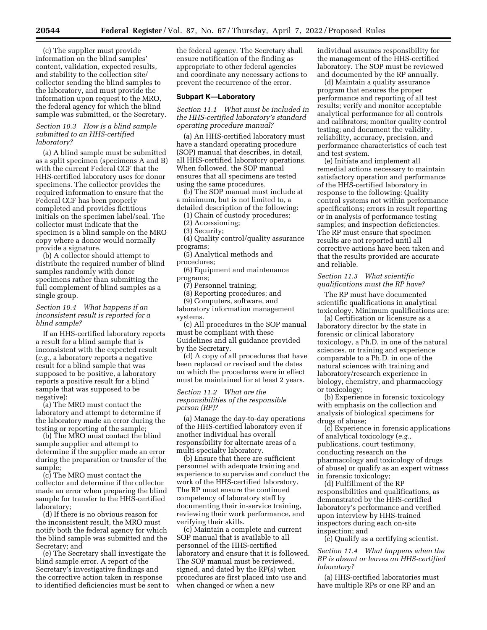(c) The supplier must provide information on the blind samples' content, validation, expected results, and stability to the collection site/ collector sending the blind samples to the laboratory, and must provide the information upon request to the MRO, the federal agency for which the blind sample was submitted, or the Secretary.

### *Section 10.3 How is a blind sample submitted to an HHS-certified laboratory?*

(a) A blind sample must be submitted as a split specimen (specimens A and B) with the current Federal CCF that the HHS-certified laboratory uses for donor specimens. The collector provides the required information to ensure that the Federal CCF has been properly completed and provides fictitious initials on the specimen label/seal. The collector must indicate that the specimen is a blind sample on the MRO copy where a donor would normally provide a signature.

(b) A collector should attempt to distribute the required number of blind samples randomly with donor specimens rather than submitting the full complement of blind samples as a single group.

## *Section 10.4 What happens if an inconsistent result is reported for a blind sample?*

If an HHS-certified laboratory reports a result for a blind sample that is inconsistent with the expected result (*e.g.,* a laboratory reports a negative result for a blind sample that was supposed to be positive, a laboratory reports a positive result for a blind sample that was supposed to be negative):

(a) The MRO must contact the laboratory and attempt to determine if the laboratory made an error during the testing or reporting of the sample;

(b) The MRO must contact the blind sample supplier and attempt to determine if the supplier made an error during the preparation or transfer of the sample;

(c) The MRO must contact the collector and determine if the collector made an error when preparing the blind sample for transfer to the HHS-certified laboratory;

(d) If there is no obvious reason for the inconsistent result, the MRO must notify both the federal agency for which the blind sample was submitted and the Secretary; and

(e) The Secretary shall investigate the blind sample error. A report of the Secretary's investigative findings and the corrective action taken in response to identified deficiencies must be sent to

the federal agency. The Secretary shall ensure notification of the finding as appropriate to other federal agencies and coordinate any necessary actions to prevent the recurrence of the error.

#### **Subpart K—Laboratory**

*Section 11.1 What must be included in the HHS-certified laboratory's standard operating procedure manual?* 

(a) An HHS-certified laboratory must have a standard operating procedure (SOP) manual that describes, in detail, all HHS-certified laboratory operations. When followed, the SOP manual ensures that all specimens are tested using the same procedures.

(b) The SOP manual must include at a minimum, but is not limited to, a detailed description of the following:

(1) Chain of custody procedures;

- (2) Accessioning;
- (3) Security;
- (4) Quality control/quality assurance programs;

(5) Analytical methods and

procedures; (6) Equipment and maintenance

programs;

(7) Personnel training; (8) Reporting procedures; and

(9) Computers, software, and

laboratory information management systems.

(c) All procedures in the SOP manual must be compliant with these Guidelines and all guidance provided by the Secretary.

(d) A copy of all procedures that have been replaced or revised and the dates on which the procedures were in effect must be maintained for at least 2 years.

## *Section 11.2 What are the responsibilities of the responsible person (RP)?*

(a) Manage the day-to-day operations of the HHS-certified laboratory even if another individual has overall responsibility for alternate areas of a multi-specialty laboratory.

(b) Ensure that there are sufficient personnel with adequate training and experience to supervise and conduct the work of the HHS-certified laboratory. The RP must ensure the continued competency of laboratory staff by documenting their in-service training, reviewing their work performance, and verifying their skills.

(c) Maintain a complete and current SOP manual that is available to all personnel of the HHS-certified laboratory and ensure that it is followed. The SOP manual must be reviewed, signed, and dated by the RP(s) when procedures are first placed into use and when changed or when a new

individual assumes responsibility for the management of the HHS-certified laboratory. The SOP must be reviewed and documented by the RP annually.

(d) Maintain a quality assurance program that ensures the proper performance and reporting of all test results; verify and monitor acceptable analytical performance for all controls and calibrators; monitor quality control testing; and document the validity, reliability, accuracy, precision, and performance characteristics of each test and test system.

(e) Initiate and implement all remedial actions necessary to maintain satisfactory operation and performance of the HHS-certified laboratory in response to the following: Quality control systems not within performance specifications; errors in result reporting or in analysis of performance testing samples; and inspection deficiencies. The RP must ensure that specimen results are not reported until all corrective actions have been taken and that the results provided are accurate and reliable.

## *Section 11.3 What scientific qualifications must the RP have?*

The RP must have documented scientific qualifications in analytical toxicology. Minimum qualifications are:

(a) Certification or licensure as a laboratory director by the state in forensic or clinical laboratory toxicology, a Ph.D. in one of the natural sciences, or training and experience comparable to a Ph.D. in one of the natural sciences with training and laboratory/research experience in biology, chemistry, and pharmacology or toxicology;

(b) Experience in forensic toxicology with emphasis on the collection and analysis of biological specimens for drugs of abuse;

(c) Experience in forensic applications of analytical toxicology (*e.g.,*  publications, court testimony, conducting research on the pharmacology and toxicology of drugs of abuse) or qualify as an expert witness in forensic toxicology;

(d) Fulfillment of the RP responsibilities and qualifications, as demonstrated by the HHS-certified laboratory's performance and verified upon interview by HHS-trained inspectors during each on-site inspection; and

(e) Qualify as a certifying scientist.

*Section 11.4 What happens when the RP is absent or leaves an HHS-certified laboratory?* 

(a) HHS-certified laboratories must have multiple RPs or one RP and an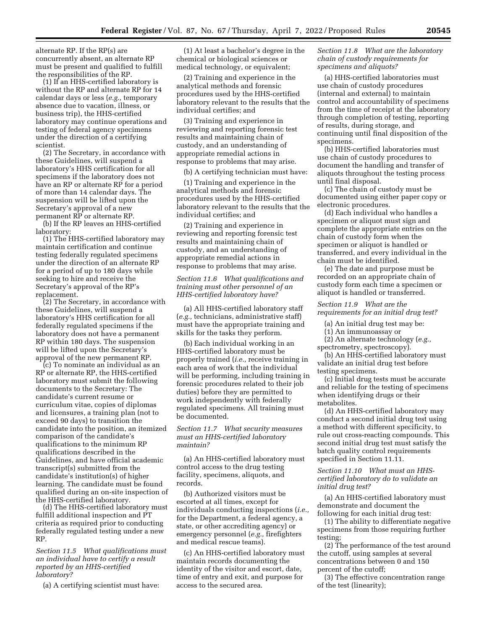alternate RP. If the RP(s) are concurrently absent, an alternate RP must be present and qualified to fulfill the responsibilities of the RP.

(1) If an HHS-certified laboratory is without the RP and alternate RP for 14 calendar days or less (*e.g.,* temporary absence due to vacation, illness, or business trip), the HHS-certified laboratory may continue operations and testing of federal agency specimens under the direction of a certifying scientist.

(2) The Secretary, in accordance with these Guidelines, will suspend a laboratory's HHS certification for all specimens if the laboratory does not have an RP or alternate RP for a period of more than 14 calendar days. The suspension will be lifted upon the Secretary's approval of a new permanent RP or alternate RP.

(b) If the RP leaves an HHS-certified laboratory:

(1) The HHS-certified laboratory may maintain certification and continue testing federally regulated specimens under the direction of an alternate RP for a period of up to 180 days while seeking to hire and receive the Secretary's approval of the RP's replacement.

(2) The Secretary, in accordance with these Guidelines, will suspend a laboratory's HHS certification for all federally regulated specimens if the laboratory does not have a permanent RP within 180 days. The suspension will be lifted upon the Secretary's approval of the new permanent RP.

(c) To nominate an individual as an RP or alternate RP, the HHS-certified laboratory must submit the following documents to the Secretary: The candidate's current resume or curriculum vitae, copies of diplomas and licensures, a training plan (not to exceed 90 days) to transition the candidate into the position, an itemized comparison of the candidate's qualifications to the minimum RP qualifications described in the Guidelines, and have official academic transcript(s) submitted from the candidate's institution(s) of higher learning. The candidate must be found qualified during an on-site inspection of the HHS-certified laboratory.

(d) The HHS-certified laboratory must fulfill additional inspection and PT criteria as required prior to conducting federally regulated testing under a new RP.

### *Section 11.5 What qualifications must an individual have to certify a result reported by an HHS-certified laboratory?*

(a) A certifying scientist must have:

(1) At least a bachelor's degree in the chemical or biological sciences or medical technology, or equivalent;

(2) Training and experience in the analytical methods and forensic procedures used by the HHS-certified laboratory relevant to the results that the individual certifies; and

(3) Training and experience in reviewing and reporting forensic test results and maintaining chain of custody, and an understanding of appropriate remedial actions in response to problems that may arise.

(b) A certifying technician must have:

(1) Training and experience in the analytical methods and forensic procedures used by the HHS-certified laboratory relevant to the results that the individual certifies; and

(2) Training and experience in reviewing and reporting forensic test results and maintaining chain of custody, and an understanding of appropriate remedial actions in response to problems that may arise.

## *Section 11.6 What qualifications and training must other personnel of an HHS-certified laboratory have?*

(a) All HHS-certified laboratory staff (*e.g.,* technicians, administrative staff) must have the appropriate training and skills for the tasks they perform.

(b) Each individual working in an HHS-certified laboratory must be properly trained (*i.e.,* receive training in each area of work that the individual will be performing, including training in forensic procedures related to their job duties) before they are permitted to work independently with federally regulated specimens. All training must be documented.

*Section 11.7 What security measures must an HHS-certified laboratory maintain?* 

(a) An HHS-certified laboratory must control access to the drug testing facility, specimens, aliquots, and records.

(b) Authorized visitors must be escorted at all times, except for individuals conducting inspections (*i.e.,*  for the Department, a federal agency, a state, or other accrediting agency) or emergency personnel (*e.g.,* firefighters and medical rescue teams).

(c) An HHS-certified laboratory must maintain records documenting the identity of the visitor and escort, date, time of entry and exit, and purpose for access to the secured area.

## *Section 11.8 What are the laboratory chain of custody requirements for specimens and aliquots?*

(a) HHS-certified laboratories must use chain of custody procedures (internal and external) to maintain control and accountability of specimens from the time of receipt at the laboratory through completion of testing, reporting of results, during storage, and continuing until final disposition of the specimens.

(b) HHS-certified laboratories must use chain of custody procedures to document the handling and transfer of aliquots throughout the testing process until final disposal.

(c) The chain of custody must be documented using either paper copy or electronic procedures.

(d) Each individual who handles a specimen or aliquot must sign and complete the appropriate entries on the chain of custody form when the specimen or aliquot is handled or transferred, and every individual in the chain must be identified.

(e) The date and purpose must be recorded on an appropriate chain of custody form each time a specimen or aliquot is handled or transferred.

#### *Section 11.9 What are the requirements for an initial drug test?*

(a) An initial drug test may be:

- (1) An immunoassay or
- (2) An alternate technology (*e.g.,*  spectrometry, spectroscopy).

(b) An HHS-certified laboratory must validate an initial drug test before testing specimens.

(c) Initial drug tests must be accurate and reliable for the testing of specimens when identifying drugs or their metabolites.

(d) An HHS-certified laboratory may conduct a second initial drug test using a method with different specificity, to rule out cross-reacting compounds. This second initial drug test must satisfy the batch quality control requirements specified in Section 11.11.

## *Section 11.10 What must an HHScertified laboratory do to validate an initial drug test?*

(a) An HHS-certified laboratory must demonstrate and document the following for each initial drug test:

(1) The ability to differentiate negative specimens from those requiring further testing;

(2) The performance of the test around the cutoff, using samples at several concentrations between 0 and 150 percent of the cutoff;

(3) The effective concentration range of the test (linearity);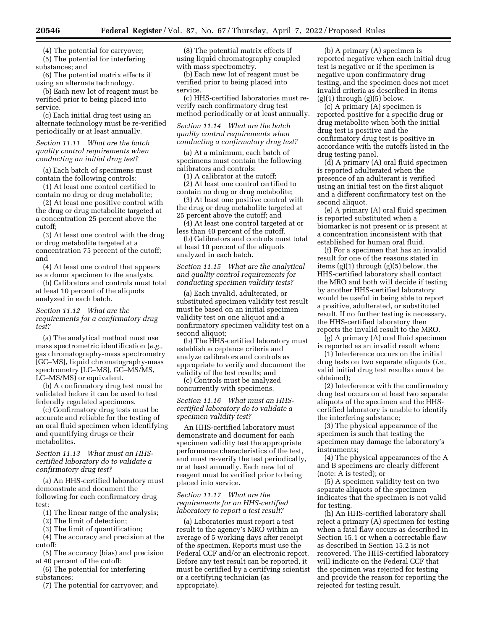(4) The potential for carryover;

(5) The potential for interfering substances; and

(6) The potential matrix effects if using an alternate technology.

(b) Each new lot of reagent must be verified prior to being placed into service.

(c) Each initial drug test using an alternate technology must be re-verified periodically or at least annually.

## *Section 11.11 What are the batch quality control requirements when conducting an initial drug test?*

(a) Each batch of specimens must contain the following controls:

(1) At least one control certified to contain no drug or drug metabolite;

(2) At least one positive control with the drug or drug metabolite targeted at a concentration 25 percent above the cutoff;

(3) At least one control with the drug or drug metabolite targeted at a concentration 75 percent of the cutoff; and

(4) At least one control that appears as a donor specimen to the analysts.

(b) Calibrators and controls must total at least 10 percent of the aliquots analyzed in each batch.

*Section 11.12 What are the requirements for a confirmatory drug test?* 

(a) The analytical method must use mass spectrometric identification (*e.g.,*  gas chromatography-mass spectrometry [GC–MS], liquid chromatography-mass spectrometry [LC–MS], GC–MS/MS, LC–MS/MS) or equivalent.

(b) A confirmatory drug test must be validated before it can be used to test federally regulated specimens.

(c) Confirmatory drug tests must be accurate and reliable for the testing of an oral fluid specimen when identifying and quantifying drugs or their metabolites.

## *Section 11.13 What must an HHScertified laboratory do to validate a confirmatory drug test?*

(a) An HHS-certified laboratory must demonstrate and document the following for each confirmatory drug test:

(1) The linear range of the analysis;

(2) The limit of detection;

(3) The limit of quantification;

(4) The accuracy and precision at the cutoff;

(5) The accuracy (bias) and precision at 40 percent of the cutoff;

(6) The potential for interfering substances;

(7) The potential for carryover; and

(8) The potential matrix effects if using liquid chromatography coupled with mass spectrometry.

(b) Each new lot of reagent must be verified prior to being placed into service.

(c) HHS-certified laboratories must reverify each confirmatory drug test method periodically or at least annually.

*Section 11.14 What are the batch quality control requirements when conducting a confirmatory drug test?* 

(a) At a minimum, each batch of specimens must contain the following calibrators and controls:

(1) A calibrator at the cutoff; (2) At least one control certified to contain no drug or drug metabolite;

(3) At least one positive control with the drug or drug metabolite targeted at 25 percent above the cutoff; and

(4) At least one control targeted at or less than 40 percent of the cutoff.

(b) Calibrators and controls must total at least 10 percent of the aliquots analyzed in each batch.

*Section 11.15 What are the analytical and quality control requirements for conducting specimen validity tests?* 

(a) Each invalid, adulterated, or substituted specimen validity test result must be based on an initial specimen validity test on one aliquot and a confirmatory specimen validity test on a second aliquot;

(b) The HHS-certified laboratory must establish acceptance criteria and analyze calibrators and controls as appropriate to verify and document the validity of the test results; and

(c) Controls must be analyzed concurrently with specimens.

*Section 11.16 What must an HHScertified laboratory do to validate a specimen validity test?* 

An HHS-certified laboratory must demonstrate and document for each specimen validity test the appropriate performance characteristics of the test, and must re-verify the test periodically, or at least annually. Each new lot of reagent must be verified prior to being placed into service.

#### *Section 11.17 What are the requirements for an HHS-certified laboratory to report a test result?*

(a) Laboratories must report a test result to the agency's MRO within an average of 5 working days after receipt of the specimen. Reports must use the Federal CCF and/or an electronic report. Before any test result can be reported, it must be certified by a certifying scientist or a certifying technician (as appropriate).

(b) A primary (A) specimen is reported negative when each initial drug test is negative or if the specimen is negative upon confirmatory drug testing, and the specimen does not meet invalid criteria as described in items  $(g)(1)$  through  $(g)(5)$  below.

(c) A primary (A) specimen is reported positive for a specific drug or drug metabolite when both the initial drug test is positive and the confirmatory drug test is positive in accordance with the cutoffs listed in the drug testing panel.

(d) A primary (A) oral fluid specimen is reported adulterated when the presence of an adulterant is verified using an initial test on the first aliquot and a different confirmatory test on the second aliquot.

(e) A primary (A) oral fluid specimen is reported substituted when a biomarker is not present or is present at a concentration inconsistent with that established for human oral fluid.

(f) For a specimen that has an invalid result for one of the reasons stated in items (g)(1) through (g)(5) below, the HHS-certified laboratory shall contact the MRO and both will decide if testing by another HHS-certified laboratory would be useful in being able to report a positive, adulterated, or substituted result. If no further testing is necessary, the HHS-certified laboratory then reports the invalid result to the MRO.

(g) A primary (A) oral fluid specimen is reported as an invalid result when:

(1) Interference occurs on the initial drug tests on two separate aliquots (*i.e.,*  valid initial drug test results cannot be obtained);

(2) Interference with the confirmatory drug test occurs on at least two separate aliquots of the specimen and the HHScertified laboratory is unable to identify the interfering substance;

(3) The physical appearance of the specimen is such that testing the specimen may damage the laboratory's instruments;

(4) The physical appearances of the A and B specimens are clearly different (note: A is tested); or

(5) A specimen validity test on two separate aliquots of the specimen indicates that the specimen is not valid for testing.

(h) An HHS-certified laboratory shall reject a primary (A) specimen for testing when a fatal flaw occurs as described in Section 15.1 or when a correctable flaw as described in Section 15.2 is not recovered. The HHS-certified laboratory will indicate on the Federal CCF that the specimen was rejected for testing and provide the reason for reporting the rejected for testing result.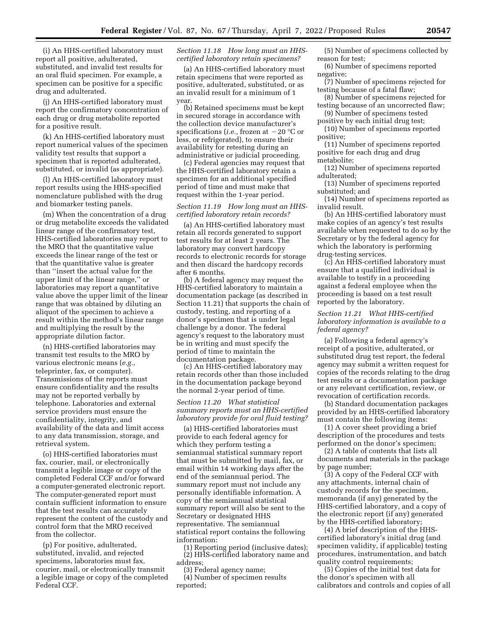(i) An HHS-certified laboratory must report all positive, adulterated, substituted, and invalid test results for an oral fluid specimen. For example, a specimen can be positive for a specific drug and adulterated.

(j) An HHS-certified laboratory must report the confirmatory concentration of each drug or drug metabolite reported for a positive result.

(k) An HHS-certified laboratory must report numerical values of the specimen validity test results that support a specimen that is reported adulterated, substituted, or invalid (as appropriate).

(l) An HHS-certified laboratory must report results using the HHS-specified nomenclature published with the drug and biomarker testing panels.

(m) When the concentration of a drug or drug metabolite exceeds the validated linear range of the confirmatory test, HHS-certified laboratories may report to the MRO that the quantitative value exceeds the linear range of the test or that the quantitative value is greater than ''insert the actual value for the upper limit of the linear range,'' or laboratories may report a quantitative value above the upper limit of the linear range that was obtained by diluting an aliquot of the specimen to achieve a result within the method's linear range and multiplying the result by the appropriate dilution factor.

(n) HHS-certified laboratories may transmit test results to the MRO by various electronic means (*e.g.,*  teleprinter, fax, or computer). Transmissions of the reports must ensure confidentiality and the results may not be reported verbally by telephone. Laboratories and external service providers must ensure the confidentiality, integrity, and availability of the data and limit access to any data transmission, storage, and retrieval system.

(o) HHS-certified laboratories must fax, courier, mail, or electronically transmit a legible image or copy of the completed Federal CCF and/or forward a computer-generated electronic report. The computer-generated report must contain sufficient information to ensure that the test results can accurately represent the content of the custody and control form that the MRO received from the collector.

(p) For positive, adulterated, substituted, invalid, and rejected specimens, laboratories must fax, courier, mail, or electronically transmit a legible image or copy of the completed Federal CCF.

#### *Section 11.18 How long must an HHScertified laboratory retain specimens?*

(a) An HHS-certified laboratory must retain specimens that were reported as positive, adulterated, substituted, or as an invalid result for a minimum of 1 year.

(b) Retained specimens must be kept in secured storage in accordance with the collection device manufacturer's specifications (*i.e.*, frozen at  $-20$  °C or less, or refrigerated), to ensure their availability for retesting during an administrative or judicial proceeding.

(c) Federal agencies may request that the HHS-certified laboratory retain a specimen for an additional specified period of time and must make that request within the 1-year period.

## *Section 11.19 How long must an HHScertified laboratory retain records?*

(a) An HHS-certified laboratory must retain all records generated to support test results for at least 2 years. The laboratory may convert hardcopy records to electronic records for storage and then discard the hardcopy records after 6 months.

(b) A federal agency may request the HHS-certified laboratory to maintain a documentation package (as described in Section 11.21) that supports the chain of custody, testing, and reporting of a donor's specimen that is under legal challenge by a donor. The federal agency's request to the laboratory must be in writing and must specify the period of time to maintain the documentation package.

(c) An HHS-certified laboratory may retain records other than those included in the documentation package beyond the normal 2-year period of time.

*Section 11.20 What statistical summary reports must an HHS-certified laboratory provide for oral fluid testing?* 

(a) HHS-certified laboratories must provide to each federal agency for which they perform testing a semiannual statistical summary report that must be submitted by mail, fax, or email within 14 working days after the end of the semiannual period. The summary report must not include any personally identifiable information. A copy of the semiannual statistical summary report will also be sent to the Secretary or designated HHS representative. The semiannual statistical report contains the following information:

(1) Reporting period (inclusive dates); (2) HHS-certified laboratory name and address;

(3) Federal agency name;

(4) Number of specimen results reported;

- (5) Number of specimens collected by reason for test;
- (6) Number of specimens reported negative;
- (7) Number of specimens rejected for testing because of a fatal flaw;
- (8) Number of specimens rejected for testing because of an uncorrected flaw;
- (9) Number of specimens tested positive by each initial drug test;

(10) Number of specimens reported positive;

(11) Number of specimens reported positive for each drug and drug metabolite;

(12) Number of specimens reported adulterated;

(13) Number of specimens reported substituted; and

(14) Number of specimens reported as invalid result.

(b) An HHS-certified laboratory must make copies of an agency's test results available when requested to do so by the Secretary or by the federal agency for which the laboratory is performing drug-testing services.

(c) An HHS-certified laboratory must ensure that a qualified individual is available to testify in a proceeding against a federal employee when the proceeding is based on a test result reported by the laboratory.

*Section 11.21 What HHS-certified laboratory information is available to a federal agency?* 

(a) Following a federal agency's receipt of a positive, adulterated, or substituted drug test report, the federal agency may submit a written request for copies of the records relating to the drug test results or a documentation package or any relevant certification, review, or revocation of certification records.

(b) Standard documentation packages provided by an HHS-certified laboratory must contain the following items:

(1) A cover sheet providing a brief description of the procedures and tests performed on the donor's specimen;

(2) A table of contents that lists all documents and materials in the package by page number;

(3) A copy of the Federal CCF with any attachments, internal chain of custody records for the specimen, memoranda (if any) generated by the HHS-certified laboratory, and a copy of the electronic report (if any) generated by the HHS-certified laboratory;

(4) A brief description of the HHScertified laboratory's initial drug (and specimen validity, if applicable) testing procedures, instrumentation, and batch quality control requirements;

(5) Copies of the initial test data for the donor's specimen with all calibrators and controls and copies of all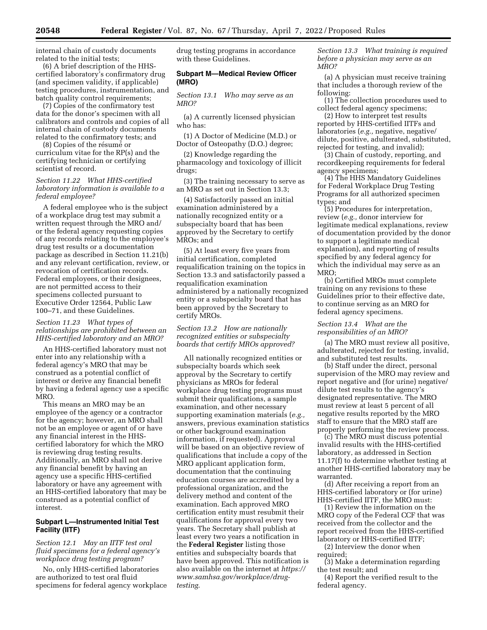internal chain of custody documents related to the initial tests;

(6) A brief description of the HHScertified laboratory's confirmatory drug (and specimen validity, if applicable) testing procedures, instrumentation, and batch quality control requirements;

(7) Copies of the confirmatory test data for the donor's specimen with all calibrators and controls and copies of all internal chain of custody documents related to the confirmatory tests; and

(8) Copies of the résumé or curriculum vitae for the RP(s) and the certifying technician or certifying scientist of record.

## *Section 11.22 What HHS-certified laboratory information is available to a federal employee?*

A federal employee who is the subject of a workplace drug test may submit a written request through the MRO and/ or the federal agency requesting copies of any records relating to the employee's drug test results or a documentation package as described in Section 11.21(b) and any relevant certification, review, or revocation of certification records. Federal employees, or their designees, are not permitted access to their specimens collected pursuant to Executive Order 12564, Public Law 100–71, and these Guidelines.

## *Section 11.23 What types of relationships are prohibited between an HHS-certified laboratory and an MRO?*

An HHS-certified laboratory must not enter into any relationship with a federal agency's MRO that may be construed as a potential conflict of interest or derive any financial benefit by having a federal agency use a specific MRO.

This means an MRO may be an employee of the agency or a contractor for the agency; however, an MRO shall not be an employee or agent of or have any financial interest in the HHScertified laboratory for which the MRO is reviewing drug testing results. Additionally, an MRO shall not derive any financial benefit by having an agency use a specific HHS-certified laboratory or have any agreement with an HHS-certified laboratory that may be construed as a potential conflict of interest.

## **Subpart L—Instrumented Initial Test Facility (IITF)**

*Section 12.1 May an IITF test oral fluid specimens for a federal agency's workplace drug testing program?* 

No, only HHS-certified laboratories are authorized to test oral fluid specimens for federal agency workplace drug testing programs in accordance with these Guidelines.

## **Subpart M—Medical Review Officer (MRO)**

*Section 13.1 Who may serve as an MRO?* 

(a) A currently licensed physician who has:

(1) A Doctor of Medicine (M.D.) or Doctor of Osteopathy (D.O.) degree;

(2) Knowledge regarding the pharmacology and toxicology of illicit drugs;

(3) The training necessary to serve as an MRO as set out in Section 13.3;

(4) Satisfactorily passed an initial examination administered by a nationally recognized entity or a subspecialty board that has been approved by the Secretary to certify MROs; and

(5) At least every five years from initial certification, completed requalification training on the topics in Section 13.3 and satisfactorily passed a requalification examination administered by a nationally recognized entity or a subspecialty board that has been approved by the Secretary to certify MROs.

## *Section 13.2 How are nationally recognized entities or subspecialty boards that certify MROs approved?*

All nationally recognized entities or subspecialty boards which seek approval by the Secretary to certify physicians as MROs for federal workplace drug testing programs must submit their qualifications, a sample examination, and other necessary supporting examination materials (*e.g.,*  answers, previous examination statistics or other background examination information, if requested). Approval will be based on an objective review of qualifications that include a copy of the MRO applicant application form, documentation that the continuing education courses are accredited by a professional organization, and the delivery method and content of the examination. Each approved MRO certification entity must resubmit their qualifications for approval every two years. The Secretary shall publish at least every two years a notification in the **Federal Register** listing those entities and subspecialty boards that have been approved. This notification is also available on the internet at *[https://](https://www.samhsa.gov/workplace/drug-testing)  [www.samhsa.gov/workplace/drug](https://www.samhsa.gov/workplace/drug-testing)[testing](https://www.samhsa.gov/workplace/drug-testing)*.

*Section 13.3 What training is required before a physician may serve as an MRO?* 

(a) A physician must receive training that includes a thorough review of the following:

(1) The collection procedures used to collect federal agency specimens;

(2) How to interpret test results reported by HHS-certified IITFs and laboratories (*e.g.,* negative, negative/ dilute, positive, adulterated, substituted, rejected for testing, and invalid);

(3) Chain of custody, reporting, and recordkeeping requirements for federal agency specimens;

(4) The HHS Mandatory Guidelines for Federal Workplace Drug Testing Programs for all authorized specimen types; and

(5) Procedures for interpretation, review (*e.g.,* donor interview for legitimate medical explanations, review of documentation provided by the donor to support a legitimate medical explanation), and reporting of results specified by any federal agency for which the individual may serve as an MRO;

(b) Certified MROs must complete training on any revisions to these Guidelines prior to their effective date, to continue serving as an MRO for federal agency specimens.

# *Section 13.4 What are the responsibilities of an MRO?*

(a) The MRO must review all positive, adulterated, rejected for testing, invalid, and substituted test results.

(b) Staff under the direct, personal supervision of the MRO may review and report negative and (for urine) negative/ dilute test results to the agency's designated representative. The MRO must review at least 5 percent of all negative results reported by the MRO staff to ensure that the MRO staff are properly performing the review process.

(c) The MRO must discuss potential invalid results with the HHS-certified laboratory, as addressed in Section 11.17(f) to determine whether testing at another HHS-certified laboratory may be warranted.

(d) After receiving a report from an HHS-certified laboratory or (for urine) HHS-certified IITF, the MRO must:

(1) Review the information on the MRO copy of the Federal CCF that was received from the collector and the report received from the HHS-certified laboratory or HHS-certified IITF;

(2) Interview the donor when required;

(3) Make a determination regarding the test result; and

(4) Report the verified result to the federal agency.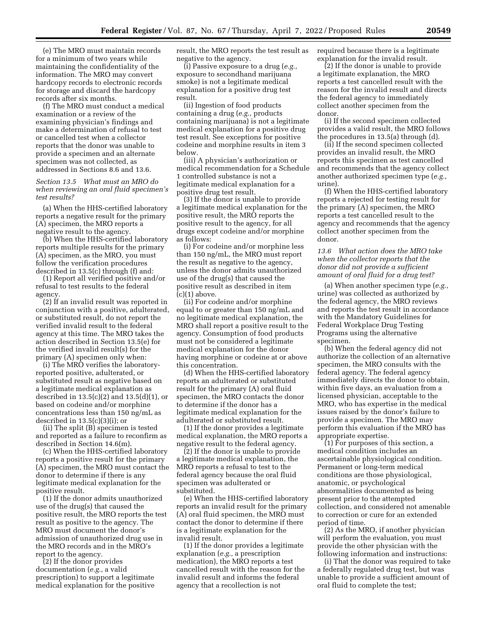(e) The MRO must maintain records for a minimum of two years while maintaining the confidentiality of the information. The MRO may convert hardcopy records to electronic records for storage and discard the hardcopy records after six months.

(f) The MRO must conduct a medical examination or a review of the examining physician's findings and make a determination of refusal to test or cancelled test when a collector reports that the donor was unable to provide a specimen and an alternate specimen was not collected, as addressed in Sections 8.6 and 13.6.

*Section 13.5 What must an MRO do when reviewing an oral fluid specimen's test results?* 

(a) When the HHS-certified laboratory reports a negative result for the primary (A) specimen, the MRO reports a negative result to the agency.

(b) When the HHS-certified laboratory reports multiple results for the primary (A) specimen, as the MRO, you must follow the verification procedures described in 13.5(c) through (f) and:

(1) Report all verified positive and/or refusal to test results to the federal agency.

(2) If an invalid result was reported in conjunction with a positive, adulterated, or substituted result, do not report the verified invalid result to the federal agency at this time. The MRO takes the action described in Section 13.5(e) for the verified invalid result(s) for the primary (A) specimen only when:

(i) The MRO verifies the laboratoryreported positive, adulterated, or substituted result as negative based on a legitimate medical explanation as described in  $13.5(c)(2)$  and  $13.5(d)(1)$ , or based on codeine and/or morphine concentrations less than 150 ng/mL as described in 13.5(c)(3)(i); or

(ii) The split (B) specimen is tested and reported as a failure to reconfirm as described in Section 14.6(m).

(c) When the HHS-certified laboratory reports a positive result for the primary (A) specimen, the MRO must contact the donor to determine if there is any legitimate medical explanation for the positive result.

(1) If the donor admits unauthorized use of the drug(s) that caused the positive result, the MRO reports the test result as positive to the agency. The MRO must document the donor's admission of unauthorized drug use in the MRO records and in the MRO's report to the agency.

(2) If the donor provides documentation (*e.g.,* a valid prescription) to support a legitimate medical explanation for the positive result, the MRO reports the test result as negative to the agency.

(i) Passive exposure to a drug (*e.g.,*  exposure to secondhand marijuana smoke) is not a legitimate medical explanation for a positive drug test result.

(ii) Ingestion of food products containing a drug (*e.g.,* products containing marijuana) is not a legitimate medical explanation for a positive drug test result. See exceptions for positive codeine and morphine results in item 3 below.

(iii) A physician's authorization or medical recommendation for a Schedule 1 controlled substance is not a legitimate medical explanation for a positive drug test result.

(3) If the donor is unable to provide a legitimate medical explanation for the positive result, the MRO reports the positive result to the agency, for all drugs except codeine and/or morphine as follows:

(i) For codeine and/or morphine less than 150 ng/mL, the MRO must report the result as negative to the agency, unless the donor admits unauthorized use of the drug(s) that caused the positive result as described in item  $(c)(1)$  above.

(ii) For codeine and/or morphine equal to or greater than 150 ng/mL and no legitimate medical explanation, the MRO shall report a positive result to the agency. Consumption of food products must not be considered a legitimate medical explanation for the donor having morphine or codeine at or above this concentration.

(d) When the HHS-certified laboratory reports an adulterated or substituted result for the primary (A) oral fluid specimen, the MRO contacts the donor to determine if the donor has a legitimate medical explanation for the adulterated or substituted result.

(1) If the donor provides a legitimate medical explanation, the MRO reports a negative result to the federal agency.

(2) If the donor is unable to provide a legitimate medical explanation, the MRO reports a refusal to test to the federal agency because the oral fluid specimen was adulterated or substituted.

(e) When the HHS-certified laboratory reports an invalid result for the primary (A) oral fluid specimen, the MRO must contact the donor to determine if there is a legitimate explanation for the invalid result.

(1) If the donor provides a legitimate explanation (*e.g.,* a prescription medication), the MRO reports a test cancelled result with the reason for the invalid result and informs the federal agency that a recollection is not

required because there is a legitimate explanation for the invalid result.

(2) If the donor is unable to provide a legitimate explanation, the MRO reports a test cancelled result with the reason for the invalid result and directs the federal agency to immediately collect another specimen from the donor.

(i) If the second specimen collected provides a valid result, the MRO follows the procedures in 13.5(a) through (d).

(ii) If the second specimen collected provides an invalid result, the MRO reports this specimen as test cancelled and recommends that the agency collect another authorized specimen type (*e.g.,*  urine).

(f) When the HHS-certified laboratory reports a rejected for testing result for the primary (A) specimen, the MRO reports a test cancelled result to the agency and recommends that the agency collect another specimen from the donor.

*13.6 What action does the MRO take when the collector reports that the donor did not provide a sufficient amount of oral fluid for a drug test?* 

(a) When another specimen type (*e.g.,*  urine) was collected as authorized by the federal agency, the MRO reviews and reports the test result in accordance with the Mandatory Guidelines for Federal Workplace Drug Testing Programs using the alternative specimen.

(b) When the federal agency did not authorize the collection of an alternative specimen, the MRO consults with the federal agency. The federal agency immediately directs the donor to obtain, within five days, an evaluation from a licensed physician, acceptable to the MRO, who has expertise in the medical issues raised by the donor's failure to provide a specimen. The MRO may perform this evaluation if the MRO has appropriate expertise.

(1) For purposes of this section, a medical condition includes an ascertainable physiological condition. Permanent or long-term medical conditions are those physiological, anatomic, or psychological abnormalities documented as being present prior to the attempted collection, and considered not amenable to correction or cure for an extended period of time.

(2) As the MRO, if another physician will perform the evaluation, you must provide the other physician with the following information and instructions:

(i) That the donor was required to take a federally regulated drug test, but was unable to provide a sufficient amount of oral fluid to complete the test;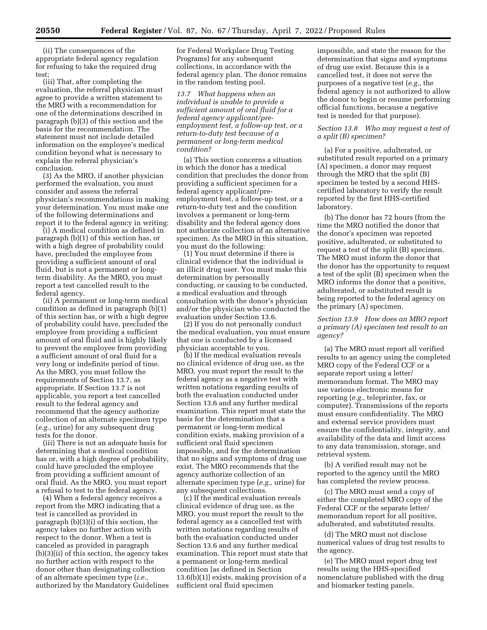(ii) The consequences of the appropriate federal agency regulation for refusing to take the required drug test;

(iii) That, after completing the evaluation, the referral physician must agree to provide a written statement to the MRO with a recommendation for one of the determinations described in paragraph (b)(3) of this section and the basis for the recommendation. The statement must not include detailed information on the employee's medical condition beyond what is necessary to explain the referral physician's conclusion.

(3) As the MRO, if another physician performed the evaluation, you must consider and assess the referral physician's recommendations in making your determination. You must make one of the following determinations and report it to the federal agency in writing:

(i) A medical condition as defined in paragraph (b)(1) of this section has, or with a high degree of probability could have, precluded the employee from providing a sufficient amount of oral fluid, but is not a permanent or longterm disability. As the MRO, you must report a test cancelled result to the federal agency.

(ii) A permanent or long-term medical condition as defined in paragraph (b)(1) of this section has, or with a high degree of probability could have, precluded the employee from providing a sufficient amount of oral fluid and is highly likely to prevent the employee from providing a sufficient amount of oral fluid for a very long or indefinite period of time. As the MRO, you must follow the requirements of Section 13.7, as appropriate. If Section 13.7 is not applicable, you report a test cancelled result to the federal agency and recommend that the agency authorize collection of an alternate specimen type (*e.g.,* urine) for any subsequent drug tests for the donor.

(iii) There is not an adequate basis for determining that a medical condition has or, with a high degree of probability, could have precluded the employee from providing a sufficient amount of oral fluid. As the MRO, you must report a refusal to test to the federal agency.

(4) When a federal agency receives a report from the MRO indicating that a test is cancelled as provided in paragraph (b)(3)(i) of this section, the agency takes no further action with respect to the donor. When a test is canceled as provided in paragraph (b)(3)(ii) of this section, the agency takes no further action with respect to the donor other than designating collection of an alternate specimen type (*i.e.,*  authorized by the Mandatory Guidelines for Federal Workplace Drug Testing Programs) for any subsequent collections, in accordance with the federal agency plan. The donor remains in the random testing pool.

*13.7 What happens when an individual is unable to provide a sufficient amount of oral fluid for a federal agency applicant/preemployment test, a follow-up test, or a return-to-duty test because of a permanent or long-term medical condition?* 

(a) This section concerns a situation in which the donor has a medical condition that precludes the donor from providing a sufficient specimen for a federal agency applicant/preemployment test, a follow-up test, or a return-to-duty test and the condition involves a permanent or long-term disability and the federal agency does not authorize collection of an alternative specimen. As the MRO in this situation, you must do the following:

(1) You must determine if there is clinical evidence that the individual is an illicit drug user. You must make this determination by personally conducting, or causing to be conducted, a medical evaluation and through consultation with the donor's physician and/or the physician who conducted the evaluation under Section 13.6.

(2) If you do not personally conduct the medical evaluation, you must ensure that one is conducted by a licensed physician acceptable to you.

(b) If the medical evaluation reveals no clinical evidence of drug use, as the MRO, you must report the result to the federal agency as a negative test with written notations regarding results of both the evaluation conducted under Section 13.6 and any further medical examination. This report must state the basis for the determination that a permanent or long-term medical condition exists, making provision of a sufficient oral fluid specimen impossible, and for the determination that no signs and symptoms of drug use exist. The MRO recommends that the agency authorize collection of an alternate specimen type (*e.g.,* urine) for any subsequent collections.

(c) If the medical evaluation reveals clinical evidence of drug use, as the MRO, you must report the result to the federal agency as a cancelled test with written notations regarding results of both the evaluation conducted under Section 13.6 and any further medical examination. This report must state that a permanent or long-term medical condition [as defined in Section 13.6(b)(1)] exists, making provision of a sufficient oral fluid specimen

impossible, and state the reason for the determination that signs and symptoms of drug use exist. Because this is a cancelled test, it does not serve the purposes of a negative test (*e.g.,* the federal agency is not authorized to allow the donor to begin or resume performing official functions, because a negative test is needed for that purpose).

## *Section 13.8 Who may request a test of a split (B) specimen?*

(a) For a positive, adulterated, or substituted result reported on a primary (A) specimen, a donor may request through the MRO that the split (B) specimen be tested by a second HHScertified laboratory to verify the result reported by the first HHS-certified laboratory.

(b) The donor has 72 hours (from the time the MRO notified the donor that the donor's specimen was reported positive, adulterated, or substituted to request a test of the split (B) specimen. The MRO must inform the donor that the donor has the opportunity to request a test of the split (B) specimen when the MRO informs the donor that a positive, adulterated, or substituted result is being reported to the federal agency on the primary (A) specimen.

## *Section 13.9 How does an MRO report a primary (A) specimen test result to an agency?*

(a) The MRO must report all verified results to an agency using the completed MRO copy of the Federal CCF or a separate report using a letter/ memorandum format. The MRO may use various electronic means for reporting (*e.g.,* teleprinter, fax, or computer). Transmissions of the reports must ensure confidentiality. The MRO and external service providers must ensure the confidentiality, integrity, and availability of the data and limit access to any data transmission, storage, and retrieval system.

(b) A verified result may not be reported to the agency until the MRO has completed the review process.

(c) The MRO must send a copy of either the completed MRO copy of the Federal CCF or the separate letter/ memorandum report for all positive, adulterated, and substituted results.

(d) The MRO must not disclose numerical values of drug test results to the agency.

(e) The MRO must report drug test results using the HHS-specified nomenclature published with the drug and biomarker testing panels.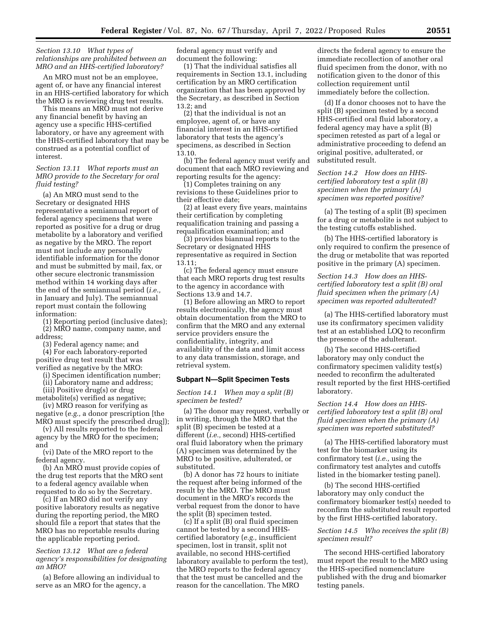#### *Section 13.10 What types of relationships are prohibited between an MRO and an HHS-certified laboratory?*

An MRO must not be an employee, agent of, or have any financial interest in an HHS-certified laboratory for which the MRO is reviewing drug test results.

This means an MRO must not derive any financial benefit by having an agency use a specific HHS-certified laboratory, or have any agreement with the HHS-certified laboratory that may be construed as a potential conflict of interest.

*Section 13.11 What reports must an MRO provide to the Secretary for oral fluid testing?* 

(a) An MRO must send to the Secretary or designated HHS representative a semiannual report of federal agency specimens that were reported as positive for a drug or drug metabolite by a laboratory and verified as negative by the MRO. The report must not include any personally identifiable information for the donor and must be submitted by mail, fax, or other secure electronic transmission method within 14 working days after the end of the semiannual period (*i.e.,*  in January and July). The semiannual report must contain the following information:

(1) Reporting period (inclusive dates); (2) MRO name, company name, and address;

(3) Federal agency name; and (4) For each laboratory-reported

positive drug test result that was verified as negative by the MRO:

(i) Specimen identification number;

(ii) Laboratory name and address;

(iii) Positive drug(s) or drug metabolite(s) verified as negative;

(iv) MRO reason for verifying as negative (*e.g.,* a donor prescription [the MRO must specify the prescribed drug]);

(v) All results reported to the federal agency by the MRO for the specimen; and

(vi) Date of the MRO report to the federal agency.

(b) An MRO must provide copies of the drug test reports that the MRO sent to a federal agency available when requested to do so by the Secretary.

(c) If an MRO did not verify any positive laboratory results as negative during the reporting period, the MRO should file a report that states that the MRO has no reportable results during the applicable reporting period.

*Section 13.12 What are a federal agency's responsibilities for designating an MRO?* 

(a) Before allowing an individual to serve as an MRO for the agency, a

federal agency must verify and document the following:

(1) That the individual satisfies all requirements in Section 13.1, including certification by an MRO certification organization that has been approved by the Secretary, as described in Section 13.2; and

(2) that the individual is not an employee, agent of, or have any financial interest in an HHS-certified laboratory that tests the agency's specimens, as described in Section 13.10.

(b) The federal agency must verify and document that each MRO reviewing and reporting results for the agency:

(1) Completes training on any revisions to these Guidelines prior to their effective date;

(2) at least every five years, maintains their certification by completing requalification training and passing a requalification examination; and

(3) provides biannual reports to the Secretary or designated HHS representative as required in Section 13.11;

(c) The federal agency must ensure that each MRO reports drug test results to the agency in accordance with Sections 13.9 and 14.7.

(1) Before allowing an MRO to report results electronically, the agency must obtain documentation from the MRO to confirm that the MRO and any external service providers ensure the confidentiality, integrity, and availability of the data and limit access to any data transmission, storage, and retrieval system.

#### **Subpart N—Split Specimen Tests**

*Section 14.1 When may a split (B) specimen be tested?* 

(a) The donor may request, verbally or in writing, through the MRO that the split (B) specimen be tested at a different (*i.e.,* second) HHS-certified oral fluid laboratory when the primary (A) specimen was determined by the MRO to be positive, adulterated, or substituted.

(b) A donor has 72 hours to initiate the request after being informed of the result by the MRO. The MRO must document in the MRO's records the verbal request from the donor to have the split (B) specimen tested.

(c) If a split (B) oral fluid specimen cannot be tested by a second HHScertified laboratory (*e.g.,* insufficient specimen, lost in transit, split not available, no second HHS-certified laboratory available to perform the test), the MRO reports to the federal agency that the test must be cancelled and the reason for the cancellation. The MRO

directs the federal agency to ensure the immediate recollection of another oral fluid specimen from the donor, with no notification given to the donor of this collection requirement until immediately before the collection.

(d) If a donor chooses not to have the split (B) specimen tested by a second HHS-certified oral fluid laboratory, a federal agency may have a split (B) specimen retested as part of a legal or administrative proceeding to defend an original positive, adulterated, or substituted result.

*Section 14.2 How does an HHScertified laboratory test a split (B) specimen when the primary (A) specimen was reported positive?* 

(a) The testing of a split (B) specimen for a drug or metabolite is not subject to the testing cutoffs established.

(b) The HHS-certified laboratory is only required to confirm the presence of the drug or metabolite that was reported positive in the primary (A) specimen.

*Section 14.3 How does an HHScertified laboratory test a split (B) oral fluid specimen when the primary (A) specimen was reported adulterated?* 

(a) The HHS-certified laboratory must use its confirmatory specimen validity test at an established LOQ to reconfirm the presence of the adulterant.

(b) The second HHS-certified laboratory may only conduct the confirmatory specimen validity test(s) needed to reconfirm the adulterated result reported by the first HHS-certified laboratory.

*Section 14.4 How does an HHScertified laboratory test a split (B) oral fluid specimen when the primary (A) specimen was reported substituted?* 

(a) The HHS-certified laboratory must test for the biomarker using its confirmatory test (*i.e.,* using the confirmatory test analytes and cutoffs listed in the biomarker testing panel).

(b) The second HHS-certified laboratory may only conduct the confirmatory biomarker test(s) needed to reconfirm the substituted result reported by the first HHS-certified laboratory.

## *Section 14.5 Who receives the split (B) specimen result?*

The second HHS-certified laboratory must report the result to the MRO using the HHS-specified nomenclature published with the drug and biomarker testing panels.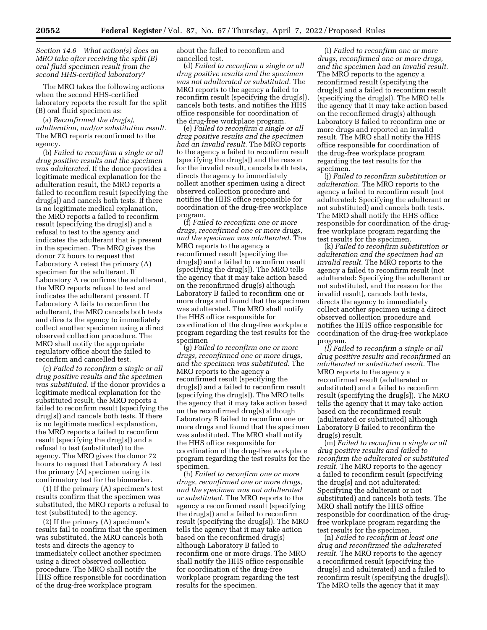*Section 14.6 What action(s) does an MRO take after receiving the split (B) oral fluid specimen result from the second HHS-certified laboratory?* 

The MRO takes the following actions when the second HHS-certified laboratory reports the result for the split (B) oral fluid specimen as:

(a) *Reconfirmed the drug(s), adulteration, and/or substitution result.*  The MRO reports reconfirmed to the agency.

(b) *Failed to reconfirm a single or all drug positive results and the specimen was adulterated.* If the donor provides a legitimate medical explanation for the adulteration result, the MRO reports a failed to reconfirm result (specifying the drug[s]) and cancels both tests. If there is no legitimate medical explanation, the MRO reports a failed to reconfirm result (specifying the drug[s]) and a refusal to test to the agency and indicates the adulterant that is present in the specimen. The MRO gives the donor 72 hours to request that Laboratory A retest the primary (A) specimen for the adulterant. If Laboratory A reconfirms the adulterant, the MRO reports refusal to test and indicates the adulterant present. If Laboratory A fails to reconfirm the adulterant, the MRO cancels both tests and directs the agency to immediately collect another specimen using a direct observed collection procedure. The MRO shall notify the appropriate regulatory office about the failed to reconfirm and cancelled test.

(c) *Failed to reconfirm a single or all drug positive results and the specimen was substituted.* If the donor provides a legitimate medical explanation for the substituted result, the MRO reports a failed to reconfirm result (specifying the drug[s]) and cancels both tests. If there is no legitimate medical explanation, the MRO reports a failed to reconfirm result (specifying the drug[s]) and a refusal to test (substituted) to the agency. The MRO gives the donor 72 hours to request that Laboratory A test the primary (A) specimen using its confirmatory test for the biomarker.

(1) If the primary (A) specimen's test results confirm that the specimen was substituted, the MRO reports a refusal to test (substituted) to the agency.

(2) If the primary (A) specimen's results fail to confirm that the specimen was substituted, the MRO cancels both tests and directs the agency to immediately collect another specimen using a direct observed collection procedure. The MRO shall notify the HHS office responsible for coordination of the drug-free workplace program

about the failed to reconfirm and cancelled test.

(d) *Failed to reconfirm a single or all drug positive results and the specimen was not adulterated or substituted.* The MRO reports to the agency a failed to reconfirm result (specifying the drug[s]), cancels both tests, and notifies the HHS office responsible for coordination of the drug-free workplace program.

(e) *Failed to reconfirm a single or all drug positive results and the specimen had an invalid result.* The MRO reports to the agency a failed to reconfirm result (specifying the drug[s]) and the reason for the invalid result, cancels both tests, directs the agency to immediately collect another specimen using a direct observed collection procedure and notifies the HHS office responsible for coordination of the drug-free workplace program.

(f) *Failed to reconfirm one or more drugs, reconfirmed one or more drugs, and the specimen was adulterated.* The MRO reports to the agency a reconfirmed result (specifying the drug[s]) and a failed to reconfirm result (specifying the drug[s]). The MRO tells the agency that it may take action based on the reconfirmed drug(s) although Laboratory B failed to reconfirm one or more drugs and found that the specimen was adulterated. The MRO shall notify the HHS office responsible for coordination of the drug-free workplace program regarding the test results for the specimen

(g) *Failed to reconfirm one or more drugs, reconfirmed one or more drugs, and the specimen was substituted.* The MRO reports to the agency a reconfirmed result (specifying the drug[s]) and a failed to reconfirm result (specifying the drug[s]). The MRO tells the agency that it may take action based on the reconfirmed drug(s) although Laboratory B failed to reconfirm one or more drugs and found that the specimen was substituted. The MRO shall notify the HHS office responsible for coordination of the drug-free workplace program regarding the test results for the specimen.

(h) *Failed to reconfirm one or more drugs, reconfirmed one or more drugs, and the specimen was not adulterated or substituted.* The MRO reports to the agency a reconfirmed result (specifying the drug[s]) and a failed to reconfirm result (specifying the drug[s]). The MRO tells the agency that it may take action based on the reconfirmed drug(s) although Laboratory B failed to reconfirm one or more drugs. The MRO shall notify the HHS office responsible for coordination of the drug-free workplace program regarding the test results for the specimen.

(i) *Failed to reconfirm one or more drugs, reconfirmed one or more drugs, and the specimen had an invalid result.*  The MRO reports to the agency a reconfirmed result (specifying the drug[s]) and a failed to reconfirm result (specifying the drug[s]). The MRO tells the agency that it may take action based on the reconfirmed drug(s) although Laboratory B failed to reconfirm one or more drugs and reported an invalid result. The MRO shall notify the HHS office responsible for coordination of the drug-free workplace program regarding the test results for the specimen.

(j) *Failed to reconfirm substitution or adulteration.* The MRO reports to the agency a failed to reconfirm result (not adulterated: Specifying the adulterant or not substituted) and cancels both tests. The MRO shall notify the HHS office responsible for coordination of the drugfree workplace program regarding the test results for the specimen.

(k) *Failed to reconfirm substitution or adulteration and the specimen had an invalid result.* The MRO reports to the agency a failed to reconfirm result (not adulterated: Specifying the adulterant or not substituted, and the reason for the invalid result), cancels both tests, directs the agency to immediately collect another specimen using a direct observed collection procedure and notifies the HHS office responsible for coordination of the drug-free workplace program.

*(l) Failed to reconfirm a single or all drug positive results and reconfirmed an adulterated or substituted result.* The MRO reports to the agency a reconfirmed result (adulterated or substituted) and a failed to reconfirm result (specifying the drug[s]). The MRO tells the agency that it may take action based on the reconfirmed result (adulterated or substituted) although Laboratory B failed to reconfirm the drug(s) result.

(m) *Failed to reconfirm a single or all drug positive results and failed to reconfirm the adulterated or substituted result.* The MRO reports to the agency a failed to reconfirm result (specifying the drug[s] and not adulterated: Specifying the adulterant or not substituted) and cancels both tests. The MRO shall notify the HHS office responsible for coordination of the drugfree workplace program regarding the test results for the specimen.

(n) *Failed to reconfirm at least one drug and reconfirmed the adulterated result.* The MRO reports to the agency a reconfirmed result (specifying the drug[s] and adulterated) and a failed to reconfirm result (specifying the drug[s]). The MRO tells the agency that it may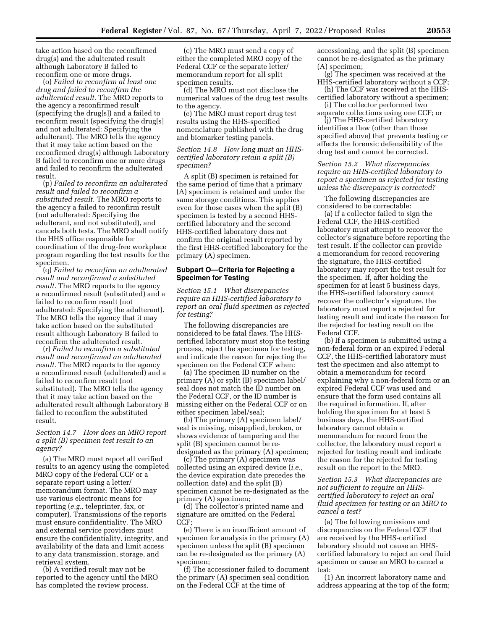take action based on the reconfirmed drug(s) and the adulterated result although Laboratory B failed to reconfirm one or more drugs.

(o) *Failed to reconfirm at least one drug and failed to reconfirm the adulterated result.* The MRO reports to the agency a reconfirmed result (specifying the drug[s]) and a failed to reconfirm result (specifying the drug[s] and not adulterated: Specifying the adulterant). The MRO tells the agency that it may take action based on the reconfirmed drug(s) although Laboratory B failed to reconfirm one or more drugs and failed to reconfirm the adulterated result.

(p) *Failed to reconfirm an adulterated result and failed to reconfirm a substituted result.* The MRO reports to the agency a failed to reconfirm result (not adulterated: Specifying the adulterant, and not substituted), and cancels both tests. The MRO shall notify the HHS office responsible for coordination of the drug-free workplace program regarding the test results for the specimen.

(q) *Failed to reconfirm an adulterated result and reconfirmed a substituted result.* The MRO reports to the agency a reconfirmed result (substituted) and a failed to reconfirm result (not adulterated: Specifying the adulterant). The MRO tells the agency that it may take action based on the substituted result although Laboratory B failed to reconfirm the adulterated result.

(r) *Failed to reconfirm a substituted result and reconfirmed an adulterated result.* The MRO reports to the agency a reconfirmed result (adulterated) and a failed to reconfirm result (not substituted). The MRO tells the agency that it may take action based on the adulterated result although Laboratory B failed to reconfirm the substituted result.

## *Section 14.7 How does an MRO report a split (B) specimen test result to an agency?*

(a) The MRO must report all verified results to an agency using the completed MRO copy of the Federal CCF or a separate report using a letter/ memorandum format. The MRO may use various electronic means for reporting (*e.g.,* teleprinter, fax, or computer). Transmissions of the reports must ensure confidentiality. The MRO and external service providers must ensure the confidentiality, integrity, and availability of the data and limit access to any data transmission, storage, and retrieval system.

(b) A verified result may not be reported to the agency until the MRO has completed the review process.

(c) The MRO must send a copy of either the completed MRO copy of the Federal CCF or the separate letter/ memorandum report for all split specimen results.

(d) The MRO must not disclose the numerical values of the drug test results to the agency.

(e) The MRO must report drug test results using the HHS-specified nomenclature published with the drug and biomarker testing panels.

### *Section 14.8 How long must an HHScertified laboratory retain a split (B) specimen?*

A split (B) specimen is retained for the same period of time that a primary (A) specimen is retained and under the same storage conditions. This applies even for those cases when the split (B) specimen is tested by a second HHScertified laboratory and the second HHS-certified laboratory does not confirm the original result reported by the first HHS-certified laboratory for the primary (A) specimen.

### **Subpart O—Criteria for Rejecting a Specimen for Testing**

*Section 15.1 What discrepancies require an HHS-certified laboratory to report an oral fluid specimen as rejected for testing?* 

The following discrepancies are considered to be fatal flaws. The HHScertified laboratory must stop the testing process, reject the specimen for testing, and indicate the reason for rejecting the specimen on the Federal CCF when:

(a) The specimen ID number on the primary (A) or split (B) specimen label/ seal does not match the ID number on the Federal CCF, or the ID number is missing either on the Federal CCF or on either specimen label/seal;

(b) The primary (A) specimen label/ seal is missing, misapplied, broken, or shows evidence of tampering and the split (B) specimen cannot be redesignated as the primary (A) specimen;

(c) The primary (A) specimen was collected using an expired device (*i.e.,*  the device expiration date precedes the collection date) and the split (B) specimen cannot be re-designated as the primary (A) specimen;

(d) The collector's printed name and signature are omitted on the Federal CCF;

(e) There is an insufficient amount of specimen for analysis in the primary (A) specimen unless the split (B) specimen can be re-designated as the primary (A) specimen;

(f) The accessioner failed to document the primary (A) specimen seal condition on the Federal CCF at the time of

accessioning, and the split (B) specimen cannot be re-designated as the primary (A) specimen;

(g) The specimen was received at the HHS-certified laboratory without a CCF;

(h) The CCF was received at the HHScertified laboratory without a specimen; (i) The collector performed two

separate collections using one CCF; or

(j) The HHS-certified laboratory identifies a flaw (other than those specified above) that prevents testing or affects the forensic defensibility of the drug test and cannot be corrected.

## *Section 15.2 What discrepancies require an HHS-certified laboratory to report a specimen as rejected for testing unless the discrepancy is corrected?*

The following discrepancies are considered to be correctable:

(a) If a collector failed to sign the Federal CCF, the HHS-certified laboratory must attempt to recover the collector's signature before reporting the test result. If the collector can provide a memorandum for record recovering the signature, the HHS-certified laboratory may report the test result for the specimen. If, after holding the specimen for at least 5 business days, the HHS-certified laboratory cannot recover the collector's signature, the laboratory must report a rejected for testing result and indicate the reason for the rejected for testing result on the Federal CCF.

(b) If a specimen is submitted using a non-federal form or an expired Federal CCF, the HHS-certified laboratory must test the specimen and also attempt to obtain a memorandum for record explaining why a non-federal form or an expired Federal CCF was used and ensure that the form used contains all the required information. If, after holding the specimen for at least 5 business days, the HHS-certified laboratory cannot obtain a memorandum for record from the collector, the laboratory must report a rejected for testing result and indicate the reason for the rejected for testing result on the report to the MRO.

## *Section 15.3 What discrepancies are not sufficient to require an HHScertified laboratory to reject an oral fluid specimen for testing or an MRO to cancel a test?*

(a) The following omissions and discrepancies on the Federal CCF that are received by the HHS-certified laboratory should not cause an HHScertified laboratory to reject an oral fluid specimen or cause an MRO to cancel a test:

(1) An incorrect laboratory name and address appearing at the top of the form;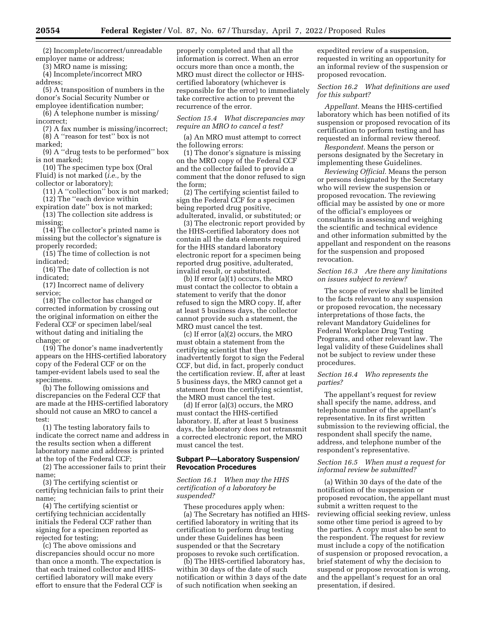(2) Incomplete/incorrect/unreadable employer name or address;

(3) MRO name is missing;

(4) Incomplete/incorrect MRO address;

(5) A transposition of numbers in the donor's Social Security Number or

employee identification number; (6) A telephone number is missing/

incorrect; (7) A fax number is missing/incorrect; (8) A ''reason for test'' box is not

marked;

(9) A ''drug tests to be performed'' box is not marked;

(10) The specimen type box (Oral

Fluid) is not marked (*i.e.,* by the

collector or laboratory);

(11) A ''collection'' box is not marked; (12) The ''each device within

expiration date'' box is not marked;

(13) The collection site address is missing;

(14) The collector's printed name is missing but the collector's signature is properly recorded;

(15) The time of collection is not indicated;

(16) The date of collection is not indicated;

(17) Incorrect name of delivery service;

(18) The collector has changed or corrected information by crossing out the original information on either the Federal CCF or specimen label/seal without dating and initialing the change; or

(19) The donor's name inadvertently appears on the HHS-certified laboratory copy of the Federal CCF or on the tamper-evident labels used to seal the specimens.

(b) The following omissions and discrepancies on the Federal CCF that are made at the HHS-certified laboratory should not cause an MRO to cancel a test:

(1) The testing laboratory fails to indicate the correct name and address in the results section when a different laboratory name and address is printed at the top of the Federal CCF;

(2) The accessioner fails to print their name;

(3) The certifying scientist or certifying technician fails to print their name;

(4) The certifying scientist or certifying technician accidentally initials the Federal CCF rather than signing for a specimen reported as rejected for testing;

(c) The above omissions and discrepancies should occur no more than once a month. The expectation is that each trained collector and HHScertified laboratory will make every effort to ensure that the Federal CCF is

properly completed and that all the information is correct. When an error occurs more than once a month, the MRO must direct the collector or HHScertified laboratory (whichever is responsible for the error) to immediately take corrective action to prevent the recurrence of the error.

*Section 15.4 What discrepancies may require an MRO to cancel a test?* 

(a) An MRO must attempt to correct the following errors:

(1) The donor's signature is missing on the MRO copy of the Federal CCF and the collector failed to provide a comment that the donor refused to sign the form;

(2) The certifying scientist failed to sign the Federal CCF for a specimen being reported drug positive, adulterated, invalid, or substituted; or

(3) The electronic report provided by the HHS-certified laboratory does not contain all the data elements required for the HHS standard laboratory electronic report for a specimen being reported drug positive, adulterated, invalid result, or substituted.

(b) If error (a)(1) occurs, the MRO must contact the collector to obtain a statement to verify that the donor refused to sign the MRO copy. If, after at least 5 business days, the collector cannot provide such a statement, the MRO must cancel the test.

(c) If error (a)(2) occurs, the MRO must obtain a statement from the certifying scientist that they inadvertently forgot to sign the Federal CCF, but did, in fact, properly conduct the certification review. If, after at least 5 business days, the MRO cannot get a statement from the certifying scientist, the MRO must cancel the test.

(d) If error (a)(3) occurs, the MRO must contact the HHS-certified laboratory. If, after at least 5 business days, the laboratory does not retransmit a corrected electronic report, the MRO must cancel the test.

#### **Subpart P—Laboratory Suspension/ Revocation Procedures**

*Section 16.1 When may the HHS certification of a laboratory be suspended?* 

These procedures apply when: (a) The Secretary has notified an HHS-

certified laboratory in writing that its certification to perform drug testing under these Guidelines has been suspended or that the Secretary proposes to revoke such certification.

(b) The HHS-certified laboratory has, within 30 days of the date of such notification or within 3 days of the date of such notification when seeking an

expedited review of a suspension, requested in writing an opportunity for an informal review of the suspension or proposed revocation.

# *Section 16.2 What definitions are used for this subpart?*

*Appellant.* Means the HHS-certified laboratory which has been notified of its suspension or proposed revocation of its certification to perform testing and has requested an informal review thereof.

*Respondent.* Means the person or persons designated by the Secretary in implementing these Guidelines.

*Reviewing Official.* Means the person or persons designated by the Secretary who will review the suspension or proposed revocation. The reviewing official may be assisted by one or more of the official's employees or consultants in assessing and weighing the scientific and technical evidence and other information submitted by the appellant and respondent on the reasons for the suspension and proposed revocation.

## *Section 16.3 Are there any limitations on issues subject to review?*

The scope of review shall be limited to the facts relevant to any suspension or proposed revocation, the necessary interpretations of those facts, the relevant Mandatory Guidelines for Federal Workplace Drug Testing Programs, and other relevant law. The legal validity of these Guidelines shall not be subject to review under these procedures.

### *Section 16.4 Who represents the parties?*

The appellant's request for review shall specify the name, address, and telephone number of the appellant's representative. In its first written submission to the reviewing official, the respondent shall specify the name, address, and telephone number of the respondent's representative.

## *Section 16.5 When must a request for informal review be submitted?*

(a) Within 30 days of the date of the notification of the suspension or proposed revocation, the appellant must submit a written request to the reviewing official seeking review, unless some other time period is agreed to by the parties. A copy must also be sent to the respondent. The request for review must include a copy of the notification of suspension or proposed revocation, a brief statement of why the decision to suspend or propose revocation is wrong, and the appellant's request for an oral presentation, if desired.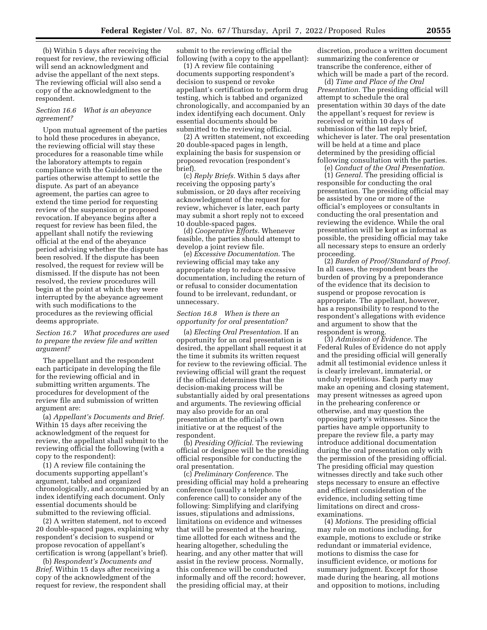(b) Within 5 days after receiving the request for review, the reviewing official will send an acknowledgment and advise the appellant of the next steps. The reviewing official will also send a copy of the acknowledgment to the respondent.

#### *Section 16.6 What is an abeyance agreement?*

Upon mutual agreement of the parties to hold these procedures in abeyance, the reviewing official will stay these procedures for a reasonable time while the laboratory attempts to regain compliance with the Guidelines or the parties otherwise attempt to settle the dispute. As part of an abeyance agreement, the parties can agree to extend the time period for requesting review of the suspension or proposed revocation. If abeyance begins after a request for review has been filed, the appellant shall notify the reviewing official at the end of the abeyance period advising whether the dispute has been resolved. If the dispute has been resolved, the request for review will be dismissed. If the dispute has not been resolved, the review procedures will begin at the point at which they were interrupted by the abeyance agreement with such modifications to the procedures as the reviewing official deems appropriate.

## *Section 16.7 What procedures are used to prepare the review file and written argument?*

The appellant and the respondent each participate in developing the file for the reviewing official and in submitting written arguments. The procedures for development of the review file and submission of written argument are:

(a) *Appellant's Documents and Brief.*  Within 15 days after receiving the acknowledgment of the request for review, the appellant shall submit to the reviewing official the following (with a copy to the respondent):

(1) A review file containing the documents supporting appellant's argument, tabbed and organized chronologically, and accompanied by an index identifying each document. Only essential documents should be submitted to the reviewing official.

(2) A written statement, not to exceed 20 double-spaced pages, explaining why respondent's decision to suspend or propose revocation of appellant's certification is wrong (appellant's brief).

(b) *Respondent's Documents and Brief.* Within 15 days after receiving a copy of the acknowledgment of the request for review, the respondent shall submit to the reviewing official the following (with a copy to the appellant):

(1) A review file containing documents supporting respondent's decision to suspend or revoke appellant's certification to perform drug testing, which is tabbed and organized chronologically, and accompanied by an index identifying each document. Only essential documents should be submitted to the reviewing official.

(2) A written statement, not exceeding 20 double-spaced pages in length, explaining the basis for suspension or proposed revocation (respondent's brief).

(c) *Reply Briefs.* Within 5 days after receiving the opposing party's submission, or 20 days after receiving acknowledgment of the request for review, whichever is later, each party may submit a short reply not to exceed 10 double-spaced pages.

(d) *Cooperative Efforts.* Whenever feasible, the parties should attempt to develop a joint review file.

(e) *Excessive Documentation.* The reviewing official may take any appropriate step to reduce excessive documentation, including the return of or refusal to consider documentation found to be irrelevant, redundant, or unnecessary.

#### *Section 16.8 When is there an opportunity for oral presentation?*

(a) *Electing Oral Presentation.* If an opportunity for an oral presentation is desired, the appellant shall request it at the time it submits its written request for review to the reviewing official. The reviewing official will grant the request if the official determines that the decision-making process will be substantially aided by oral presentations and arguments. The reviewing official may also provide for an oral presentation at the official's own initiative or at the request of the respondent.

(b) *Presiding Official.* The reviewing official or designee will be the presiding official responsible for conducting the oral presentation.

(c) *Preliminary Conference.* The presiding official may hold a prehearing conference (usually a telephone conference call) to consider any of the following: Simplifying and clarifying issues, stipulations and admissions, limitations on evidence and witnesses that will be presented at the hearing, time allotted for each witness and the hearing altogether, scheduling the hearing, and any other matter that will assist in the review process. Normally, this conference will be conducted informally and off the record; however, the presiding official may, at their

discretion, produce a written document summarizing the conference or transcribe the conference, either of which will be made a part of the record.

(d) *Time and Place of the Oral Presentation.* The presiding official will attempt to schedule the oral presentation within 30 days of the date the appellant's request for review is received or within 10 days of submission of the last reply brief, whichever is later. The oral presentation will be held at a time and place determined by the presiding official following consultation with the parties.

(e) *Conduct of the Oral Presentation.* 

(1) *General.* The presiding official is responsible for conducting the oral presentation. The presiding official may be assisted by one or more of the official's employees or consultants in conducting the oral presentation and reviewing the evidence. While the oral presentation will be kept as informal as possible, the presiding official may take all necessary steps to ensure an orderly proceeding.

(2) *Burden of Proof/Standard of Proof.*  In all cases, the respondent bears the burden of proving by a preponderance of the evidence that its decision to suspend or propose revocation is appropriate. The appellant, however, has a responsibility to respond to the respondent's allegations with evidence and argument to show that the respondent is wrong.

(3) *Admission of Evidence.* The Federal Rules of Evidence do not apply and the presiding official will generally admit all testimonial evidence unless it is clearly irrelevant, immaterial, or unduly repetitious. Each party may make an opening and closing statement, may present witnesses as agreed upon in the prehearing conference or otherwise, and may question the opposing party's witnesses. Since the parties have ample opportunity to prepare the review file, a party may introduce additional documentation during the oral presentation only with the permission of the presiding official. The presiding official may question witnesses directly and take such other steps necessary to ensure an effective and efficient consideration of the evidence, including setting time limitations on direct and crossexaminations.

(4) *Motions.* The presiding official may rule on motions including, for example, motions to exclude or strike redundant or immaterial evidence, motions to dismiss the case for insufficient evidence, or motions for summary judgment. Except for those made during the hearing, all motions and opposition to motions, including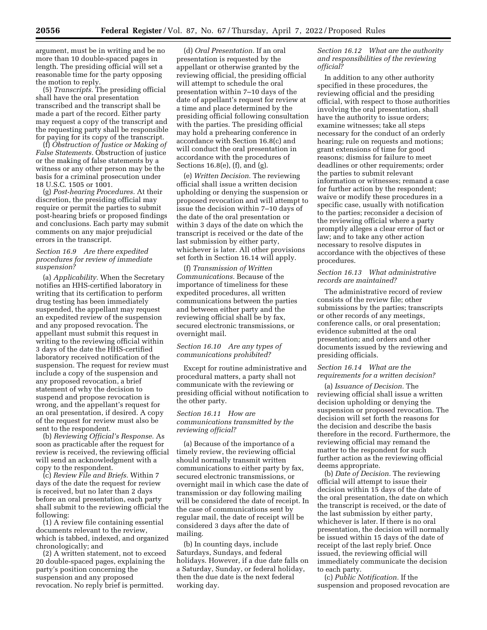argument, must be in writing and be no more than 10 double-spaced pages in length. The presiding official will set a reasonable time for the party opposing the motion to reply.

(5) *Transcripts.* The presiding official shall have the oral presentation transcribed and the transcript shall be made a part of the record. Either party may request a copy of the transcript and the requesting party shall be responsible for paying for its copy of the transcript.

(f) *Obstruction of Justice or Making of False Statements.* Obstruction of justice or the making of false statements by a witness or any other person may be the basis for a criminal prosecution under 18 U.S.C. 1505 or 1001.

(g) *Post-hearing Procedures.* At their discretion, the presiding official may require or permit the parties to submit post-hearing briefs or proposed findings and conclusions. Each party may submit comments on any major prejudicial errors in the transcript.

## *Section 16.9 Are there expedited procedures for review of immediate suspension?*

(a) *Applicability.* When the Secretary notifies an HHS-certified laboratory in writing that its certification to perform drug testing has been immediately suspended, the appellant may request an expedited review of the suspension and any proposed revocation. The appellant must submit this request in writing to the reviewing official within 3 days of the date the HHS-certified laboratory received notification of the suspension. The request for review must include a copy of the suspension and any proposed revocation, a brief statement of why the decision to suspend and propose revocation is wrong, and the appellant's request for an oral presentation, if desired. A copy of the request for review must also be sent to the respondent.

(b) *Reviewing Official's Response.* As soon as practicable after the request for review is received, the reviewing official will send an acknowledgment with a copy to the respondent.

(c) *Review File and Briefs.* Within 7 days of the date the request for review is received, but no later than 2 days before an oral presentation, each party shall submit to the reviewing official the following:

(1) A review file containing essential documents relevant to the review, which is tabbed, indexed, and organized chronologically; and

(2) A written statement, not to exceed 20 double-spaced pages, explaining the party's position concerning the suspension and any proposed revocation. No reply brief is permitted.

(d) *Oral Presentation.* If an oral presentation is requested by the appellant or otherwise granted by the reviewing official, the presiding official will attempt to schedule the oral presentation within 7–10 days of the date of appellant's request for review at a time and place determined by the presiding official following consultation with the parties. The presiding official may hold a prehearing conference in accordance with Section 16.8(c) and will conduct the oral presentation in accordance with the procedures of Sections 16.8(e), (f), and (g).

(e) *Written Decision.* The reviewing official shall issue a written decision upholding or denying the suspension or proposed revocation and will attempt to issue the decision within 7–10 days of the date of the oral presentation or within 3 days of the date on which the transcript is received or the date of the last submission by either party, whichever is later. All other provisions set forth in Section 16.14 will apply.

(f) *Transmission of Written Communications.* Because of the importance of timeliness for these expedited procedures, all written communications between the parties and between either party and the reviewing official shall be by fax, secured electronic transmissions, or overnight mail.

## *Section 16.10 Are any types of communications prohibited?*

Except for routine administrative and procedural matters, a party shall not communicate with the reviewing or presiding official without notification to the other party.

## *Section 16.11 How are communications transmitted by the reviewing official?*

(a) Because of the importance of a timely review, the reviewing official should normally transmit written communications to either party by fax, secured electronic transmissions, or overnight mail in which case the date of transmission or day following mailing will be considered the date of receipt. In the case of communications sent by regular mail, the date of receipt will be considered 3 days after the date of mailing.

(b) In counting days, include Saturdays, Sundays, and federal holidays. However, if a due date falls on a Saturday, Sunday, or federal holiday, then the due date is the next federal working day.

## *Section 16.12 What are the authority and responsibilities of the reviewing official?*

In addition to any other authority specified in these procedures, the reviewing official and the presiding official, with respect to those authorities involving the oral presentation, shall have the authority to issue orders; examine witnesses; take all steps necessary for the conduct of an orderly hearing; rule on requests and motions; grant extensions of time for good reasons; dismiss for failure to meet deadlines or other requirements; order the parties to submit relevant information or witnesses; remand a case for further action by the respondent; waive or modify these procedures in a specific case, usually with notification to the parties; reconsider a decision of the reviewing official where a party promptly alleges a clear error of fact or law; and to take any other action necessary to resolve disputes in accordance with the objectives of these procedures.

### *Section 16.13 What administrative records are maintained?*

The administrative record of review consists of the review file; other submissions by the parties; transcripts or other records of any meetings, conference calls, or oral presentation; evidence submitted at the oral presentation; and orders and other documents issued by the reviewing and presiding officials.

## *Section 16.14 What are the requirements for a written decision?*

(a) *Issuance of Decision.* The reviewing official shall issue a written decision upholding or denying the suspension or proposed revocation. The decision will set forth the reasons for the decision and describe the basis therefore in the record. Furthermore, the reviewing official may remand the matter to the respondent for such further action as the reviewing official deems appropriate.

(b) *Date of Decision.* The reviewing official will attempt to issue their decision within 15 days of the date of the oral presentation, the date on which the transcript is received, or the date of the last submission by either party, whichever is later. If there is no oral presentation, the decision will normally be issued within 15 days of the date of receipt of the last reply brief. Once issued, the reviewing official will immediately communicate the decision to each party.

(c) *Public Notification.* If the suspension and proposed revocation are